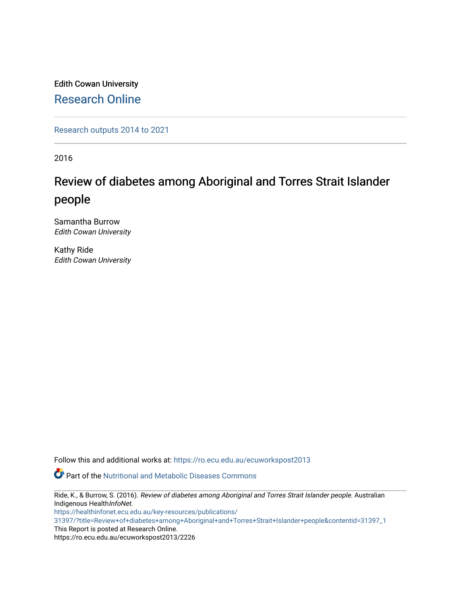Edith Cowan University [Research Online](https://ro.ecu.edu.au/) 

[Research outputs 2014 to 2021](https://ro.ecu.edu.au/ecuworkspost2013) 

2016

## Review of diabetes among Aboriginal and Torres Strait Islander people

Samantha Burrow Edith Cowan University

Kathy Ride Edith Cowan University

Follow this and additional works at: [https://ro.ecu.edu.au/ecuworkspost2013](https://ro.ecu.edu.au/ecuworkspost2013?utm_source=ro.ecu.edu.au%2Fecuworkspost2013%2F2226&utm_medium=PDF&utm_campaign=PDFCoverPages) 

Part of the [Nutritional and Metabolic Diseases Commons](https://network.bepress.com/hgg/discipline/1003?utm_source=ro.ecu.edu.au%2Fecuworkspost2013%2F2226&utm_medium=PDF&utm_campaign=PDFCoverPages) 

Ride, K., & Burrow, S. (2016). Review of diabetes among Aboriginal and Torres Strait Islander people. Australian Indigenous HealthInfoNet.

[https://healthinfonet.ecu.edu.au/key-resources/publications/](https://healthinfonet.ecu.edu.au/key-resources/publications/31397/?title=Review+of+diabetes+among+Aboriginal+and+Torres+Strait+Islander+people&contentid=31397_1)

[31397/?title=Review+of+diabetes+among+Aboriginal+and+Torres+Strait+Islander+people&contentid=31397\\_1](https://healthinfonet.ecu.edu.au/key-resources/publications/31397/?title=Review+of+diabetes+among+Aboriginal+and+Torres+Strait+Islander+people&contentid=31397_1)  This Report is posted at Research Online.

https://ro.ecu.edu.au/ecuworkspost2013/2226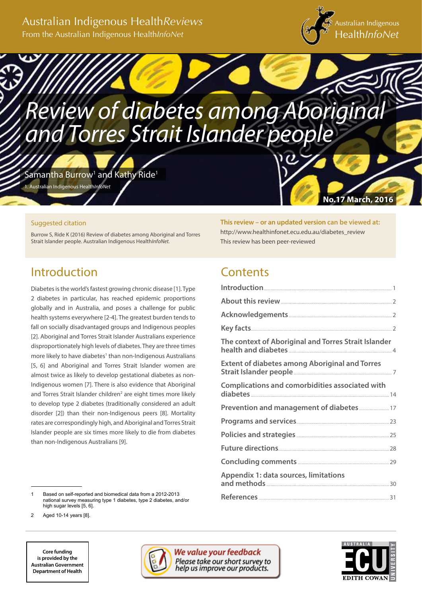## Australian Indigenous Health*Reviews* From the Australian Indigenous Health*InfoNet*



**No.17 March, 2016**

# *Review of diabetes among Aboriginal and Torres Strait Islander people*

Samantha Burrow $^1$  and Kathy Ride $^1$ 

1. Australian Indigenous Health*InfoNet*

### Suggested citation

Burrow S, Ride K (2016) Review of diabetes among Aboriginal and Torres Strait Islander people. Australian Indigenous Health*InfoNet.*

## Introduction

Diabetes is the world's fastest growing chronic disease [1]. Type 2 diabetes in particular, has reached epidemic proportions globally and in Australia, and poses a challenge for public health systems everywhere [2-4]. The greatest burden tends to fall on socially disadvantaged groups and Indigenous peoples [2]. Aboriginal and Torres Strait Islander Australians experience disproportionately high levels of diabetes. They are three times more likely to have diabetes<sup>1</sup> than non-Indigenous Australians [5, 6] and Aboriginal and Torres Strait Islander women are almost twice as likely to develop gestational diabetes as non-Indigenous women [7]. There is also evidence that Aboriginal and Torres Strait Islander children<sup>2</sup> are eight times more likely to develop type 2 diabetes (traditionally considered an adult disorder [2]) than their non-Indigenous peers [8]. Mortality rates are correspondingly high, and Aboriginal and Torres Strait Islander people are six times more likely to die from diabetes than non-Indigenous Australians [9].

1 Based on self-reported and biomedical data from a 2012-2013 national survey measuring type 1 diabetes, type 2 diabetes, and/or high sugar levels [5, 6].

Aged 10-14 years [8].



**This review – or an updated version can be viewed at:** http://www.healthinfonet.ecu.edu.au/diabetes\_review This review has been peer-reviewed

## **Contents**

| The context of Aboriginal and Torres Strait Islander  |
|-------------------------------------------------------|
| <b>Extent of diabetes among Aboriginal and Torres</b> |
| Complications and comorbidities associated with       |
|                                                       |
|                                                       |
|                                                       |
|                                                       |
|                                                       |
| <b>Appendix 1: data sources, limitations</b>          |
|                                                       |

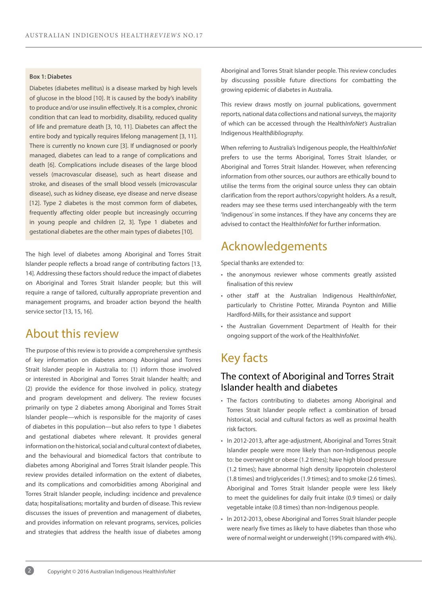#### **Box 1: Diabetes**

Diabetes (diabetes mellitus) is a disease marked by high levels of glucose in the blood [10]. It is caused by the body's inability to produce and/or use insulin effectively. It is a complex, chronic condition that can lead to morbidity, disability, reduced quality of life and premature death [3, 10, 11]. Diabetes can affect the entire body and typically requires lifelong management [3, 11]. There is currently no known cure [3]. If undiagnosed or poorly managed, diabetes can lead to a range of complications and death [6]. Complications include diseases of the large blood vessels (macrovascular disease), such as heart disease and stroke, and diseases of the small blood vessels (microvascular disease), such as kidney disease, eye disease and nerve disease [12]. Type 2 diabetes is the most common form of diabetes, frequently affecting older people but increasingly occurring in young people and children [2, 3]. Type 1 diabetes and gestational diabetes are the other main types of diabetes [10].

The high level of diabetes among Aboriginal and Torres Strait Islander people reflects a broad range of contributing factors [13, 14]. Addressing these factors should reduce the impact of diabetes on Aboriginal and Torres Strait Islander people; but this will require a range of tailored, culturally appropriate prevention and management programs, and broader action beyond the health service sector [13, 15, 16].

## About this review

The purpose of this review is to provide a comprehensive synthesis of key information on diabetes among Aboriginal and Torres Strait Islander people in Australia to: (1) inform those involved or interested in Aboriginal and Torres Strait Islander health; and (2) provide the evidence for those involved in policy, strategy and program development and delivery. The review focuses primarily on type 2 diabetes among Aboriginal and Torres Strait Islander people—which is responsible for the majority of cases of diabetes in this population—but also refers to type 1 diabetes and gestational diabetes where relevant. It provides general information on the historical, social and cultural context of diabetes, and the behavioural and biomedical factors that contribute to diabetes among Aboriginal and Torres Strait Islander people. This review provides detailed information on the extent of diabetes, and its complications and comorbidities among Aboriginal and Torres Strait Islander people, including: incidence and prevalence data; hospitalisations; mortality and burden of disease. This review discusses the issues of prevention and management of diabetes, and provides information on relevant programs, services, policies and strategies that address the health issue of diabetes among

Aboriginal and Torres Strait Islander people. This review concludes by discussing possible future directions for combatting the growing epidemic of diabetes in Australia.

This review draws mostly on journal publications, government reports, national data collections and national surveys, the majority of which can be accessed through the Health*InfoNet's* Australian Indigenous Health*Bibliography.*

When referring to Australia's Indigenous people, the Health*InfoNet* prefers to use the terms Aboriginal, Torres Strait Islander, or Aboriginal and Torres Strait Islander. However, when referencing information from other sources, our authors are ethically bound to utilise the terms from the original source unless they can obtain clarification from the report authors/copyright holders. As a result, readers may see these terms used interchangeably with the term 'Indigenous' in some instances. If they have any concerns they are advised to contact the Health*InfoNet* for further information.

## Acknowledgements

Special thanks are extended to:

- the anonymous reviewer whose comments greatly assisted finalisation of this review
- other staff at the Australian Indigenous Health*InfoNet*, particularly to Christine Potter, Miranda Poynton and Millie Hardford-Mills, for their assistance and support
- the Australian Government Department of Health for their ongoing support of the work of the Health*InfoNet.*

## Key facts

## The context of Aboriginal and Torres Strait Islander health and diabetes

- The factors contributing to diabetes among Aboriginal and Torres Strait Islander people reflect a combination of broad historical, social and cultural factors as well as proximal health risk factors.
- In 2012-2013, after age-adjustment, Aboriginal and Torres Strait Islander people were more likely than non-Indigenous people to: be overweight or obese (1.2 times); have high blood pressure (1.2 times); have abnormal high density lipoprotein cholesterol (1.8 times) and triglycerides (1.9 times); and to smoke (2.6 times). Aboriginal and Torres Strait Islander people were less likely to meet the guidelines for daily fruit intake (0.9 times) or daily vegetable intake (0.8 times) than non-Indigenous people.
- In 2012-2013, obese Aboriginal and Torres Strait Islander people were nearly five times as likely to have diabetes than those who were of normal weight or underweight (19% compared with 4%).

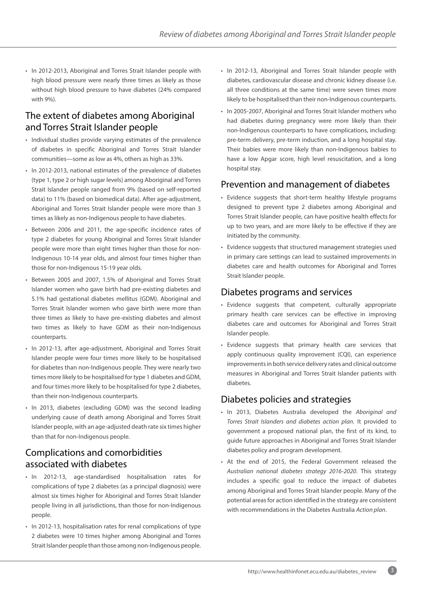• In 2012-2013, Aboriginal and Torres Strait Islander people with high blood pressure were nearly three times as likely as those without high blood pressure to have diabetes (24% compared with 9%).

## The extent of diabetes among Aboriginal and Torres Strait Islander people

- Individual studies provide varying estimates of the prevalence of diabetes in specific Aboriginal and Torres Strait Islander communities—some as low as 4%, others as high as 33%.
- In 2012-2013, national estimates of the prevalence of diabetes (type 1, type 2 or high sugar levels) among Aboriginal and Torres Strait Islander people ranged from 9% (based on self-reported data) to 11% (based on biomedical data). After age-adjustment, Aboriginal and Torres Strait Islander people were more than 3 times as likely as non-Indigenous people to have diabetes.
- Between 2006 and 2011, the age-specific incidence rates of type 2 diabetes for young Aboriginal and Torres Strait Islander people were more than eight times higher than those for non-Indigenous 10-14 year olds, and almost four times higher than those for non-Indigenous 15-19 year olds.
- Between 2005 and 2007, 1.5% of Aboriginal and Torres Strait Islander women who gave birth had pre-existing diabetes and 5.1% had gestational diabetes mellitus (GDM). Aboriginal and Torres Strait Islander women who gave birth were more than three times as likely to have pre-existing diabetes and almost two times as likely to have GDM as their non-Indigenous counterparts.
- In 2012-13, after age-adjustment, Aboriginal and Torres Strait Islander people were four times more likely to be hospitalised for diabetes than non-Indigenous people. They were nearly two times more likely to be hospitalised for type 1 diabetes and GDM, and four times more likely to be hospitalised for type 2 diabetes, than their non-Indigenous counterparts.
- In 2013, diabetes (excluding GDM) was the second leading underlying cause of death among Aboriginal and Torres Strait Islander people, with an age-adjusted death rate six times higher than that for non-Indigenous people.

## Complications and comorbidities associated with diabetes

- In 2012-13, age-standardised hospitalisation rates for complications of type 2 diabetes (as a principal diagnosis) were almost six times higher for Aboriginal and Torres Strait Islander people living in all jurisdictions, than those for non-Indigenous people.
- In 2012-13, hospitalisation rates for renal complications of type 2 diabetes were 10 times higher among Aboriginal and Torres Strait Islander people than those among non-Indigenous people.
- In 2012-13, Aboriginal and Torres Strait Islander people with diabetes, cardiovascular disease and chronic kidney disease (i.e. all three conditions at the same time) were seven times more likely to be hospitalised than their non-Indigenous counterparts.
- In 2005-2007, Aboriginal and Torres Strait Islander mothers who had diabetes during pregnancy were more likely than their non-Indigenous counterparts to have complications, including: pre-term delivery, pre-term induction, and a long hospital stay. Their babies were more likely than non-Indigenous babies to have a low Apgar score, high level resuscitation, and a long hospital stay.

## Prevention and management of diabetes

- Evidence suggests that short-term healthy lifestyle programs designed to prevent type 2 diabetes among Aboriginal and Torres Strait Islander people, can have positive health effects for up to two years, and are more likely to be effective if they are initiated by the community.
- Evidence suggests that structured management strategies used in primary care settings can lead to sustained improvements in diabetes care and health outcomes for Aboriginal and Torres Strait Islander people.

## Diabetes programs and services

- Evidence suggests that competent, culturally appropriate primary health care services can be effective in improving diabetes care and outcomes for Aboriginal and Torres Strait Islander people.
- Evidence suggests that primary health care services that apply continuous quality improvement (CQI), can experience improvements in both service delivery rates and clinical outcome measures in Aboriginal and Torres Strait Islander patients with diabetes.

## Diabetes policies and strategies

- In 2013, Diabetes Australia developed the *Aboriginal and Torres Strait Islanders and diabetes action plan*. It provided to government a proposed national plan, the first of its kind, to guide future approaches in Aboriginal and Torres Strait Islander diabetes policy and program development.
- At the end of 2015, the Federal Government released the *Australian national diabetes strategy 2016-2020*. This strategy includes a specific goal to reduce the impact of diabetes among Aboriginal and Torres Strait Islander people. Many of the potential areas for action identified in the strategy are consistent with recommendations in the Diabetes Australia *Action plan*.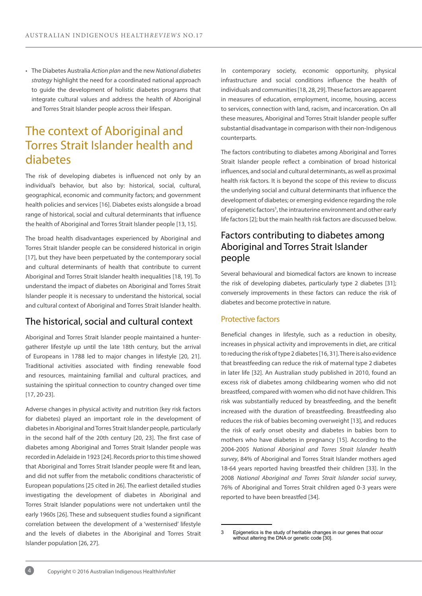• The Diabetes Australia *Action plan* and the new *National diabetes strategy* highlight the need for a coordinated national approach to guide the development of holistic diabetes programs that integrate cultural values and address the health of Aboriginal and Torres Strait Islander people across their lifespan.

## The context of Aboriginal and Torres Strait Islander health and diabetes

The risk of developing diabetes is influenced not only by an individual's behavior, but also by: historical, social, cultural, geographical, economic and community factors; and government health policies and services [16]. Diabetes exists alongside a broad range of historical, social and cultural determinants that influence the health of Aboriginal and Torres Strait Islander people [13, 15].

The broad health disadvantages experienced by Aboriginal and Torres Strait Islander people can be considered historical in origin [17], but they have been perpetuated by the contemporary social and cultural determinants of health that contribute to current Aboriginal and Torres Strait Islander health inequalities [18, 19]. To understand the impact of diabetes on Aboriginal and Torres Strait Islander people it is necessary to understand the historical, social and cultural context of Aboriginal and Torres Strait Islander health.

## The historical, social and cultural context

Aboriginal and Torres Strait Islander people maintained a huntergatherer lifestyle up until the late 18th century, but the arrival of Europeans in 1788 led to major changes in lifestyle [20, 21]. Traditional activities associated with finding renewable food and resources, maintaining familial and cultural practices, and sustaining the spiritual connection to country changed over time [17, 20-23].

Adverse changes in physical activity and nutrition (key risk factors for diabetes) played an important role in the development of diabetes in Aboriginal and Torres Strait Islander people, particularly in the second half of the 20th century [20, 23]. The first case of diabetes among Aboriginal and Torres Strait Islander people was recorded in Adelaide in 1923 [24]. Records prior to this time showed that Aboriginal and Torres Strait Islander people were fit and lean, and did not suffer from the metabolic conditions characteristic of European populations [25 cited in 26]. The earliest detailed studies investigating the development of diabetes in Aboriginal and Torres Strait Islander populations were not undertaken until the early 1960s [26]. These and subsequent studies found a significant correlation between the development of a 'westernised' lifestyle and the levels of diabetes in the Aboriginal and Torres Strait Islander population [26, 27].

In contemporary society, economic opportunity, physical infrastructure and social conditions influence the health of individuals and communities [18, 28, 29]. These factors are apparent in measures of education, employment, income, housing, access to services, connection with land, racism, and incarceration. On all these measures, Aboriginal and Torres Strait Islander people suffer substantial disadvantage in comparison with their non-Indigenous counterparts.

The factors contributing to diabetes among Aboriginal and Torres Strait Islander people reflect a combination of broad historical influences, and social and cultural determinants, as well as proximal health risk factors. It is beyond the scope of this review to discuss the underlying social and cultural determinants that influence the development of diabetes; or emerging evidence regarding the role of epigenetic factors<sup>3</sup>, the intrauterine environment and other early life factors [2]; but the main health risk factors are discussed below.

## Factors contributing to diabetes among Aboriginal and Torres Strait Islander people

Several behavioural and biomedical factors are known to increase the risk of developing diabetes, particularly type 2 diabetes [31]; conversely improvements in these factors can reduce the risk of diabetes and become protective in nature.

#### Protective factors

Beneficial changes in lifestyle, such as a reduction in obesity, increases in physical activity and improvements in diet, are critical to reducing the risk of type 2 diabetes [16, 31]. There is also evidence that breastfeeding can reduce the risk of maternal type 2 diabetes in later life [32]. An Australian study published in 2010, found an excess risk of diabetes among childbearing women who did not breastfeed, compared with women who did not have children. This risk was substantially reduced by breastfeeding, and the benefit increased with the duration of breastfeeding. Breastfeeding also reduces the risk of babies becoming overweight [13], and reduces the risk of early onset obesity and diabetes in babies born to mothers who have diabetes in pregnancy [15]. According to the 2004-2005 *National Aboriginal and Torres Strait Islander health survey*, 84% of Aboriginal and Torres Strait Islander mothers aged 18-64 years reported having breastfed their children [33]. In the 2008 *National Aboriginal and Torres Strait Islander social survey*, 76% of Aboriginal and Torres Strait children aged 0-3 years were reported to have been breastfed [34].

3 Epigenetics is the study of heritable changes in our genes that occur without altering the DNA or genetic code [30].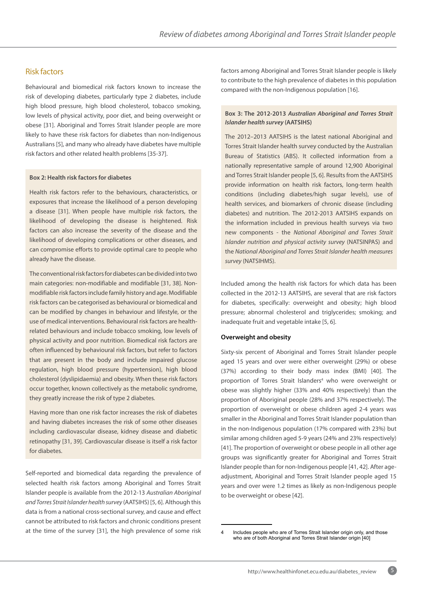### Risk factors

Behavioural and biomedical risk factors known to increase the risk of developing diabetes, particularly type 2 diabetes, include high blood pressure, high blood cholesterol, tobacco smoking, low levels of physical activity, poor diet, and being overweight or obese [31]. Aboriginal and Torres Strait Islander people are more likely to have these risk factors for diabetes than non-Indigenous Australians [5], and many who already have diabetes have multiple risk factors and other related health problems [35-37].

#### **Box 2: Health risk factors for diabetes**

Health risk factors refer to the behaviours, characteristics, or exposures that increase the likelihood of a person developing a disease [31]. When people have multiple risk factors, the likelihood of developing the disease is heightened. Risk factors can also increase the severity of the disease and the likelihood of developing complications or other diseases, and can compromise efforts to provide optimal care to people who already have the disease.

The conventional risk factors for diabetes can be divided into two main categories: non-modifiable and modifiable [31, 38]. Nonmodifiable risk factors include family history and age. Modifiable risk factors can be categorised as behavioural or biomedical and can be modified by changes in behaviour and lifestyle, or the use of medical interventions. Behavioural risk factors are healthrelated behaviours and include tobacco smoking, low levels of physical activity and poor nutrition. Biomedical risk factors are often influenced by behavioural risk factors, but refer to factors that are present in the body and include impaired glucose regulation, high blood pressure (hypertension), high blood cholesterol (dyslipidaemia) and obesity. When these risk factors occur together, known collectively as the metabolic syndrome, they greatly increase the risk of type 2 diabetes.

Having more than one risk factor increases the risk of diabetes and having diabetes increases the risk of some other diseases including cardiovascular disease, kidney disease and diabetic retinopathy [31, 39]. Cardiovascular disease is itself a risk factor for diabetes.

Self-reported and biomedical data regarding the prevalence of selected health risk factors among Aboriginal and Torres Strait Islander people is available from the 2012-13 *Australian Aboriginal and Torres Strait Islander health survey* (AATSIHS) [5, 6]. Although this data is from a national cross-sectional survey, and cause and effect cannot be attributed to risk factors and chronic conditions present at the time of the survey [31], the high prevalence of some risk factors among Aboriginal and Torres Strait Islander people is likely to contribute to the high prevalence of diabetes in this population compared with the non-Indigenous population [16].

#### **Box 3: The 2012-2013** *Australian Aboriginal and Torres Strait Islander health survey* **(AATSIHS)**

The 2012–2013 AATSIHS is the latest national Aboriginal and Torres Strait Islander health survey conducted by the Australian Bureau of Statistics (ABS). It collected information from a nationally representative sample of around 12,900 Aboriginal and Torres Strait Islander people [5, 6]. Results from the AATSIHS provide information on health risk factors, long-term health conditions (including diabetes/high sugar levels), use of health services, and biomarkers of chronic disease (including diabetes) and nutrition. The 2012-2013 AATSIHS expands on the information included in previous health surveys via two new components - the *National Aboriginal and Torres Strait Islander nutrition and physical activity survey* (NATSINPAS) and the *National Aboriginal and Torres Strait Islander health measures survey* (NATSIHMS).

Included among the health risk factors for which data has been collected in the 2012-13 AATSIHS, are several that are risk factors for diabetes, specifically: overweight and obesity; high blood pressure; abnormal cholesterol and triglycerides; smoking; and inadequate fruit and vegetable intake [5, 6].

#### **Overweight and obesity**

Sixty-six percent of Aboriginal and Torres Strait Islander people aged 15 years and over were either overweight (29%) or obese (37%) according to their body mass index (BMI) [40]. The proportion of Torres Strait Islanders<sup>4</sup> who were overweight or obese was slightly higher (33% and 40% respectively) than the proportion of Aboriginal people (28% and 37% respectively). The proportion of overweight or obese children aged 2-4 years was smaller in the Aboriginal and Torres Strait Islander population than in the non-Indigenous population (17% compared with 23%) but similar among children aged 5-9 years (24% and 23% respectively) [41]. The proportion of overweight or obese people in all other age groups was significantly greater for Aboriginal and Torres Strait Islander people than for non-Indigenous people [41, 42]. After ageadjustment, Aboriginal and Torres Strait Islander people aged 15 years and over were 1.2 times as likely as non-Indigenous people to be overweight or obese [42].

<sup>4</sup> Includes people who are of Torres Strait Islander origin only, and those who are of both Aboriginal and Torres Strait Islander origin [40]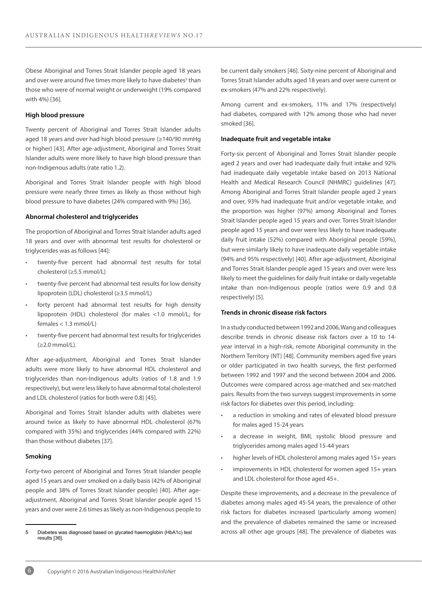Obese Aboriginal and Torres Strait Islander people aged 18 years and over were around five times more likely to have diabetes<sup>5</sup> than those who were of normal weight or underweight (19% compared with 4%) [36].

#### **High blood pressure**

Twenty percent of Aboriginal and Torres Strait Islander adults aged 18 years and over had high blood pressure (≥140/90 mmHg or higher) [43]. After age-adjustment, Aboriginal and Torres Strait Islander adults were more likely to have high blood pressure than non-Indigenous adults (rate ratio 1.2).

Aboriginal and Torres Strait Islander people with high blood pressure were nearly three times as likely as those without high blood pressure to have diabetes (24% compared with 9%) [36].

#### **Abnormal cholesterol and triglycerides**

The proportion of Aboriginal and Torres Strait Islander adults aged 18 years and over with abnormal test results for cholesterol or triglycerides was as follows [44]:

- twenty-five percent had abnormal test results for total cholesterol (≥5.5 mmol/L)
- twenty-five percent had abnormal test results for low density lipoprotein (LDL) cholesterol (≥3.5 mmol/L)
- forty percent had abnormal test results for high density lipoprotein (HDL) cholesterol (for males <1.0 mmol/L; for females < 1.3 mmol/L)
- twenty-five percent had abnormal test results for triglycerides (≥2.0 mmol/L).

After age-adjustment, Aboriginal and Torres Strait Islander adults were more likely to have abnormal HDL cholesterol and triglycerides than non-Indigenous adults (ratios of 1.8 and 1.9 respectively), but were less likely to have abnormal total cholesterol and LDL cholesterol (ratios for both were 0.8) [45].

Aboriginal and Torres Strait Islander adults with diabetes were around twice as likely to have abnormal HDL cholesterol (67% compared with 35%) and triglycerides (44% compared with 22%) than those without diabetes [37].

#### **Smoking**

Forty-two percent of Aboriginal and Torres Strait Islander people aged 15 years and over smoked on a daily basis (42% of Aboriginal people and 38% of Torres Strait Islander people) [40]. After ageadjustment, Aboriginal and Torres Strait Islander people aged 15 years and over were 2.6 times as likely as non-Indigenous people to be current daily smokers [46]. Sixty-nine percent of Aboriginal and Torres Strait Islander adults aged 18 years and over were current or ex-smokers (47% and 22% respectively).

Among current and ex-smokers, 11% and 17% (respectively) had diabetes, compared with 12% among those who had never smoked [36].

#### **Inadequate fruit and vegetable intake**

Forty-six percent of Aboriginal and Torres Strait Islander people aged 2 years and over had inadequate daily fruit intake and 92% had inadequate daily vegetable intake based on 2013 National Health and Medical Research Council (NHMRC) guidelines [47]. Among Aboriginal and Torres Strait Islander people aged 2 years and over, 93% had inadequate fruit and/or vegetable intake, and the proportion was higher (97%) among Aboriginal and Torres Strait Islander people aged 15 years and over. Torres Strait Islander people aged 15 years and over were less likely to have inadequate daily fruit intake (52%) compared with Aboriginal people (59%), but were similarly likely to have inadequate daily vegetable intake (94% and 95% respectively) [40]. After age-adjustment, Aboriginal and Torres Strait Islander people aged 15 years and over were less likely to meet the guidelines for daily fruit intake or daily vegetable intake than non-Indigenous people (ratios were 0.9 and 0.8 respectively) [5].

#### **Trends in chronic disease risk factors**

In a study conducted between 1992 and 2006, Wang and colleagues describe trends in chronic disease risk factors over a 10 to 14 year interval in a high-risk, remote Aboriginal community in the Northern Territory (NT) [48]. Community members aged five years or older participated in two health surveys, the first performed between 1992 and 1997 and the second between 2004 and 2006. Outcomes were compared across age-matched and sex-matched pairs. Results from the two surveys suggest improvements in some risk factors for diabetes over this period, including:

- a reduction in smoking and rates of elevated blood pressure for males aged 15-24 years
- a decrease in weight, BMI, systolic blood pressure and triglycerides among males aged 15-44 years
- higher levels of HDL cholesterol among males aged 15+ years
- improvements in HDL cholesterol for women aged 15+ years and LDL cholesterol for those aged 45+.

Despite these improvements, and a decrease in the prevalence of diabetes among males aged 45-54 years, the prevalence of other risk factors for diabetes increased (particularly among women) and the prevalence of diabetes remained the same or increased across all other age groups [48]. The prevalence of diabetes was



<sup>5</sup> Diabetes was diagnosed based on glycated haemoglobin (HbA1c) test results [36].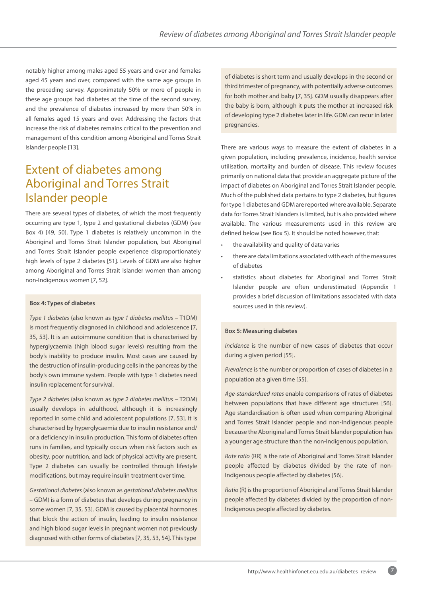notably higher among males aged 55 years and over and females aged 45 years and over, compared with the same age groups in the preceding survey. Approximately 50% or more of people in these age groups had diabetes at the time of the second survey, and the prevalence of diabetes increased by more than 50% in all females aged 15 years and over. Addressing the factors that increase the risk of diabetes remains critical to the prevention and management of this condition among Aboriginal and Torres Strait Islander people [13].

## Extent of diabetes among Aboriginal and Torres Strait Islander people

There are several types of diabetes, of which the most frequently occurring are type 1, type 2 and gestational diabetes (GDM) (see Box 4) [49, 50]. Type 1 diabetes is relatively uncommon in the Aboriginal and Torres Strait Islander population, but Aboriginal and Torres Strait Islander people experience disproportionately high levels of type 2 diabetes [51]. Levels of GDM are also higher among Aboriginal and Torres Strait Islander women than among non-Indigenous women [7, 52].

#### **Box 4: Types of diabetes**

*Type 1 diabetes* (also known as *type 1 diabetes mellitus* – T1DM) is most frequently diagnosed in childhood and adolescence [7, 35, 53]. It is an autoimmune condition that is characterised by hyperglycaemia (high blood sugar levels) resulting from the body's inability to produce insulin. Most cases are caused by the destruction of insulin-producing cells in the pancreas by the body's own immune system. People with type 1 diabetes need insulin replacement for survival.

*Type 2 diabetes* (also known as *type 2 diabetes mellitus* – T2DM) usually develops in adulthood, although it is increasingly reported in some child and adolescent populations [7, 53]. It is characterised by hyperglycaemia due to insulin resistance and/ or a deficiency in insulin production. This form of diabetes often runs in families, and typically occurs when risk factors such as obesity, poor nutrition, and lack of physical activity are present. Type 2 diabetes can usually be controlled through lifestyle modifications, but may require insulin treatment over time.

*Gestational diabetes* (also known as *gestational diabetes mellitus* – GDM) is a form of diabetes that develops during pregnancy in some women [7, 35, 53]. GDM is caused by placental hormones that block the action of insulin, leading to insulin resistance and high blood sugar levels in pregnant women not previously diagnosed with other forms of diabetes [7, 35, 53, 54]. This type

of diabetes is short term and usually develops in the second or third trimester of pregnancy, with potentially adverse outcomes for both mother and baby [7, 35]. GDM usually disappears after the baby is born, although it puts the mother at increased risk of developing type 2 diabetes later in life. GDM can recur in later pregnancies.

There are various ways to measure the extent of diabetes in a given population, including prevalence, incidence, health service utilisation, mortality and burden of disease. This review focuses primarily on national data that provide an aggregate picture of the impact of diabetes on Aboriginal and Torres Strait Islander people. Much of the published data pertains to type 2 diabetes, but figures for type 1 diabetes and GDM are reported where available. Separate data for Torres Strait Islanders is limited, but is also provided where available. The various measurements used in this review are defined below (see Box 5). It should be noted however, that:

- the availability and quality of data varies
- there are data limitations associated with each of the measures of diabetes
- statistics about diabetes for Aboriginal and Torres Strait Islander people are often underestimated (Appendix 1 provides a brief discussion of limitations associated with data sources used in this review).

#### **Box 5: Measuring diabetes**

*Incidence* is the number of new cases of diabetes that occur during a given period [55].

*Prevalence* is the number or proportion of cases of diabetes in a population at a given time [55].

*Age-standardised rates* enable comparisons of rates of diabetes between populations that have different age structures [56]. Age standardisation is often used when comparing Aboriginal and Torres Strait Islander people and non-Indigenous people because the Aboriginal and Torres Strait Islander population has a younger age structure than the non-Indigenous population.

*Rate ratio* (RR) is the rate of Aboriginal and Torres Strait Islander people affected by diabetes divided by the rate of non-Indigenous people affected by diabetes [56].

*Ratio* (R) is the proportion of Aboriginal and Torres Strait Islander people affected by diabetes divided by the proportion of non-Indigenous people affected by diabetes.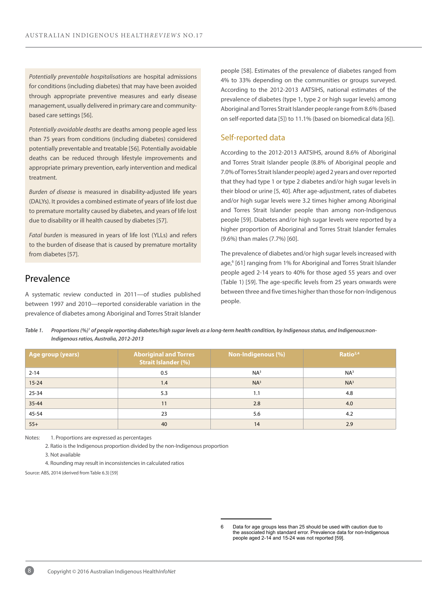*Potentially preventable hospitalisations* are hospital admissions for conditions (including diabetes) that may have been avoided through appropriate preventive measures and early disease management, usually delivered in primary care and communitybased care settings [56].

*Potentially avoidable deaths* are deaths among people aged less than 75 years from conditions (including diabetes) considered potentially preventable and treatable [56]. Potentially avoidable deaths can be reduced through lifestyle improvements and appropriate primary prevention, early intervention and medical treatment.

*Burden of disease* is measured in disability-adjusted life years (DALYs). It provides a combined estimate of years of life lost due to premature mortality caused by diabetes, and years of life lost due to disability or ill health caused by diabetes [57].

*Fatal burden* is measured in years of life lost (YLLs) and refers to the burden of disease that is caused by premature mortality from diabetes [57].

## Prevalence

A systematic review conducted in 2011—of studies published between 1997 and 2010—reported considerable variation in the prevalence of diabetes among Aboriginal and Torres Strait Islander people [58]. Estimates of the prevalence of diabetes ranged from 4% to 33% depending on the communities or groups surveyed. According to the 2012-2013 AATSIHS, national estimates of the prevalence of diabetes (type 1, type 2 or high sugar levels) among Aboriginal and Torres Strait Islander people range from 8.6% (based on self-reported data [5]) to 11.1% (based on biomedical data [6]).

#### Self-reported data

According to the 2012-2013 AATSIHS, around 8.6% of Aboriginal and Torres Strait Islander people (8.8% of Aboriginal people and 7.0% of Torres Strait Islander people) aged 2 years and over reported that they had type 1 or type 2 diabetes and/or high sugar levels in their blood or urine [5, 40]. After age-adjustment, rates of diabetes and/or high sugar levels were 3.2 times higher among Aboriginal and Torres Strait Islander people than among non-Indigenous people [59]. Diabetes and/or high sugar levels were reported by a higher proportion of Aboriginal and Torres Strait Islander females (9.6%) than males (7.7%) [60].

The prevalence of diabetes and/or high sugar levels increased with age,<sup>6</sup> [61] ranging from 1% for Aboriginal and Torres Strait Islander people aged 2-14 years to 40% for those aged 55 years and over (Table 1) [59]. The age-specific levels from 25 years onwards were between three and five times higher than those for non-Indigenous people.

| Table 1. | Proportions (%) <sup>1</sup> of people reporting diabetes/high sugar levels as a long-term health condition, by Indigenous status, and Indigenous:non- |
|----------|--------------------------------------------------------------------------------------------------------------------------------------------------------|
|          | Indigenous ratios, Australia, 2012-2013                                                                                                                |

| Age group (years) | <b>Aboriginal and Torres</b><br><b>Strait Islander (%)</b> | <b>Non-Indigenous (%)</b> | Ratio $^{2,4}$  |
|-------------------|------------------------------------------------------------|---------------------------|-----------------|
| $2 - 14$          | 0.5                                                        | NA <sup>3</sup>           | NA <sup>3</sup> |
| $15 - 24$         | 1.4                                                        | NA <sup>3</sup>           | NA <sup>3</sup> |
| 25-34             | 5.3                                                        | 1.1                       | 4.8             |
| $35 - 44$         | 11                                                         | 2.8                       | 4.0             |
| 45-54             | 23                                                         | 5.6                       | 4.2             |
| $55+$             | 40                                                         | 14                        | 2.9             |

Notes: 1. Proportions are expressed as percentages

2. Ratio is the Indigenous proportion divided by the non-Indigenous proportion

3. Not available

4. Rounding may result in inconsistencies in calculated ratios

Source: ABS, 2014 (derived from Table 6.3) [59]



<sup>6</sup> Data for age groups less than 25 should be used with caution due to the associated high standard error. Prevalence data for non-Indigenous people aged 2-14 and 15-24 was not reported [59].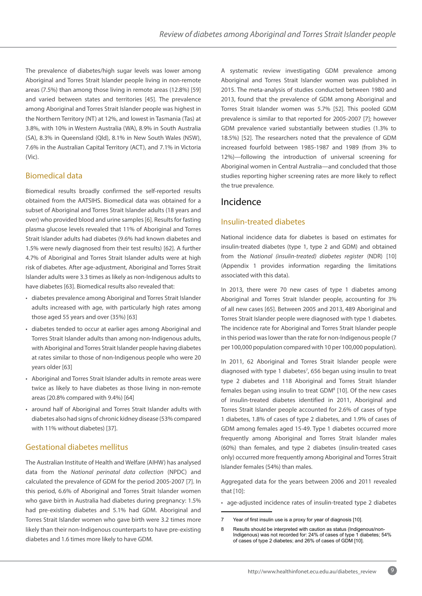The prevalence of diabetes/high sugar levels was lower among Aboriginal and Torres Strait Islander people living in non-remote areas (7.5%) than among those living in remote areas (12.8%) [59] and varied between states and territories [45]. The prevalence among Aboriginal and Torres Strait Islander people was highest in the Northern Territory (NT) at 12%, and lowest in Tasmania (Tas) at 3.8%, with 10% in Western Australia (WA), 8.9% in South Australia (SA), 8.3% in Queensland (Qld), 8.1% in New South Wales (NSW), 7.6% in the Australian Capital Territory (ACT), and 7.1% in Victoria (Vic).

### Biomedical data

Biomedical results broadly confirmed the self-reported results obtained from the AATSIHS. Biomedical data was obtained for a subset of Aboriginal and Torres Strait Islander adults (18 years and over) who provided blood and urine samples [6]. Results for fasting plasma glucose levels revealed that 11% of Aboriginal and Torres Strait Islander adults had diabetes (9.6% had known diabetes and 1.5% were newly diagnosed from their test results) [62]. A further 4.7% of Aboriginal and Torres Strait Islander adults were at high risk of diabetes. After age-adjustment, Aboriginal and Torres Strait Islander adults were 3.3 times as likely as non-Indigenous adults to have diabetes [63]. Biomedical results also revealed that:

- diabetes prevalence among Aboriginal and Torres Strait Islander adults increased with age, with particularly high rates among those aged 55 years and over (35%) [63]
- diabetes tended to occur at earlier ages among Aboriginal and Torres Strait Islander adults than among non-Indigenous adults, with Aboriginal and Torres Strait Islander people having diabetes at rates similar to those of non-Indigenous people who were 20 years older [63]
- Aboriginal and Torres Strait Islander adults in remote areas were twice as likely to have diabetes as those living in non-remote areas (20.8% compared with 9.4%) [64]
- around half of Aboriginal and Torres Strait Islander adults with diabetes also had signs of chronic kidney disease (53% compared with 11% without diabetes) [37].

## Gestational diabetes mellitus

The Australian Institute of Health and Welfare (AIHW) has analysed data from the *National perinatal data collection* (NPDC) and calculated the prevalence of GDM for the period 2005-2007 [7]. In this period, 6.6% of Aboriginal and Torres Strait Islander women who gave birth in Australia had diabetes during pregnancy: 1.5% had pre-existing diabetes and 5.1% had GDM. Aboriginal and Torres Strait Islander women who gave birth were 3.2 times more likely than their non-Indigenous counterparts to have pre-existing diabetes and 1.6 times more likely to have GDM.

A systematic review investigating GDM prevalence among Aboriginal and Torres Strait Islander women was published in 2015. The meta-analysis of studies conducted between 1980 and 2013, found that the prevalence of GDM among Aboriginal and Torres Strait Islander women was 5.7% [52]. This pooled GDM prevalence is similar to that reported for 2005-2007 [7]; however GDM prevalence varied substantially between studies (1.3% to 18.5%) [52]. The researchers noted that the prevalence of GDM increased fourfold between 1985-1987 and 1989 (from 3% to 12%)—following the introduction of universal screening for Aboriginal women in Central Australia—and concluded that those studies reporting higher screening rates are more likely to reflect the true prevalence.

## Incidence

### Insulin-treated diabetes

National incidence data for diabetes is based on estimates for insulin-treated diabetes (type 1, type 2 and GDM) and obtained from the *National (insulin-treated) diabetes register* (NDR) [10] (Appendix 1 provides information regarding the limitations associated with this data).

In 2013, there were 70 new cases of type 1 diabetes among Aboriginal and Torres Strait Islander people, accounting for 3% of all new cases [65]. Between 2005 and 2013, 489 Aboriginal and Torres Strait Islander people were diagnosed with type 1 diabetes. The incidence rate for Aboriginal and Torres Strait Islander people in this period was lower than the rate for non-Indigenous people (7 per 100,000 population compared with 10 per 100,000 population).

In 2011, 62 Aboriginal and Torres Strait Islander people were diagnosed with type 1 diabetes<sup>7</sup>, 656 began using insulin to treat type 2 diabetes and 118 Aboriginal and Torres Strait Islander females began using insulin to treat GDM<sup>8</sup> [10]. Of the new cases of insulin-treated diabetes identified in 2011, Aboriginal and Torres Strait Islander people accounted for 2.6% of cases of type 1 diabetes, 1.8% of cases of type 2 diabetes, and 1.9% of cases of GDM among females aged 15-49. Type 1 diabetes occurred more frequently among Aboriginal and Torres Strait Islander males (60%) than females, and type 2 diabetes (insulin-treated cases only) occurred more frequently among Aboriginal and Torres Strait Islander females (54%) than males.

Aggregated data for the years between 2006 and 2011 revealed that [10]:

• age-adjusted incidence rates of insulin-treated type 2 diabetes

<sup>7</sup> Year of first insulin use is a proxy for year of diagnosis [10].

<sup>8</sup> Results should be interpreted with caution as status (Indigenous/non-Indigenous) was not recorded for: 24% of cases of type 1 diabetes; 54% of cases of type 2 diabetes; and 26% of cases of GDM [10].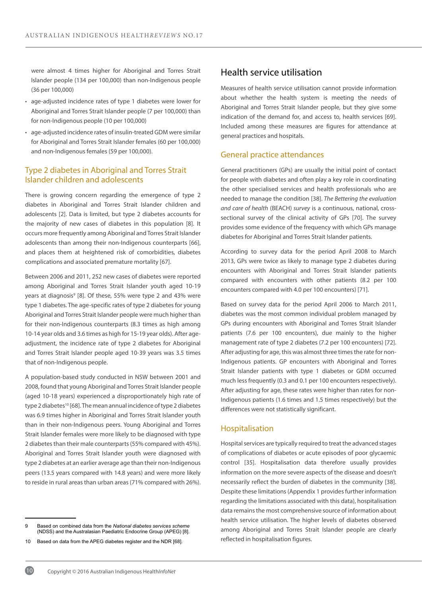were almost 4 times higher for Aboriginal and Torres Strait Islander people (134 per 100,000) than non-Indigenous people (36 per 100,000)

- age-adjusted incidence rates of type 1 diabetes were lower for Aboriginal and Torres Strait Islander people (7 per 100,000) than for non-Indigenous people (10 per 100,000)
- age-adjusted incidence rates of insulin-treated GDM were similar for Aboriginal and Torres Strait Islander females (60 per 100,000) and non-Indigenous females (59 per 100,000).

### Type 2 diabetes in Aboriginal and Torres Strait Islander children and adolescents

There is growing concern regarding the emergence of type 2 diabetes in Aboriginal and Torres Strait Islander children and adolescents [2]. Data is limited, but type 2 diabetes accounts for the majority of new cases of diabetes in this population [8]. It occurs more frequently among Aboriginal and Torres Strait Islander adolescents than among their non-Indigenous counterparts [66], and places them at heightened risk of comorbidities, diabetes complications and associated premature mortality [67].

Between 2006 and 2011, 252 new cases of diabetes were reported among Aboriginal and Torres Strait Islander youth aged 10-19 years at diagnosis<sup>9</sup> [8]. Of these, 55% were type 2 and 43% were type 1 diabetes. The age-specific rates of type 2 diabetes for young Aboriginal and Torres Strait Islander people were much higher than for their non-Indigenous counterparts (8.3 times as high among 10-14 year olds and 3.6 times as high for 15-19 year olds). After ageadjustment, the incidence rate of type 2 diabetes for Aboriginal and Torres Strait Islander people aged 10-39 years was 3.5 times that of non-Indigenous people.

A population-based study conducted in NSW between 2001 and 2008, found that young Aboriginal and Torres Strait Islander people (aged 10-18 years) experienced a disproportionately high rate of type 2 diabetes<sup>10</sup> [68]. The mean annual incidence of type 2 diabetes was 6.9 times higher in Aboriginal and Torres Strait Islander youth than in their non-Indigenous peers. Young Aboriginal and Torres Strait Islander females were more likely to be diagnosed with type 2 diabetes than their male counterparts (55% compared with 45%). Aboriginal and Torres Strait Islander youth were diagnosed with type 2 diabetes at an earlier average age than their non-Indigenous peers (13.5 years compared with 14.8 years) and were more likely to reside in rural areas than urban areas (71% compared with 26%).

## Health service utilisation

Measures of health service utilisation cannot provide information about whether the health system is meeting the needs of Aboriginal and Torres Strait Islander people, but they give some indication of the demand for, and access to, health services [69]. Included among these measures are figures for attendance at general practices and hospitals.

#### General practice attendances

General practitioners (GPs) are usually the initial point of contact for people with diabetes and often play a key role in coordinating the other specialised services and health professionals who are needed to manage the condition [38]. *The Bettering the evaluation and care of health* (BEACH) *survey* is a continuous, national, crosssectional survey of the clinical activity of GPs [70]. The survey provides some evidence of the frequency with which GPs manage diabetes for Aboriginal and Torres Strait Islander patients.

According to survey data for the period April 2008 to March 2013, GPs were twice as likely to manage type 2 diabetes during encounters with Aboriginal and Torres Strait Islander patients compared with encounters with other patients (8.2 per 100 encounters compared with 4.0 per 100 encounters) [71].

Based on survey data for the period April 2006 to March 2011, diabetes was the most common individual problem managed by GPs during encounters with Aboriginal and Torres Strait Islander patients (7.6 per 100 encounters), due mainly to the higher management rate of type 2 diabetes (7.2 per 100 encounters) [72]. After adjusting for age, this was almost three times the rate for non-Indigenous patients. GP encounters with Aboriginal and Torres Strait Islander patients with type 1 diabetes or GDM occurred much less frequently (0.3 and 0.1 per 100 encounters respectively). After adjusting for age, these rates were higher than rates for non-Indigenous patients (1.6 times and 1.5 times respectively) but the differences were not statistically significant.

#### Hospitalisation

Hospital services are typically required to treat the advanced stages of complications of diabetes or acute episodes of poor glycaemic control [35]. Hospitalisation data therefore usually provides information on the more severe aspects of the disease and doesn't necessarily reflect the burden of diabetes in the community [38]. Despite these limitations (Appendix 1 provides further information regarding the limitations associated with this data), hospitalisation data remains the most comprehensive source of information about health service utilisation. The higher levels of diabetes observed among Aboriginal and Torres Strait Islander people are clearly reflected in hospitalisation figures.



<sup>9</sup> Based on combined data from the *National diabetes services scheme* (NDSS) and the Australasian Paediatric Endocrine Group (APEG) [8].

<sup>10</sup> Based on data from the APEG diabetes register and the NDR [68].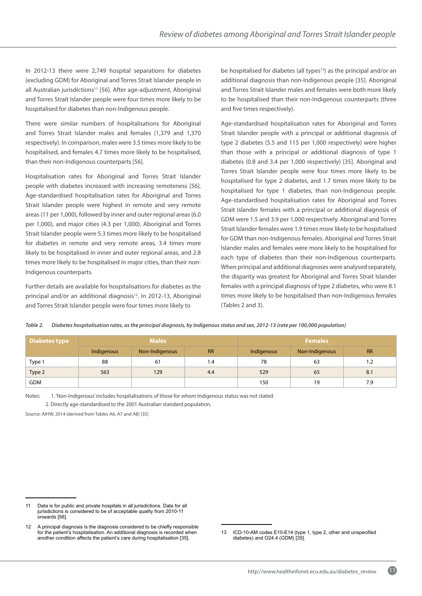In 2012-13 there were 2,749 hospital separations for diabetes (excluding GDM) for Aboriginal and Torres Strait Islander people in all Australian jurisdictions<sup>11</sup> [56]. After age-adjustment, Aboriginal and Torres Strait Islander people were four times more likely to be hospitalised for diabetes than non-Indigenous people.

There were similar numbers of hospitalisations for Aboriginal and Torres Strait Islander males and females (1,379 and 1,370 respectively). In comparison, males were 3.5 times more likely to be hospitalised, and females 4.7 times more likely to be hospitalised, than their non-Indigenous counterparts [56].

Hospitalisation rates for Aboriginal and Torres Strait Islander people with diabetes increased with increasing remoteness [56]. Age-standardised hospitalisation rates for Aboriginal and Torres Strait Islander people were highest in remote and very remote areas (11 per 1,000), followed by inner and outer regional areas (6.0 per 1,000), and major cities (4.3 per 1,000). Aboriginal and Torres Strait Islander people were 5.3 times more likely to be hospitalised for diabetes in remote and very remote areas, 3.4 times more likely to be hospitalised in inner and outer regional areas, and 2.8 times more likely to be hospitalised in major cities, than their non-Indigenous counterparts.

Further details are available for hospitalisations for diabetes as the principal and/or an additional diagnosis<sup>12</sup>. In 2012-13, Aboriginal and Torres Strait Islander people were four times more likely to

be hospitalised for diabetes (all types<sup>13</sup>) as the principal and/or an additional diagnosis than non-Indigenous people [35]. Aboriginal and Torres Strait Islander males and females were both more likely to be hospitalised than their non-Indigenous counterparts (three and five times respectively).

Age-standardised hospitalisation rates for Aboriginal and Torres Strait Islander people with a principal or additional diagnosis of type 2 diabetes (5.5 and 115 per 1,000 respectively) were higher than those with a principal or additional diagnosis of type 1 diabetes (0.8 and 3.4 per 1,000 respectively) [35]. Aboriginal and Torres Strait Islander people were four times more likely to be hospitalised for type 2 diabetes, and 1.7 times more likely to be hospitalised for type 1 diabetes, than non-Indigenous people. Age-standardised hospitalisation rates for Aboriginal and Torres Strait Islander females with a principal or additional diagnosis of GDM were 1.5 and 3.9 per 1,000 respectively. Aboriginal and Torres Strait Islander females were 1.9 times more likely to be hospitalised for GDM than non-Indigenous females. Aboriginal and Torres Strait Islander males and females were more likely to be hospitalised for each type of diabetes than their non-Indigenous counterparts. When principal and additional diagnoses were analysed separately, the disparity was greatest for Aboriginal and Torres Strait Islander females with a principal diagnosis of type 2 diabetes, who were 8.1 times more likely to be hospitalised than non-Indigenous females (Tables 2 and 3).

| Table 2. | Diabetes hospitalisation rates, as the principal diagnosis, by Indigenous status and sex, 2012-13 (rate per 100,000 population) |
|----------|---------------------------------------------------------------------------------------------------------------------------------|
|          |                                                                                                                                 |

| Diabetes type |            | <b>Males</b>   |           |            | / Females      |           |
|---------------|------------|----------------|-----------|------------|----------------|-----------|
|               | Indigenous | Non-Indigenous | <b>RR</b> | Indigenous | Non-Indigenous | <b>RR</b> |
| Type 1        | 88         | 61             | 1.4       | 78         | 63             | 1.2       |
| Type 2        | 563        | 129            | 4.4       | 529        | 65             | 8.1       |
| <b>GDM</b>    |            |                |           | 150        | 19             | 7.9       |

Notes: 1. 'Non-Indigenous' includes hospitalisations of those for whom Indigenous status was not stated. 2. Directly age-standardised to the 2001 Australian standard population.

Source: AIHW, 2014 (derived from Tables A6, A7 and A8) [35]

<sup>11</sup> Data is for public and private hospitals in all jurisdictions. Data for all jurisdictions is considered to be of acceptable quality from 2010-11 onwards [56].

<sup>12</sup> A principal diagnosis is the diagnosis considered to be chiefly responsible for the patient's hospitalisation. An additional diagnosis is recorded when another condition affects the patient's care during hospitalisation [35].

<sup>13</sup> ICD-10-AM codes E10-E14 (type 1, type 2, other and unspecified diabetes) and O24.4 (GDM) [35].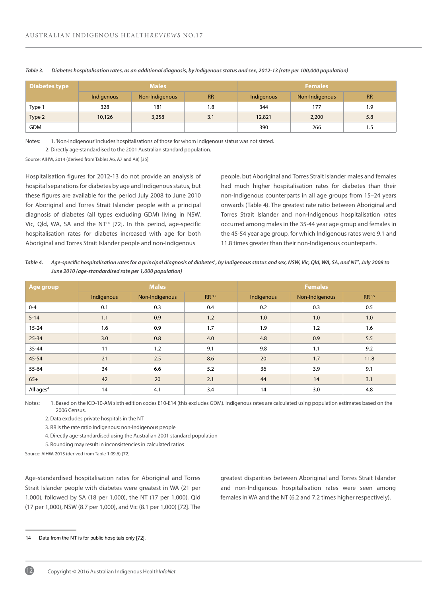| Diabetes type |            | <b>Males</b>   |           | <b>Females</b> |                |           |
|---------------|------------|----------------|-----------|----------------|----------------|-----------|
|               | Indigenous | Non-Indigenous | <b>RR</b> | Indigenous     | Non-Indigenous | <b>RR</b> |
| Type 1        | 328        | 181            | 1.8       | 344            | 177            | 1.9       |
| Type 2        | 10,126     | 3,258          | 3.1       | 12,821         | 2,200          | 5.8       |
| <b>GDM</b>    |            |                |           | 390            | 266            | 1.5       |

*Table 3. Diabetes hospitalisation rates, as an additional diagnosis, by Indigenous status and sex, 2012-13 (rate per 100,000 population)*

Notes: 1. 'Non-Indigenous' includes hospitalisations of those for whom Indigenous status was not stated.

2. Directly age-standardised to the 2001 Australian standard population.

Source: AIHW, 2014 (derived from Tables A6, A7 and A8) [35]

Hospitalisation figures for 2012-13 do not provide an analysis of hospital separations for diabetes by age and Indigenous status, but these figures are available for the period July 2008 to June 2010 for Aboriginal and Torres Strait Islander people with a principal diagnosis of diabetes (all types excluding GDM) living in NSW, Vic, Qld, WA, SA and the NT<sup>14</sup> [72]. In this period, age-specific hospitalisation rates for diabetes increased with age for both Aboriginal and Torres Strait Islander people and non-Indigenous

people, but Aboriginal and Torres Strait Islander males and females had much higher hospitalisation rates for diabetes than their non-Indigenous counterparts in all age groups from 15–24 years onwards (Table 4). The greatest rate ratio between Aboriginal and Torres Strait Islander and non-Indigenous hospitalisation rates occurred among males in the 35-44 year age group and females in the 45-54 year age group, for which Indigenous rates were 9.1 and 11.8 times greater than their non-Indigenous counterparts.

Table 4. Age-specific hospitalisation rates for a principal diagnosis of diabetes<sup>1</sup>, by Indigenous status and sex, NSW, Vic, Qld, WA, SA, and NT<sup>2</sup>, July 2008 to *June 2010 (age-standardised rate per 1,000 population)*

| Age group    |            | <b>Males</b>   |        | <b>Females</b> |                |        |
|--------------|------------|----------------|--------|----------------|----------------|--------|
|              | Indigenous | Non-Indigenous | RR 3,5 | Indigenous     | Non-Indigenous | RR 3,5 |
| $0 - 4$      | 0.1        | 0.3            | 0.4    | 0.2            | 0.3            | 0.5    |
| $5 - 14$     | 1.1        | 0.9            | 1.2    | 1.0            | 1.0            | 1.0    |
| $15 - 24$    | 1.6        | 0.9            | 1.7    | 1.9            | 1.2            | 1.6    |
| $25 - 34$    | 3.0        | 0.8            | 4.0    | 4.8            | 0.9            | 5.5    |
| $35 - 44$    | 11         | 1.2            | 9.1    | 9.8            | 1.1            | 9.2    |
| $45 - 54$    | 21         | 2.5            | 8.6    | 20             | 1.7            | 11.8   |
| 55-64        | 34         | 6.6            | 5.2    | 36             | 3.9            | 9.1    |
| $65+$        | 42         | 20             | 2.1    | 44             | 14             | 3.1    |
| All ages $4$ | 14         | 4.1            | 3.4    | 14             | 3.0            | 4.8    |

Notes: 1. Based on the ICD-10-AM sixth edition codes E10-E14 (this excludes GDM). Indigenous rates are calculated using population estimates based on the 2006 Census.

2. Data excludes private hospitals in the NT

3. RR is the rate ratio Indigenous: non-Indigenous people

4. Directly age-standardised using the Australian 2001 standard population

5. Rounding may result in inconsistencies in calculated ratios

Source: AIHW, 2013 (derived from Table 1.09.6) [72]

Age-standardised hospitalisation rates for Aboriginal and Torres Strait Islander people with diabetes were greatest in WA (21 per 1,000), followed by SA (18 per 1,000), the NT (17 per 1,000), Qld (17 per 1,000), NSW (8.7 per 1,000), and Vic (8.1 per 1,000) [72]. The

greatest disparities between Aboriginal and Torres Strait Islander and non-Indigenous hospitalisation rates were seen among females in WA and the NT (6.2 and 7.2 times higher respectively).



<sup>14</sup> Data from the NT is for public hospitals only [72].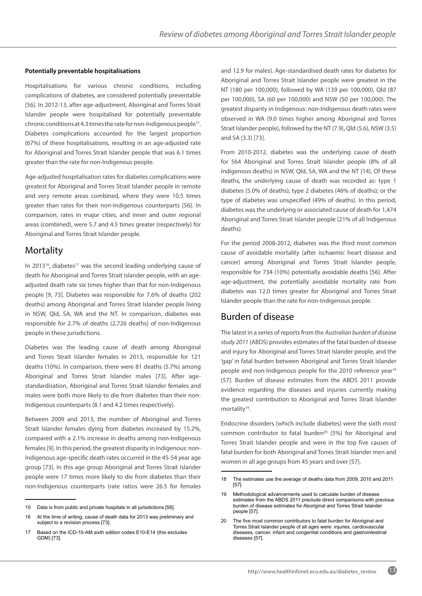#### **Potentially preventable hospitalisations**

Hospitalisations for various chronic conditions, including complications of diabetes, are considered potentially preventable [56]. In 2012-13, after age-adjustment, Aboriginal and Torres Strait Islander people were hospitalised for potentially preventable chronic conditions at 4.3 times the rate for non-Indigenous people<sup>15</sup>. Diabetes complications accounted for the largest proportion (67%) of these hospitalisations, resulting in an age-adjusted rate for Aboriginal and Torres Strait Islander people that was 6.1 times greater than the rate for non-Indigenous people.

Age-adjusted hospitalisation rates for diabetes complications were greatest for Aboriginal and Torres Strait Islander people in remote and very remote areas combined, where they were 10.5 times greater than rates for their non-Indigenous counterparts [56]. In comparison, rates in major cities, and inner and outer regional areas (combined), were 5.7 and 4.5 times greater (respectively) for Aboriginal and Torres Strait Islander people.

## Mortality

In 2013<sup>16</sup>, diabetes<sup>17</sup> was the second leading underlying cause of death for Aboriginal and Torres Strait Islander people, with an ageadjusted death rate six times higher than that for non-Indigenous people [9, 73]. Diabetes was responsible for 7.6% of deaths (202 deaths) among Aboriginal and Torres Strait Islander people living in NSW, Qld, SA, WA and the NT. In comparison, diabetes was responsible for 2.7% of deaths (2,726 deaths) of non-Indigenous people in these jurisdictions.

Diabetes was the leading cause of death among Aboriginal and Torres Strait Islander females in 2013, responsible for 121 deaths (10%). In comparison, there were 81 deaths (5.7%) among Aboriginal and Torres Strait Islander males [73]. After agestandardisation, Aboriginal and Torres Strait Islander females and males were both more likely to die from diabetes than their non-Indigenous counterparts (8.1 and 4.2 times respectively).

Between 2009 and 2013, the number of Aboriginal and Torres Strait Islander females dying from diabetes increased by 15.2%, compared with a 2.1% increase in deaths among non-Indigenous females [9]. In this period, the greatest disparity in Indigenous: non-Indigenous age-specific death rates occurred in the 45-54 year age group [73]. In this age group Aboriginal and Torres Strait Islander people were 17 times more likely to die from diabetes than their non-Indigenous counterparts (rate ratios were 26.5 for females and 12.9 for males). Age-standardised death rates for diabetes for Aboriginal and Torres Strait Islander people were greatest in the NT (180 per 100,000), followed by WA (139 per 100,000), Qld (87 per 100,000), SA (60 per 100,000) and NSW (50 per 100,000). The greatest disparity in Indigenous: non-Indigenous death rates were observed in WA (9.0 times higher among Aboriginal and Torres Strait Islander people), followed by the NT (7.9), Qld (5.6), NSW (3.5) and SA (3.3) [73].

From 2010-2012, diabetes was the underlying cause of death for 564 Aboriginal and Torres Strait Islander people (8% of all Indigenous deaths) in NSW, Qld, SA, WA and the NT [14]. Of these deaths, the underlying cause of death was recorded as: type 1 diabetes (5.0% of deaths); type 2 diabetes (46% of deaths); or the type of diabetes was unspecified (49% of deaths). In this period, diabetes was the underlying or associated cause of death for 1,474 Aboriginal and Torres Strait Islander people (21% of all Indigenous deaths).

For the period 2008-2012, diabetes was the third most common cause of avoidable mortality (after ischaemic heart disease and cancer) among Aboriginal and Torres Strait Islander people, responsible for 734 (10%) potentially avoidable deaths [56]. After age-adjustment, the potentially avoidable mortality rate from diabetes was 12.0 times greater for Aboriginal and Torres Strait Islander people than the rate for non-Indigenous people.

## Burden of disease

The latest in a series of reports from the *Australian burden of disease study 2011* (ABDS) provides estimates of the fatal burden of disease and injury for Aboriginal and Torres Strait Islander people, and the 'gap' in fatal burden between Aboriginal and Torres Strait Islander people and non-Indigenous people for the 2010 reference year<sup>18</sup> [57]. Burden of disease estimates from the ABDS 2011 provide evidence regarding the diseases and injuries currently making the greatest contribution to Aboriginal and Torres Strait Islander mortality<sup>19</sup>.

Endocrine disorders (which include diabetes) were the sixth most common contributor to fatal burden<sup>20</sup> (5%) for Aboriginal and Torres Strait Islander people and were in the top five causes of fatal burden for both Aboriginal and Torres Strait Islander men and women in all age groups from 45 years and over [57].

<sup>15</sup> Data is from public and private hospitals in all jurisdictions [56].

<sup>16</sup> At the time of writing, cause of death data for 2013 was preliminary and subject to a revision process [73].

<sup>17</sup> Based on the ICD-10-AM sixth edition codes E10-E14 (this excludes GDM) [73].

<sup>18</sup> The estimates use the average of deaths data from 2009, 2010 and 2011 [57].

<sup>19</sup> Methodological advancements used to calculate burden of disease estimates from the ABDS 2011 preclude direct comparisons with previous burden of disease estimates for Aboriginal and Torres Strait Islander people [57].

<sup>20</sup> The five most common contributors to fatal burden for Aboriginal and Torres Strait Islander people of all ages were: injuries, cardiovascular diseases, cancer, infant and congenital conditions and gastrointestinal diseases [57].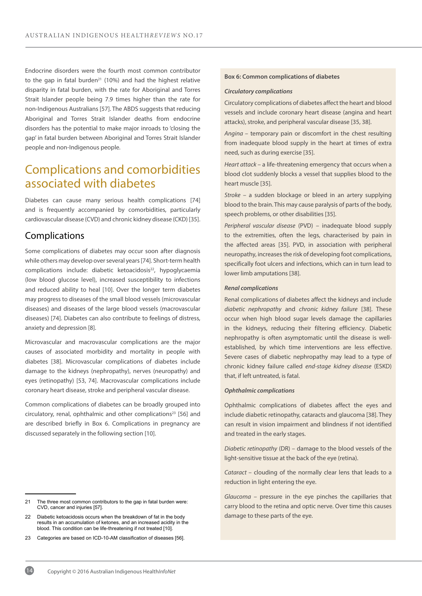Endocrine disorders were the fourth most common contributor to the gap in fatal burden<sup>21</sup> (10%) and had the highest relative disparity in fatal burden, with the rate for Aboriginal and Torres Strait Islander people being 7.9 times higher than the rate for non-Indigenous Australians [57]. The ABDS suggests that reducing Aboriginal and Torres Strait Islander deaths from endocrine disorders has the potential to make major inroads to 'closing the gap' in fatal burden between Aboriginal and Torres Strait Islander people and non-Indigenous people.

## Complications and comorbidities associated with diabetes

Diabetes can cause many serious health complications [74] and is frequently accompanied by comorbidities, particularly cardiovascular disease (CVD) and chronic kidney disease (CKD) [35].

## Complications

Some complications of diabetes may occur soon after diagnosis while others may develop over several years [74]. Short-term health complications include: diabetic ketoacidosis<sup>22</sup>, hypoglycaemia (low blood glucose level), increased susceptibility to infections and reduced ability to heal [10]. Over the longer term diabetes may progress to diseases of the small blood vessels (microvascular diseases) and diseases of the large blood vessels (macrovascular diseases) [74]. Diabetes can also contribute to feelings of distress, anxiety and depression [8].

Microvascular and macrovascular complications are the major causes of associated morbidity and mortality in people with diabetes [38]. Microvascular complications of diabetes include damage to the kidneys (nephropathy), nerves (neuropathy) and eyes (retinopathy) [53, 74]. Macrovascular complications include coronary heart disease, stroke and peripheral vascular disease.

Common complications of diabetes can be broadly grouped into circulatory, renal, ophthalmic and other complications<sup>23</sup> [56] and are described briefly in Box 6. Complications in pregnancy are discussed separately in the following section [10].

#### **Box 6: Common complications of diabetes**

#### *Circulatory complications*

Circulatory complications of diabetes affect the heart and blood vessels and include coronary heart disease (angina and heart attacks), stroke, and peripheral vascular disease [35, 38].

*Angina –* temporary pain or discomfort in the chest resulting from inadequate blood supply in the heart at times of extra need, such as during exercise [35].

*Heart attack* – a life-threatening emergency that occurs when a blood clot suddenly blocks a vessel that supplies blood to the heart muscle [35].

*Stroke* – a sudden blockage or bleed in an artery supplying blood to the brain. This may cause paralysis of parts of the body, speech problems, or other disabilities [35].

*Peripheral vascular disease* (PVD) – inadequate blood supply to the extremities, often the legs, characterised by pain in the affected areas [35]. PVD, in association with peripheral neuropathy, increases the risk of developing foot complications, specifically foot ulcers and infections, which can in turn lead to lower limb amputations [38].

#### *Renal complications*

Renal complications of diabetes affect the kidneys and include *diabetic nephropathy* and *chronic kidney failure* [38]. These occur when high blood sugar levels damage the capillaries in the kidneys, reducing their filtering efficiency. Diabetic nephropathy is often asymptomatic until the disease is wellestablished, by which time interventions are less effective. Severe cases of diabetic nephropathy may lead to a type of chronic kidney failure called *end-stage kidney disease* (ESKD) that, if left untreated, is fatal.

#### *Ophthalmic complications*

Ophthalmic complications of diabetes affect the eyes and include diabetic retinopathy, cataracts and glaucoma [38]. They can result in vision impairment and blindness if not identified and treated in the early stages.

*Diabetic retinopathy* (DR) – damage to the blood vessels of the light-sensitive tissue at the back of the eye (retina).

*Cataract* – clouding of the normally clear lens that leads to a reduction in light entering the eye.

*Glaucoma* – pressure in the eye pinches the capillaries that carry blood to the retina and optic nerve. Over time this causes damage to these parts of the eye.

<sup>21</sup> The three most common contributors to the gap in fatal burden were: CVD, cancer and injuries [57].

<sup>22</sup> Diabetic ketoacidosis occurs when the breakdown of fat in the body results in an accumulation of ketones, and an increased acidity in the blood. This condition can be life-threatening if not treated [10].

<sup>23</sup> Categories are based on ICD-10-AM classification of diseases [56].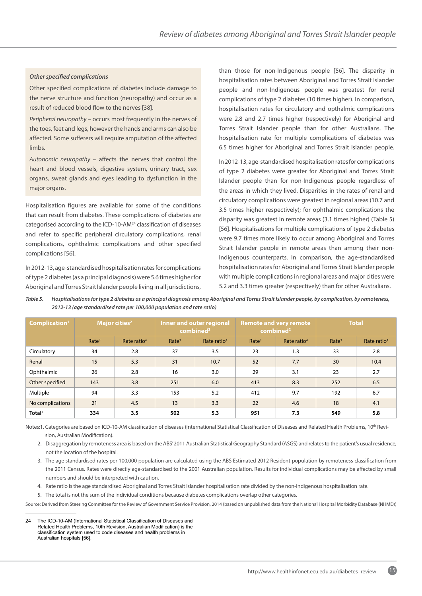#### *Other specified complications*

Other specified complications of diabetes include damage to the nerve structure and function (neuropathy) and occur as a result of reduced blood flow to the nerves [38].

*Peripheral neuropathy* – occurs most frequently in the nerves of the toes, feet and legs, however the hands and arms can also be affected. Some sufferers will require amputation of the affected limbs.

*Autonomic neuropathy* – affects the nerves that control the heart and blood vessels, digestive system, urinary tract, sex organs, sweat glands and eyes leading to dysfunction in the major organs.

Hospitalisation figures are available for some of the conditions that can result from diabetes. These complications of diabetes are categorised according to the ICD-10-AM24 classification of diseases and refer to specific peripheral circulatory complications, renal complications, ophthalmic complications and other specified complications [56].

In 2012-13, age-standardised hospitalisation rates for complications of type 2 diabetes (as a principal diagnosis) were 5.6 times higher for Aboriginal and Torres Strait Islander people living in all jurisdictions, than those for non-Indigenous people [56]. The disparity in hospitalisation rates between Aboriginal and Torres Strait Islander people and non-Indigenous people was greatest for renal complications of type 2 diabetes (10 times higher). In comparison, hospitalisation rates for circulatory and opthalmic complications were 2.8 and 2.7 times higher (respectively) for Aboriginal and Torres Strait Islander people than for other Australians. The hospitalisation rate for multiple complications of diabetes was 6.5 times higher for Aboriginal and Torres Strait Islander people.

In 2012-13, age-standardised hospitalisation rates for complications of type 2 diabetes were greater for Aboriginal and Torres Strait Islander people than for non-Indigenous people regardless of the areas in which they lived. Disparities in the rates of renal and circulatory complications were greatest in regional areas (10.7 and 3.5 times higher respectively); for ophthalmic complications the disparity was greatest in remote areas (3.1 times higher) (Table 5) [56]. Hospitalisations for multiple complications of type 2 diabetes were 9.7 times more likely to occur among Aboriginal and Torres Strait Islander people in remote areas than among their non-Indigenous counterparts. In comparison, the age-standardised hospitalisation rates for Aboriginal and Torres Strait Islander people with multiple complications in regional areas and major cities were 5.2 and 3.3 times greater (respectively) than for other Australians.

| Table 5. | Hospitalisations for type 2 diabetes as a principal diagnosis among Aboriginal and Torres Strait Islander people, by complication, by remoteness, |
|----------|---------------------------------------------------------------------------------------------------------------------------------------------------|
|          | 2012-13 (age standardised rate per 100,000 population and rate ratio)                                                                             |

| Complication <sup>1</sup> |                   | Major cities <sup>2</sup> | Inner and outer regional<br>combined <sup>2</sup> |                         |                   | <b>Remote and very remote</b><br>combined <sup>2</sup> | <b>Total</b>      |                         |
|---------------------------|-------------------|---------------------------|---------------------------------------------------|-------------------------|-------------------|--------------------------------------------------------|-------------------|-------------------------|
|                           | Rate <sup>3</sup> | Rate ratio <sup>4</sup>   | Rate <sup>3</sup>                                 | Rate ratio <sup>4</sup> | Rate <sup>3</sup> | Rate ratio <sup>4</sup>                                | Rate <sup>3</sup> | Rate ratio <sup>4</sup> |
| Circulatory               | 34                | 2.8                       | 37                                                | 3.5                     | 23                | 1.3                                                    | 33                | 2.8                     |
| Renal                     | 15                | 5.3                       | 31                                                | 10.7                    | 52                | 7.7                                                    | 30                | 10.4                    |
| Ophthalmic                | 26                | 2.8                       | 16                                                | 3.0                     | 29                | 3.1                                                    | 23                | 2.7                     |
| Other specified           | 143               | 3.8                       | 251                                               | 6.0                     | 413               | 8.3                                                    | 252               | 6.5                     |
| Multiple                  | 94                | 3.3                       | 153                                               | 5.2                     | 412               | 9.7                                                    | 192               | 6.7                     |
| No complications          | 21                | 4.5                       | 13                                                | 3.3                     | 22                | 4.6                                                    | 18                | 4.1                     |
| Total <sup>5</sup>        | 334               | 3.5                       | 502                                               | 5.3                     | 951               | 7.3                                                    | 549               | 5.8                     |

Notes:1. Categories are based on ICD-10-AM classification of diseases (International Statistical Classification of Diseases and Related Health Problems, 10<sup>th</sup> Revision, Australian Modification).

- 2. Disaggregation by remoteness area is based on the ABS' 2011 Australian Statistical Geography Standard (ASGS) and relates to the patient's usual residence, not the location of the hospital.
- 3. The age standardised rates per 100,000 population are calculated using the ABS Estimated 2012 Resident population by remoteness classification from the 2011 Census. Rates were directly age-standardised to the 2001 Australian population. Results for individual complications may be affected by small numbers and should be interpreted with caution.
- 4. Rate ratio is the age standardised Aboriginal and Torres Strait Islander hospitalisation rate divided by the non-Indigenous hospitalisation rate.
- 5. The total is not the sum of the individual conditions because diabetes complications overlap other categories.

Source: Derived from Steering Committee for the Review of Government Service Provision, 2014 (based on unpublished data from the National Hospital Morbidity Database (NHMD))

<sup>24</sup> The ICD-10-AM (International Statistical Classification of Diseases and Related Health Problems, 10th Revision, Australian Modification) is the classification system used to code diseases and health problems in Australian hospitals [56].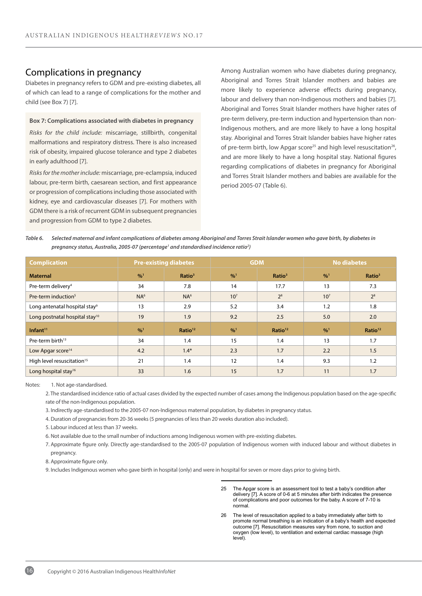## Complications in pregnancy

Diabetes in pregnancy refers to GDM and pre-existing diabetes, all of which can lead to a range of complications for the mother and child (see Box 7) [7].

#### **Box 7: Complications associated with diabetes in pregnancy**

*Risks for the child include:* miscarriage, stillbirth, congenital malformations and respiratory distress. There is also increased risk of obesity, impaired glucose tolerance and type 2 diabetes in early adulthood [7].

*Risks for the mother include:* miscarriage, pre-eclampsia, induced labour, pre-term birth, caesarean section, and first appearance or progression of complications including those associated with kidney, eye and cardiovascular diseases [7]. For mothers with GDM there is a risk of recurrent GDM in subsequent pregnancies and progression from GDM to type 2 diabetes.

Among Australian women who have diabetes during pregnancy, Aboriginal and Torres Strait Islander mothers and babies are more likely to experience adverse effects during pregnancy, labour and delivery than non-Indigenous mothers and babies [7]. Aboriginal and Torres Strait Islander mothers have higher rates of pre-term delivery, pre-term induction and hypertension than non-Indigenous mothers, and are more likely to have a long hospital stay. Aboriginal and Torres Strait Islander babies have higher rates of pre-term birth, low Apgar score<sup>25</sup> and high level resuscitation<sup>26</sup>, and are more likely to have a long hospital stay. National figures regarding complications of diabetes in pregnancy for Aboriginal and Torres Strait Islander mothers and babies are available for the period 2005-07 (Table 6).

*Table 6. Selected maternal and infant complications of diabetes among Aboriginal and Torres Strait Islander women who gave birth, by diabetes in*  pregnancy status, Australia, 2005-07 (percentage<sup>1</sup> and standardised incidence ratio<sup>2</sup>)

| <b>Complication</b>                        | <b>Pre-existing diabetes</b> |                     |                 | <b>GDM</b>          | <b>No diabetes</b> |                     |
|--------------------------------------------|------------------------------|---------------------|-----------------|---------------------|--------------------|---------------------|
| <b>Maternal</b>                            | $^{0}/_{0}^{1}$              | Ratio <sup>3</sup>  | $^{0}/_{0}^{1}$ | Ratio <sup>3</sup>  | $^{0}/_{0}^{1}$    | Ratio <sup>3</sup>  |
| Pre-term delivery <sup>4</sup>             | 34                           | 7.8                 | 14              | 17.7                | 13                 | 7.3                 |
| Pre-term induction <sup>5</sup>            | NA <sup>6</sup>              | NA <sup>6</sup>     | 10 <sup>7</sup> | 2 <sup>8</sup>      | 10 <sup>7</sup>    | 2 <sup>8</sup>      |
| Long antenatal hospital stay <sup>9</sup>  | 13                           | 2.9                 | 5.2             | 3.4                 | 1.2                | 1.8                 |
| Long postnatal hospital stay <sup>10</sup> | 19                           | 1.9                 | 9.2             | 2.5                 | 5.0                | 2.0                 |
| Infant <sup>11</sup>                       | $^{0}/_{0}^{1}$              | Ratio <sup>12</sup> | %1              | Ratio <sup>12</sup> | $^{0}/_{0}^{1}$    | Ratio <sup>12</sup> |
| Pre-term birth <sup>13</sup>               | 34                           | 1.4                 | 15              | 1.4                 | 13                 | 1.7                 |
| Low Apgar score <sup>14</sup>              | 4.2                          | $1.4*$              | 2.3             | 1.7                 | 2.2                | 1.5                 |
| High level resuscitation <sup>15</sup>     | 21                           | 1.4                 | 12              | 1.4                 | 9.3                | 1.2                 |
| Long hospital stay <sup>16</sup>           | 33                           | 1.6                 | 15              | 1.7                 | 11                 | 1.7                 |

#### Notes: 1. Not age-standardised.

 2. The standardised incidence ratio of actual cases divided by the expected number of cases among the Indigenous population based on the age-specific rate of the non-Indigenous population.

3. Indirectly age-standardised to the 2005-07 non-Indigenous maternal population, by diabetes in pregnancy status.

4. Duration of pregnancies from 20-36 weeks (5 pregnancies of less than 20 weeks duration also included).

5. Labour induced at less than 37 weeks.

6. Not available due to the small number of inductions among Indigenous women with pre-existing diabetes.

 7. Approximate figure only. Directly age-standardised to the 2005-07 population of Indigenous women with induced labour and without diabetes in pregnancy.

8. Approximate figure only.

9. Includes Indigenous women who gave birth in hospital (only) and were in hospital for seven or more days prior to giving birth.

- 25 The Apgar score is an assessment tool to test a baby's condition after delivery [7]. A score of 0-6 at 5 minutes after birth indicates the presence of complications and poor outcomes for the baby. A score of 7-10 is normal.
- 26 The level of resuscitation applied to a baby immediately after birth to promote normal breathing is an indication of a baby's health and expected outcome [7]. Resuscitation measures vary from none, to suction and oxygen (low level), to ventilation and external cardiac massage (high level).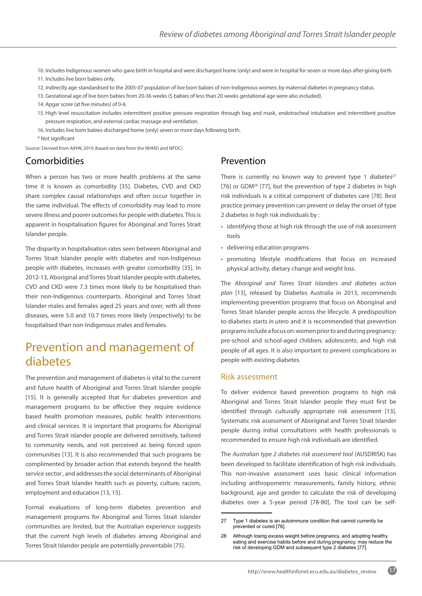10. Includes Indigenous women who gave birth in hospital and were discharged home (only) and were in hospital for seven or more days after giving birth. 11. Includes live born babies only.

- 12. Indirectly age-standardised to the 2005-07 population of live born babies of non-Indigenous women, by maternal diabetes in pregnancy status.
- 13. Gestational age of live born babies from 20-36 weeks (5 babies of less than 20 weeks gestational age were also included).
- 14. Apgar score (at five minutes) of 0-6.
- 15. High level resuscitation includes intermittent positive pressure respiration through bag and mask, endotracheal intubation and intermittent positive pressure respiration, and external cardiac massage and ventilation.
- 16. Includes live born babies discharged home (only) seven or more days following birth.
- \* Not significant
- Source: Derived from AIHW, 2010 (based on data from the NHMD and NPDC)

## Comorbidities

When a person has two or more health problems at the same time it is known as comorbidity [35]. Diabetes, CVD and CKD share complex causal relationships and often occur together in the same individual. The effects of comorbidity may lead to more severe illness and poorer outcomes for people with diabetes. This is apparent in hospitalisation figures for Aboriginal and Torres Strait Islander people.

The disparity in hospitalisation rates seen between Aboriginal and Torres Strait Islander people with diabetes and non-Indigenous people with diabetes, increases with greater comorbidity [35]. In 2012-13, Aboriginal and Torres Strait Islander people with diabetes, CVD and CKD were 7.3 times more likely to be hospitalised than their non-Indigenous counterparts. Aboriginal and Torres Strait Islander males and females aged 25 years and over, with all three diseases, were 5.0 and 10.7 times more likely (respectively) to be hospitalised than non-Indigenous males and females.

## Prevention and management of diabetes

The prevention and management of diabetes is vital to the current and future health of Aboriginal and Torres Strait Islander people [15]. It is generally accepted that for diabetes prevention and management programs to be effective they require evidence based health promotion measures, public health interventions and clinical services. It is important that programs for Aboriginal and Torres Strait islander people are delivered sensitively, tailored to community needs, and not perceived as being forced upon communities [13]. It is also recommended that such programs be complimented by broader action that extends beyond the health service sector , and addresses the social determinants of Aboriginal and Torres Strait Islander health such as poverty, culture, racism, employment and education [13, 15].

Formal evaluations of long-term diabetes prevention and management programs for Aboriginal and Torres Strait Islander communities are limited, but the Australian experience suggests that the current high levels of diabetes among Aboriginal and Torres Strait Islander people are potentially preventable [75].

## Prevention

There is currently no known way to prevent type 1 diabetes $27$ [76] or GDM<sup>28</sup> [77], but the prevention of type 2 diabetes in high risk individuals is a critical component of diabetes care [78]. Best practice primary prevention can prevent or delay the onset of type 2 diabetes in high risk individuals by :

- identifying those at high risk through the use of risk assessment tools
- delivering education programs
- promoting lifestyle modifications that focus on increased physical activity, dietary change and weight loss.

The *Aboriginal and Torres Strait Islanders and diabetes action plan* [13], released by Diabetes Australia in 2013, recommends implementing prevention programs that focus on Aboriginal and Torres Strait Islander people across the lifecycle. A predisposition to diabetes starts *in utero* and it is recommended that prevention programs include a focus on: women prior to and during pregnancy; pre-school and school-aged children; adolescents; and high risk people of all ages. It is also important to prevent complications in people with existing diabetes.

#### Risk assessment

To deliver evidence based prevention programs to high risk Aboriginal and Torres Strait Islander people they must first be identified through culturally appropriate risk assessment [13]. Systematic risk assessment of Aboriginal and Torres Strait Islander people during initial consultations with health professionals is recommended to ensure high risk individuals are identified.

The *Australian type 2 diabetes risk assessment tool* (AUSDRISK) has been developed to facilitate identification of high risk individuals. This non-invasive assessment uses basic clinical information including anthropometric measurements, family history, ethnic background, age and gender to calculate the risk of developing diabetes over a 5-year period [78-80]. The tool can be self-

<sup>27</sup> Type 1 diabetes is an autoimmune condition that cannot currently be prevented or cured [76].

<sup>28</sup> Although losing excess weight before pregnancy, and adopting healthy eating and exercise habits before and during pregnancy, may reduce the risk of developing GDM and subsequent type 2 diabetes [77].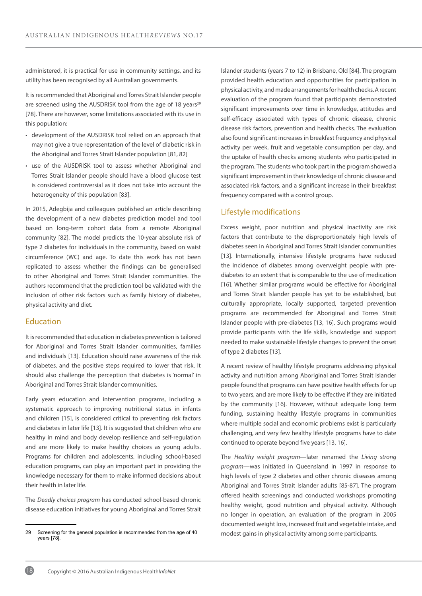administered, it is practical for use in community settings, and its utility has been recognised by all Australian governments.

It is recommended that Aboriginal and Torres Strait Islander people are screened using the AUSDRISK tool from the age of 18 years<sup>29</sup> [78]. There are however, some limitations associated with its use in this population:

- development of the AUSDRISK tool relied on an approach that may not give a true representation of the level of diabetic risk in the Aboriginal and Torres Strait Islander population [81, 82]
- use of the AUSDRISK tool to assess whether Aboriginal and Torres Strait Islander people should have a blood glucose test is considered controversial as it does not take into account the heterogeneity of this population [83].

In 2015, Adegbija and colleagues published an article describing the development of a new diabetes prediction model and tool based on long-term cohort data from a remote Aboriginal community [82]. The model predicts the 10-year absolute risk of type 2 diabetes for individuals in the community, based on waist circumference (WC) and age. To date this work has not been replicated to assess whether the findings can be generalised to other Aboriginal and Torres Strait Islander communities. The authors recommend that the prediction tool be validated with the inclusion of other risk factors such as family history of diabetes, physical activity and diet.

### Education

It is recommended that education in diabetes prevention is tailored for Aboriginal and Torres Strait Islander communities, families and individuals [13]. Education should raise awareness of the risk of diabetes, and the positive steps required to lower that risk. It should also challenge the perception that diabetes is 'normal' in Aboriginal and Torres Strait Islander communities.

Early years education and intervention programs, including a systematic approach to improving nutritional status in infants and children [15], is considered critical to preventing risk factors and diabetes in later life [13]. It is suggested that children who are healthy in mind and body develop resilience and self-regulation and are more likely to make healthy choices as young adults. Programs for children and adolescents, including school-based education programs, can play an important part in providing the knowledge necessary for them to make informed decisions about their health in later life.

The *Deadly choices program* has conducted school-based chronic disease education initiatives for young Aboriginal and Torres Strait Islander students (years 7 to 12) in Brisbane, Qld [84]. The program provided health education and opportunities for participation in physical activity, and made arrangements for health checks. A recent evaluation of the program found that participants demonstrated significant improvements over time in knowledge, attitudes and self-efficacy associated with types of chronic disease, chronic disease risk factors, prevention and health checks. The evaluation also found significant increases in breakfast frequency and physical activity per week, fruit and vegetable consumption per day, and the uptake of health checks among students who participated in the program. The students who took part in the program showed a significant improvement in their knowledge of chronic disease and associated risk factors, and a significant increase in their breakfast frequency compared with a control group.

#### Lifestyle modifications

Excess weight, poor nutrition and physical inactivity are risk factors that contribute to the disproportionately high levels of diabetes seen in Aboriginal and Torres Strait Islander communities [13]. Internationally, intensive lifestyle programs have reduced the incidence of diabetes among overweight people with prediabetes to an extent that is comparable to the use of medication [16]. Whether similar programs would be effective for Aboriginal and Torres Strait Islander people has yet to be established, but culturally appropriate, locally supported, targeted prevention programs are recommended for Aboriginal and Torres Strait Islander people with pre-diabetes [13, 16]. Such programs would provide participants with the life skills, knowledge and support needed to make sustainable lifestyle changes to prevent the onset of type 2 diabetes [13].

A recent review of healthy lifestyle programs addressing physical activity and nutrition among Aboriginal and Torres Strait Islander people found that programs can have positive health effects for up to two years, and are more likely to be effective if they are initiated by the community [16]. However, without adequate long term funding, sustaining healthy lifestyle programs in communities where multiple social and economic problems exist is particularly challenging, and very few healthy lifestyle programs have to date continued to operate beyond five years [13, 16].

The *Healthy weight program*—later renamed the *Living strong program*—was initiated in Queensland in 1997 in response to high levels of type 2 diabetes and other chronic diseases among Aboriginal and Torres Strait Islander adults [85-87]. The program offered health screenings and conducted workshops promoting healthy weight, good nutrition and physical activity. Although no longer in operation, an evaluation of the program in 2005 documented weight loss, increased fruit and vegetable intake, and modest gains in physical activity among some participants.

<sup>29</sup> Screening for the general population is recommended from the age of 40 years [78].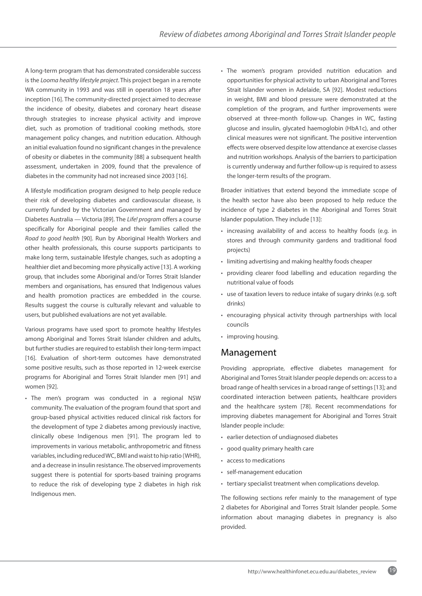A long-term program that has demonstrated considerable success is the *Looma healthy lifestyle project*. This project began in a remote WA community in 1993 and was still in operation 18 years after inception [16]. The community-directed project aimed to decrease the incidence of obesity, diabetes and coronary heart disease through strategies to increase physical activity and improve diet, such as promotion of traditional cooking methods, store management policy changes, and nutrition education. Although an initial evaluation found no significant changes in the prevalence of obesity or diabetes in the community [88] a subsequent health assessment, undertaken in 2009, found that the prevalence of diabetes in the community had not increased since 2003 [16].

A lifestyle modification program designed to help people reduce their risk of developing diabetes and cardiovascular disease, is currently funded by the Victorian Government and managed by Diabetes Australia — Victoria [89]. The *Life! program* offers a course specifically for Aboriginal people and their families called the *Road to good health* [90]. Run by Aboriginal Health Workers and other health professionals, this course supports participants to make long term, sustainable lifestyle changes, such as adopting a healthier diet and becoming more physically active [13]. A working group, that includes some Aboriginal and/or Torres Strait Islander members and organisations, has ensured that Indigenous values and health promotion practices are embedded in the course. Results suggest the course is culturally relevant and valuable to users, but published evaluations are not yet available.

Various programs have used sport to promote healthy lifestyles among Aboriginal and Torres Strait Islander children and adults, but further studies are required to establish their long-term impact [16]. Evaluation of short-term outcomes have demonstrated some positive results, such as those reported in 12-week exercise programs for Aboriginal and Torres Strait Islander men [91] and women [92].

• The men's program was conducted in a regional NSW community. The evaluation of the program found that sport and group-based physical activities reduced clinical risk factors for the development of type 2 diabetes among previously inactive, clinically obese Indigenous men [91]. The program led to improvements in various metabolic, anthropometric and fitness variables, including reduced WC, BMI and waist to hip ratio (WHR), and a decrease in insulin resistance. The observed improvements suggest there is potential for sports-based training programs to reduce the risk of developing type 2 diabetes in high risk Indigenous men.

• The women's program provided nutrition education and opportunities for physical activity to urban Aboriginal and Torres Strait Islander women in Adelaide, SA [92]. Modest reductions in weight, BMI and blood pressure were demonstrated at the completion of the program, and further improvements were observed at three-month follow-up. Changes in WC, fasting glucose and insulin, glycated haemoglobin (HbA1c), and other clinical measures were not significant. The positive intervention effects were observed despite low attendance at exercise classes and nutrition workshops. Analysis of the barriers to participation is currently underway and further follow-up is required to assess the longer-term results of the program.

Broader initiatives that extend beyond the immediate scope of the health sector have also been proposed to help reduce the incidence of type 2 diabetes in the Aboriginal and Torres Strait Islander population. They include [13]:

- increasing availability of and access to healthy foods (e.g. in stores and through community gardens and traditional food projects)
- limiting advertising and making healthy foods cheaper
- providing clearer food labelling and education regarding the nutritional value of foods
- use of taxation levers to reduce intake of sugary drinks (e.g. soft drinks)
- encouraging physical activity through partnerships with local councils
- improving housing.

## Management

Providing appropriate, effective diabetes management for Aboriginal and Torres Strait Islander people depends on: access to a broad range of health services in a broad range of settings [13]; and coordinated interaction between patients, healthcare providers and the healthcare system [78]. Recent recommendations for improving diabetes management for Aboriginal and Torres Strait Islander people include:

- earlier detection of undiagnosed diabetes
- good quality primary health care
- access to medications
- self-management education
- tertiary specialist treatment when complications develop.

The following sections refer mainly to the management of type 2 diabetes for Aboriginal and Torres Strait Islander people. Some information about managing diabetes in pregnancy is also provided.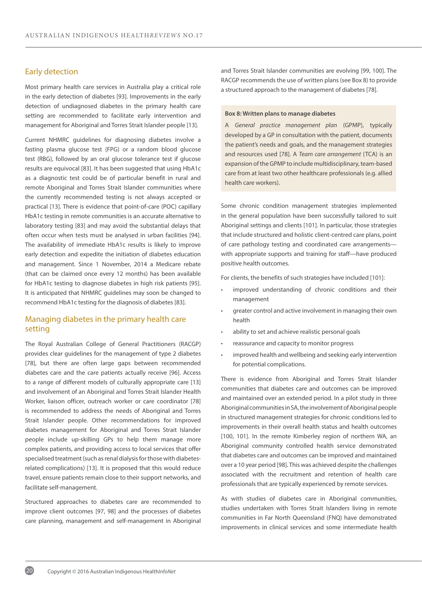### Early detection

Most primary health care services in Australia play a critical role in the early detection of diabetes [93]. Improvements in the early detection of undiagnosed diabetes in the primary health care setting are recommended to facilitate early intervention and management for Aboriginal and Torres Strait Islander people [13].

Current NHMRC guidelines for diagnosing diabetes involve a fasting plasma glucose test (FPG) or a random blood glucose test (RBG), followed by an oral glucose tolerance test if glucose results are equivocal [83]. It has been suggested that using HbA1c as a diagnostic test could be of particular benefit in rural and remote Aboriginal and Torres Strait Islander communities where the currently recommended testing is not always accepted or practical [13]. There is evidence that point-of-care (POC) capillary HbA1c testing in remote communities is an accurate alternative to laboratory testing [83] and may avoid the substantial delays that often occur when tests must be analysed in urban facilities [94]. The availability of immediate HbA1c results is likely to improve early detection and expedite the initiation of diabetes education and management. Since 1 November, 2014 a Medicare rebate (that can be claimed once every 12 months) has been available for HbA1c testing to diagnose diabetes in high risk patients [95]. It is anticipated that NHMRC guidelines may soon be changed to recommend HbA1c testing for the diagnosis of diabetes [83].

### Managing diabetes in the primary health care setting

The Royal Australian College of General Practitioners (RACGP) provides clear guidelines for the management of type 2 diabetes [78], but there are often large gaps between recommended diabetes care and the care patients actually receive [96]. Access to a range of different models of culturally appropriate care [13] and involvement of an Aboriginal and Torres Strait Islander Health Worker, liaison officer, outreach worker or care coordinator [78] is recommended to address the needs of Aboriginal and Torres Strait Islander people. Other recommendations for improved diabetes management for Aboriginal and Torres Strait Islander people include up-skilling GPs to help them manage more complex patients, and providing access to local services that offer specialised treatment (such as renal dialysis for those with diabetesrelated complications) [13]. It is proposed that this would reduce travel, ensure patients remain close to their support networks, and facilitate self-management.

Structured approaches to diabetes care are recommended to improve client outcomes [97, 98] and the processes of diabetes care planning, management and self-management in Aboriginal

and Torres Strait Islander communities are evolving [99, 100]. The RACGP recommends the use of written plans (see Box 8) to provide a structured approach to the management of diabetes [78].

#### **Box 8: Written plans to manage diabetes**

A *General practice management plan* (GPMP), typically developed by a GP in consultation with the patient, documents the patient's needs and goals, and the management strategies and resources used [78]. A *Team care arrangement* (TCA) is an expansion of the GPMP to include multidisciplinary, team-based care from at least two other healthcare professionals (e.g. allied health care workers).

Some chronic condition management strategies implemented in the general population have been successfully tailored to suit Aboriginal settings and clients [101]. In particular, those strategies that include structured and holistic client-centred care plans, point of care pathology testing and coordinated care arrangements with appropriate supports and training for staff—have produced positive health outcomes.

For clients, the benefits of such strategies have included [101]:

- improved understanding of chronic conditions and their management
- greater control and active involvement in managing their own health
- ability to set and achieve realistic personal goals
- reassurance and capacity to monitor progress
- improved health and wellbeing and seeking early intervention for potential complications.

There is evidence from Aboriginal and Torres Strait Islander communities that diabetes care and outcomes can be improved and maintained over an extended period. In a pilot study in three Aboriginal communities in SA, the involvement of Aboriginal people in structured management strategies for chronic conditions led to improvements in their overall health status and health outcomes [100, 101]. In the remote Kimberley region of northern WA, an Aboriginal community controlled health service demonstrated that diabetes care and outcomes can be improved and maintained over a 10 year period [98]. This was achieved despite the challenges associated with the recruitment and retention of health care professionals that are typically experienced by remote services.

As with studies of diabetes care in Aboriginal communities, studies undertaken with Torres Strait Islanders living in remote communities in Far North Queensland (FNQ) have demonstrated improvements in clinical services and some intermediate health

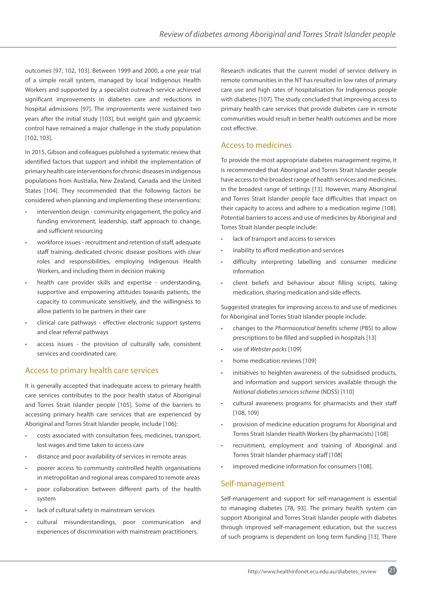outcomes [97, 102, 103]. Between 1999 and 2000, a one year trial of a simple recall system, managed by local Indigenous Health Workers and supported by a specialist outreach service achieved significant improvements in diabetes care and reductions in hospital admissions [97]. The improvements were sustained two years after the initial study [103], but weight gain and glycaemic control have remained a major challenge in the study population [102, 103].

In 2015, Gibson and colleagues published a systematic review that identified factors that support and inhibit the implementation of primary health care interventions for chronic diseases in indigenous populations from Australia, New Zealand, Canada and the United States [104]. They recommended that the following factors be considered when planning and implementing these interventions:

- intervention design community engagement, the policy and funding environment, leadership, staff approach to change, and sufficient resourcing
- workforce issues recruitment and retention of staff, adequate staff training, dedicated chronic disease positions with clear roles and responsibilities, employing Indigenous Health Workers, and including them in decision making
- health care provider skills and expertise understanding, supportive and empowering attitudes towards patients, the capacity to communicate sensitively, and the willingness to allow patients to be partners in their care
- clinical care pathways effective electronic support systems and clear referral pathways
- access issues the provision of culturally safe, consistent services and coordinated care.

### Access to primary health care services

It is generally accepted that inadequate access to primary health care services contributes to the poor health status of Aboriginal and Torres Strait Islander people [105]. Some of the barriers to accessing primary health care services that are experienced by Aboriginal and Torres Strait Islander people, include [106]:

- costs associated with consultation fees, medicines, transport, lost wages and time taken to access care
- distance and poor availability of services in remote areas
- poorer access to community controlled health organisations in metropolitan and regional areas compared to remote areas
- poor collaboration between different parts of the health system
- lack of cultural safety in mainstream services
- cultural misunderstandings, poor communication and experiences of discrimination with mainstream practitioners.

Research indicates that the current model of service delivery in remote communities in the NT has resulted in low rates of primary care use and high rates of hospitalisation for Indigenous people with diabetes [107]. The study concluded that improving access to primary health care services that provide diabetes care in remote communities would result in better health outcomes and be more cost effective.

### Access to medicines

To provide the most appropriate diabetes management regime, it is recommended that Aboriginal and Torres Strait Islander people have access to the broadest range of health services and medicines, in the broadest range of settings [13]. However, many Aboriginal and Torres Strait Islander people face difficulties that impact on their capacity to access and adhere to a medication regime [108]. Potential barriers to access and use of medicines by Aboriginal and Torres Strait Islander people include:

- lack of transport and access to services
- inability to afford medication and services
- difficulty interpreting labelling and consumer medicine information
- client beliefs and behaviour about filling scripts, taking medication, sharing medication and side effects.

Suggested strategies for improving access to and use of medicines for Aboriginal and Torres Strait Islander people include:

- changes to the *Pharmaceutical benefits scheme* (PBS) to allow prescriptions to be filled and supplied in hospitals [13]
- use of *Webster packs* [109]
- home medication reviews [109]
- initiatives to heighten awareness of the subsidised products, and information and support services available through the *National diabetes services scheme* (NDSS) [110]
- cultural awareness programs for pharmacists and their staff [108, 109]
- provision of medicine education programs for Aboriginal and Torres Strait Islander Health Workers (by pharmacists) [108]
- recruitment, employment and training of Aboriginal and Torres Strait Islander pharmacy staff [108]
- improved medicine information for consumers [108].

### Self-management

Self-management and support for self-management is essential to managing diabetes [78, 93]. The primary health system can support Aboriginal and Torres Strait Islander people with diabetes through improved self-management education, but the success of such programs is dependent on long term funding [13]. There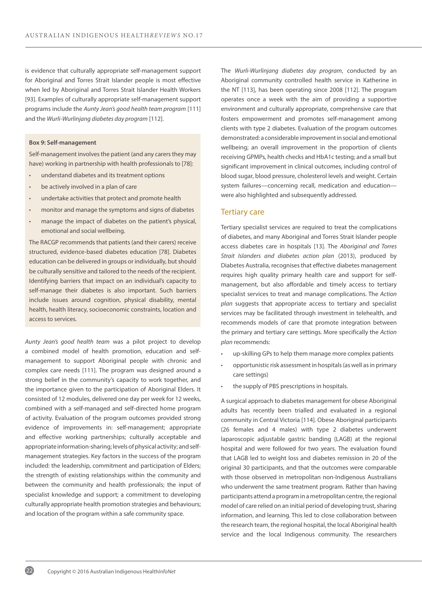is evidence that culturally appropriate self-management support for Aboriginal and Torres Strait Islander people is most effective when led by Aboriginal and Torres Strait Islander Health Workers [93]. Examples of culturally appropriate self-management support programs include the *Aunty Jean's good health team program* [111] and the *Wurli-Wurlinjang diabetes day program* [112].

#### **Box 9: Self-management**

Self-management involves the patient (and any carers they may have) working in partnership with health professionals to [78]:

- understand diabetes and its treatment options
- be actively involved in a plan of care
- undertake activities that protect and promote health
- monitor and manage the symptoms and signs of diabetes
- manage the impact of diabetes on the patient's physical, emotional and social wellbeing.

The RACGP recommends that patients (and their carers) receive structured, evidence-based diabetes education [78]. Diabetes education can be delivered in groups or individually, but should be culturally sensitive and tailored to the needs of the recipient. Identifying barriers that impact on an individual's capacity to self-manage their diabetes is also important. Such barriers include issues around cognition, physical disability, mental health, health literacy, socioeconomic constraints, location and access to services.

*Aunty Jean's good health team* was a pilot project to develop a combined model of health promotion, education and selfmanagement to support Aboriginal people with chronic and complex care needs [111]. The program was designed around a strong belief in the community's capacity to work together, and the importance given to the participation of Aboriginal Elders. It consisted of 12 modules, delivered one day per week for 12 weeks, combined with a self-managed and self-directed home program of activity. Evaluation of the program outcomes provided strong evidence of improvements in: self-management; appropriate and effective working partnerships; culturally acceptable and appropriate information-sharing; levels of physical activity; and selfmanagement strategies. Key factors in the success of the program included: the leadership, commitment and participation of Elders; the strength of existing relationships within the community and between the community and health professionals; the input of specialist knowledge and support; a commitment to developing culturally appropriate health promotion strategies and behaviours; and location of the program within a safe community space.

The *Wurli-Wurlinjang diabetes day program*, conducted by an Aboriginal community controlled health service in Katherine in the NT [113], has been operating since 2008 [112]. The program operates once a week with the aim of providing a supportive environment and culturally appropriate, comprehensive care that fosters empowerment and promotes self-management among clients with type 2 diabetes. Evaluation of the program outcomes demonstrated: a considerable improvement in social and emotional wellbeing; an overall improvement in the proportion of clients receiving GPMPs, health checks and HbA1c testing; and a small but significant improvement in clinical outcomes, including control of blood sugar, blood pressure, cholesterol levels and weight. Certain system failures—concerning recall, medication and education were also highlighted and subsequently addressed.

#### Tertiary care

Tertiary specialist services are required to treat the complications of diabetes, and many Aboriginal and Torres Strait Islander people access diabetes care in hospitals [13]. The *Aboriginal and Torres Strait Islanders and diabetes action plan* (2013), produced by Diabetes Australia, recognises that effective diabetes management requires high quality primary health care and support for selfmanagement, but also affordable and timely access to tertiary specialist services to treat and manage complications. The *Action plan* suggests that appropriate access to tertiary and specialist services may be facilitated through investment in telehealth, and recommends models of care that promote integration between the primary and tertiary care settings. More specifically the *Action plan* recommends:

- up-skilling GPs to help them manage more complex patients
- opportunistic risk assessment in hospitals (as well as in primary care settings)
- the supply of PBS prescriptions in hospitals.

A surgical approach to diabetes management for obese Aboriginal adults has recently been trialled and evaluated in a regional community in Central Victoria [114]. Obese Aboriginal participants (26 females and 4 males) with type 2 diabetes underwent laparoscopic adjustable gastric banding (LAGB) at the regional hospital and were followed for two years. The evaluation found that LAGB led to weight loss and diabetes remission in 20 of the original 30 participants, and that the outcomes were comparable with those observed in metropolitan non-Indigenous Australians who underwent the same treatment program. Rather than having participants attend a program in a metropolitan centre, the regional model of care relied on an initial period of developing trust, sharing information, and learning. This led to close collaboration between the research team, the regional hospital, the local Aboriginal health service and the local Indigenous community. The researchers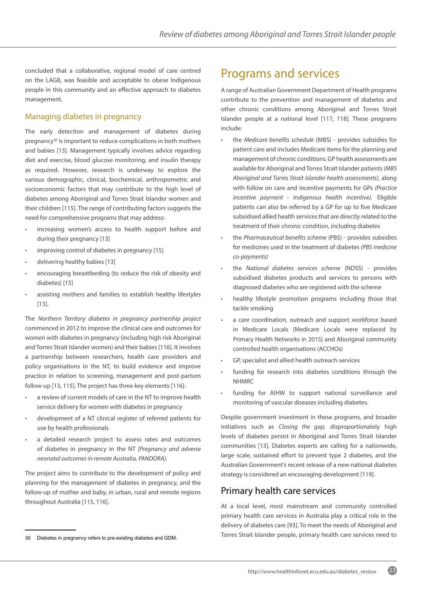concluded that a collaborative, regional model of care centred on the LAGB, was feasible and acceptable to obese Indigenous people in this community and an effective approach to diabetes management.

### Managing diabetes in pregnancy

The early detection and management of diabetes during pregnancy30 is important to reduce complications in both mothers and babies [13]. Management typically involves advice regarding diet and exercise, blood glucose monitoring, and insulin therapy as required. However, research is underway to explore the various demographic, clinical, biochemical, anthropometric and socioeconomic factors that may contribute to the high level of diabetes among Aboriginal and Torres Strait Islander women and their children [115]. The range of contributing factors suggests the need for comprehensive programs that may address:

- increasing women's access to health support before and during their pregnancy [13]
- improving control of diabetes in pregnancy [15]
- delivering healthy babies [13]
- encouraging breastfeeding (to reduce the risk of obesity and diabetes) [15]
- assisting mothers and families to establish healthy lifestyles [13].

The *Northern Territory diabetes in pregnancy partnership project*  commenced in 2012 to improve the clinical care and outcomes for women with diabetes in pregnancy (including high risk Aboriginal and Torres Strait Islander women) and their babies [116]. It involves a partnership between researchers, health care providers and policy organisations in the NT, to build evidence and improve practice in relation to screening, management and post-partum follow-up [13, 115]. The project has three key elements [116]:

- a review of current models of care in the NT to improve health service delivery for women with diabetes in pregnancy
- development of a NT clinical register of referred patients for use by health professionals
- a detailed research project to assess rates and outcomes of diabetes in pregnancy in the NT *(Pregnancy and adverse neonatal outcomes in remote Australia, PANDORA).*

The project aims to contribute to the development of policy and planning for the management of diabetes in pregnancy, and the follow-up of mother and baby, in urban, rural and remote regions throughout Australia [115, 116].

## Programs and services

A range of Australian Government Department of Health programs contribute to the prevention and management of diabetes and other chronic conditions among Aboriginal and Torres Strait Islander people at a national level [117, 118]. These programs include:

- the *Medicare benefits schedule* (MBS) provides subsidies for patient care and includes Medicare items for the planning and management of chronic conditions. GP health assessments are available for Aboriginal and Torres Strait Islander patients *(MBS Aboriginal and Torres Strait Islander health assessments)*, along with follow on care and incentive payments for GPs *(Practice incentive payment - Indigenous health incentive).* Eligible patients can also be referred by a GP for up to five Medicare subsidised allied health services that are directly related to the treatment of their chronic condition, including diabetes
- the *Pharmaceutical benefits scheme* (PBS) provides subsidies for medicines used in the treatment of diabetes *(PBS medicine co-payments)*
- the *National diabetes services scheme* (NDSS) provides subsidised diabetes products and services to persons with diagnosed diabetes who are registered with the scheme
- healthy lifestyle promotion programs including those that tackle smoking
- a care coordination, outreach and support workforce based in Medicare Locals (Medicare Locals were replaced by Primary Health Networks in 2015) and Aboriginal community controlled health organisations (ACCHOs)
- GP, specialist and allied health outreach services
- funding for research into diabetes conditions through the NHMRC
- funding for AIHW to support national surveillance and monitoring of vascular diseases including diabetes.

Despite government investment in these programs, and broader initiatives such as *Closing the gap,* disproportionately high levels of diabetes persist in Aboriginal and Torres Strait Islander communities [13]. Diabetes experts are calling for a nationwide, large scale, sustained effort to prevent type 2 diabetes, and the Australian Government's recent release of a new national diabetes strategy is considered an encouraging development [119].

## Primary health care services

At a local level, most mainstream and community controlled primary health care services in Australia play a critical role in the delivery of diabetes care [93]. To meet the needs of Aboriginal and Torres Strait Islander people, primary health care services need to

<sup>30</sup> Diabetes in pregnancy refers to pre-existing diabetes and GDM.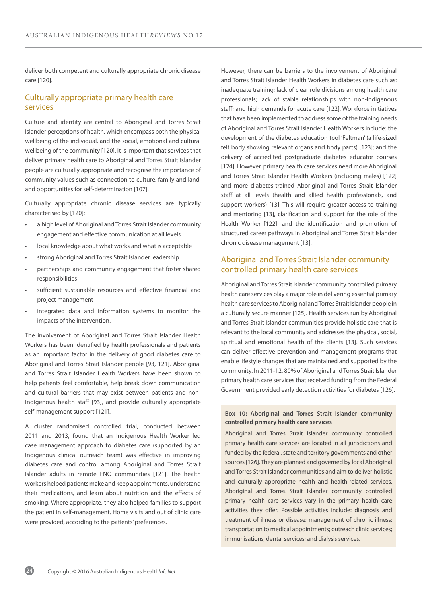deliver both competent and culturally appropriate chronic disease care [120].

### Culturally appropriate primary health care services

Culture and identity are central to Aboriginal and Torres Strait Islander perceptions of health, which encompass both the physical wellbeing of the individual, and the social, emotional and cultural wellbeing of the community [120]. It is important that services that deliver primary health care to Aboriginal and Torres Strait Islander people are culturally appropriate and recognise the importance of community values such as connection to culture, family and land, and opportunities for self-determination [107].

Culturally appropriate chronic disease services are typically characterised by [120]:

- a high level of Aboriginal and Torres Strait Islander community engagement and effective communication at all levels
- local knowledge about what works and what is acceptable
- strong Aboriginal and Torres Strait Islander leadership
- partnerships and community engagement that foster shared responsibilities
- sufficient sustainable resources and effective financial and project management
- integrated data and information systems to monitor the impacts of the intervention.

The involvement of Aboriginal and Torres Strait Islander Health Workers has been identified by health professionals and patients as an important factor in the delivery of good diabetes care to Aboriginal and Torres Strait Islander people [93, 121]. Aboriginal and Torres Strait Islander Health Workers have been shown to help patients feel comfortable, help break down communication and cultural barriers that may exist between patients and non-Indigenous health staff [93], and provide culturally appropriate self-management support [121].

A cluster randomised controlled trial, conducted between 2011 and 2013, found that an Indigenous Health Worker led case management approach to diabetes care (supported by an Indigenous clinical outreach team) was effective in improving diabetes care and control among Aboriginal and Torres Strait Islander adults in remote FNQ communities [121]. The health workers helped patients make and keep appointments, understand their medications, and learn about nutrition and the effects of smoking. Where appropriate, they also helped families to support the patient in self-management. Home visits and out of clinic care were provided, according to the patients' preferences.

However, there can be barriers to the involvement of Aboriginal and Torres Strait Islander Health Workers in diabetes care such as: inadequate training; lack of clear role divisions among health care professionals; lack of stable relationships with non-Indigenous staff; and high demands for acute care [122]. Workforce initiatives that have been implemented to address some of the training needs of Aboriginal and Torres Strait Islander Health Workers include: the development of the diabetes education tool 'Feltman' (a life-sized felt body showing relevant organs and body parts) [123]; and the delivery of accredited postgraduate diabetes educator courses [124]. However, primary health care services need more Aboriginal and Torres Strait Islander Health Workers (including males) [122] and more diabetes-trained Aboriginal and Torres Strait Islander staff at all levels (health and allied health professionals, and support workers) [13]. This will require greater access to training and mentoring [13], clarification and support for the role of the Health Worker [122], and the identification and promotion of structured career pathways in Aboriginal and Torres Strait Islander chronic disease management [13].

### Aboriginal and Torres Strait Islander community controlled primary health care services

Aboriginal and Torres Strait Islander community controlled primary health care services play a major role in delivering essential primary health care services to Aboriginal and Torres Strait Islander people in a culturally secure manner [125]. Health services run by Aboriginal and Torres Strait Islander communities provide holistic care that is relevant to the local community and addresses the physical, social, spiritual and emotional health of the clients [13]. Such services can deliver effective prevention and management programs that enable lifestyle changes that are maintained and supported by the community. In 2011-12, 80% of Aboriginal and Torres Strait Islander primary health care services that received funding from the Federal Government provided early detection activities for diabetes [126].

#### **Box 10: Aboriginal and Torres Strait Islander community controlled primary health care services**

Aboriginal and Torres Strait Islander community controlled primary health care services are located in all jurisdictions and funded by the federal, state and territory governments and other sources [126]. They are planned and governed by local Aboriginal and Torres Strait Islander communities and aim to deliver holistic and culturally appropriate health and health-related services. Aboriginal and Torres Strait Islander community controlled primary health care services vary in the primary health care activities they offer. Possible activities include: diagnosis and treatment of illness or disease; management of chronic illness; transportation to medical appointments; outreach clinic services; immunisations; dental services; and dialysis services.

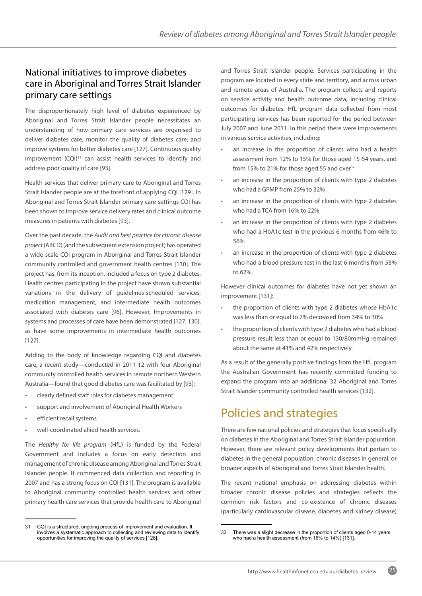## National initiatives to improve diabetes care in Aboriginal and Torres Strait Islander primary care settings

The disproportionately high level of diabetes experienced by Aboriginal and Torres Strait Islander people necessitates an understanding of how primary care services are organised to deliver diabetes care, monitor the quality of diabetes care, and improve systems for better diabetes care [127]. Continuous quality improvement (CQI)<sup>31</sup> can assist health services to identify and address poor quality of care [93].

Health services that deliver primary care to Aboriginal and Torres Strait Islander people are at the forefront of applying CQI [129]. In Aboriginal and Torres Strait Islander primary care settings CQI has been shown to improve service delivery rates and clinical outcome measures in patients with diabetes [93].

Over the past decade, the *Audit and best practice for chronic disease project* (ABCD) (and the subsequent extension project) has operated a wide-scale CQI program in Aboriginal and Torres Strait Islander community controlled and government health centres [130]. The project has, from its inception, included a focus on type 2 diabetes. Health centres participating in the project have shown substantial variations in the delivery of guidelines-scheduled services, medication management, and intermediate health outcomes associated with diabetes care [96]. However, Improvements in systems and processes of care have been demonstrated [127, 130], as have some improvements in intermediate health outcomes [127].

Adding to the body of knowledge regarding CQI and diabetes care, a recent study—conducted in 2011-12 with four Aboriginal community controlled health services in remote northern Western Australia—found that good diabetes care was facilitated by [93]:

- clearly defined staff roles for diabetes management
- support and involvement of Aboriginal Health Workers
- efficient recall systems
- well-coordinated allied health services.

The *Healthy for life program* (HfL) is funded by the Federal Government and includes a focus on early detection and management of chronic disease among Aboriginal and Torres Strait Islander people. It commenced data collection and reporting in 2007 and has a strong focus on CQI [131]. The program is available to Aboriginal community controlled health services and other primary health care services that provide health care to Aboriginal

and Torres Strait Islander people. Services participating in the program are located in every state and territory, and across urban and remote areas of Australia. The program collects and reports on service activity and health outcome data, including clinical outcomes for diabetes. HfL program data collected from most participating services has been reported for the period between July 2007 and June 2011. In this period there were improvements in various service activities, including:

- an increase in the proportion of clients who had a health assessment from 12% to 15% for those aged 15-54 years, and from 15% to 21% for those aged 55 and over $32$
- an increase in the proportion of clients with type 2 diabetes who had a GPMP from 25% to 32%
- an increase in the proportion of clients with type 2 diabetes who had a TCA from 16% to 22%
- an increase in the proportion of clients with type 2 diabetes who had a HbA1c test in the previous 6 months from 46% to 56%
- an increase in the proportion of clients with type 2 diabetes who had a blood pressure test in the last 6 months from 53% to 62%.

However clinical outcomes for diabetes have not yet shown an improvement [131]:

- the proportion of clients with type 2 diabetes whose HbA1c was less than or equal to 7% decreased from 34% to 30%
- the proportion of clients with type 2 diabetes who had a blood pressure result less than or equal to 130/80mmHg remained about the same at 41% and 42% respectively.

As a result of the generally positive findings from the HfL program the Australian Government has recently committed funding to expand the program into an additional 32 Aboriginal and Torres Strait Islander community controlled health services [132].

## Policies and strategies

There are few national policies and strategies that focus specifically on diabetes in the Aboriginal and Torres Strait Islander population. However, there are relevant policy developments that pertain to diabetes in the general population, chronic diseases in general, or broader aspects of Aboriginal and Torres Strait Islander health.

The recent national emphasis on addressing diabetes within broader chronic disease policies and strategies reflects the common risk factors and co-existence of chronic diseases (particularly cardiovascular disease, diabetes and kidney disease)

<sup>31</sup> CQI is a structured, ongoing process of improvement and evaluation. It involves a systematic approach to collecting and reviewing data to identify opportunities for improving the quality of services [128].

<sup>32</sup> There was a slight decrease in the proportion of clients aged 0-14 years who had a health assessment (from 16% to 14%) [131].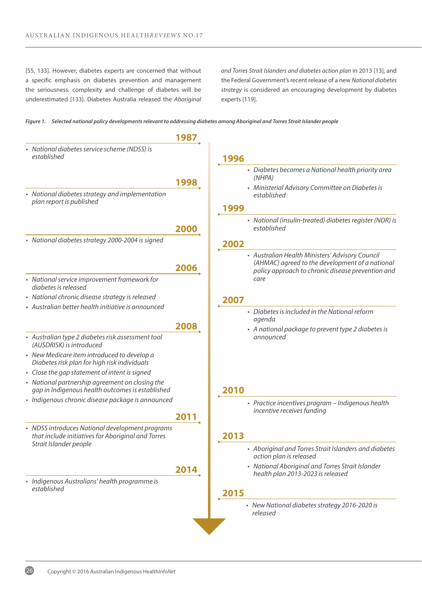[55, 133]. However, diabetes experts are concerned that without a specific emphasis on diabetes prevention and management the seriousness, complexity and challenge of diabetes will be underestimated [133]. Diabetes Australia released the *Aboriginal*  *and Torres Strait Islanders and diabetes action plan* in 2013 [13], and the Federal Government's recent release of a new *National diabetes strategy* is considered an encouraging development by diabetes experts [119].

|  |  |  | Figure 1. Selected national policy developments relevant to addressing diabetes among Aboriginal and Torres Strait Islander people |  |  |
|--|--|--|------------------------------------------------------------------------------------------------------------------------------------|--|--|
|--|--|--|------------------------------------------------------------------------------------------------------------------------------------|--|--|

|                                                                                                                                 | 1987 |                                                                                                                                                         |
|---------------------------------------------------------------------------------------------------------------------------------|------|---------------------------------------------------------------------------------------------------------------------------------------------------------|
| • National diabetes service scheme (NDSS) is<br>established                                                                     |      | 1996                                                                                                                                                    |
|                                                                                                                                 | 1998 | • Diabetes becomes a National health priority area<br>(NHPA)<br>• Ministerial Advisory Committee on Diabetes is                                         |
| • National diabetes strategy and implementation<br>plan report is published                                                     |      | established<br>1999                                                                                                                                     |
|                                                                                                                                 | 2000 | • National (insulin-treated) diabetes register (NDR) is<br>established                                                                                  |
| · National diabetes strategy 2000-2004 is signed                                                                                |      | 2002                                                                                                                                                    |
|                                                                                                                                 | 2006 | • Australian Health Ministers' Advisory Council<br>(AHMAC) agreed to the development of a national<br>policy approach to chronic disease prevention and |
| • National service improvement framework for<br>diabetes is released                                                            |      | care                                                                                                                                                    |
| • National chronic disease strategy is released                                                                                 |      | 2007                                                                                                                                                    |
| • Australian better health initiative is announced                                                                              | 2008 | • Diabetes is included in the National reform<br>agenda                                                                                                 |
| • Australian type 2 diabetes risk assessment tool<br>(AUSDRISK) is introduced                                                   |      | • A national package to prevent type 2 diabetes is<br>announced                                                                                         |
| • New Medicare item introduced to develop a<br>Diabetes risk plan for high risk individuals                                     |      |                                                                                                                                                         |
| • Close the gap statement of intent is signed                                                                                   |      |                                                                                                                                                         |
| • National partnership agreement on closing the<br>gap in Indigenous health outcomes is established                             |      | 2010                                                                                                                                                    |
| · Indigenous chronic disease package is announced                                                                               |      | • Practice incentives program - Indigenous health<br>incentive receives funding                                                                         |
|                                                                                                                                 | 2011 |                                                                                                                                                         |
| • NDSS introduces National development programs<br>that include initiatives for Aboriginal and Torres<br>Strait Islander people |      | 2013                                                                                                                                                    |
|                                                                                                                                 |      | • Aboriginal and Torres Strait Islanders and diabetes<br>action plan is released                                                                        |
|                                                                                                                                 | 2014 | • National Aboriginal and Torres Strait Islander<br>health plan 2013-2023 is released                                                                   |
| · Indigenous Australians' health programme is<br>established                                                                    |      | 2015                                                                                                                                                    |
|                                                                                                                                 |      | • New National diabetes strategy 2016-2020 is<br>released                                                                                               |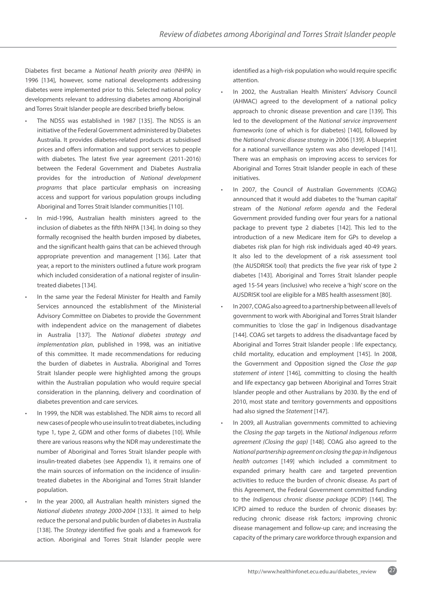Diabetes first became a *National health priority area* (NHPA) in 1996 [134], however, some national developments addressing diabetes were implemented prior to this. Selected national policy developments relevant to addressing diabetes among Aboriginal and Torres Strait Islander people are described briefly below.

- The NDSS was established in 1987 [135]. The NDSS is an initiative of the Federal Government administered by Diabetes Australia. It provides diabetes-related products at subsidised prices and offers information and support services to people with diabetes. The latest five year agreement (2011-2016) between the Federal Government and Diabetes Australia provides for the introduction of *National development programs* that place particular emphasis on increasing access and support for various population groups including Aboriginal and Torres Strait Islander communities [110].
- In mid-1996, Australian health ministers agreed to the inclusion of diabetes as the fifth NHPA [134]. In doing so they formally recognised the health burden imposed by diabetes, and the significant health gains that can be achieved through appropriate prevention and management [136]. Later that year, a report to the ministers outlined a future work program which included consideration of a national register of insulintreated diabetes [134].
- In the same year the Federal Minister for Health and Family Services announced the establishment of the Ministerial Advisory Committee on Diabetes to provide the Government with independent advice on the management of diabetes in Australia [137]. The *National diabetes strategy and implementation plan*, published in 1998, was an initiative of this committee. It made recommendations for reducing the burden of diabetes in Australia. Aboriginal and Torres Strait Islander people were highlighted among the groups within the Australian population who would require special consideration in the planning, delivery and coordination of diabetes prevention and care services.
- In 1999, the NDR was established. The NDR aims to record all new cases of people who use insulin to treat diabetes, including type 1, type 2, GDM and other forms of diabetes [10]. While there are various reasons why the NDR may underestimate the number of Aboriginal and Torres Strait Islander people with insulin-treated diabetes (see Appendix 1), it remains one of the main sources of information on the incidence of insulintreated diabetes in the Aboriginal and Torres Strait Islander population.
- In the year 2000, all Australian health ministers signed the *National diabetes strategy 2000-2004* [133]. It aimed to help reduce the personal and public burden of diabetes in Australia [138]. The *Strategy* identified five goals and a framework for action. Aboriginal and Torres Strait Islander people were

identified as a high-risk population who would require specific attention.

- In 2002, the Australian Health Ministers' Advisory Council (AHMAC) agreed to the development of a national policy approach to chronic disease prevention and care [139]. This led to the development of the *National service improvement frameworks* (one of which is for diabetes) [140], followed by the *National chronic disease strategy* in 2006 [139]. A blueprint for a national surveillance system was also developed [141]. There was an emphasis on improving access to services for Aboriginal and Torres Strait Islander people in each of these initiatives.
- In 2007, the Council of Australian Governments (COAG) announced that it would add diabetes to the 'human capital' stream of the *National reform agenda* and the Federal Government provided funding over four years for a national package to prevent type 2 diabetes [142]. This led to the introduction of a new Medicare item for GPs to develop a diabetes risk plan for high risk individuals aged 40-49 years. It also led to the development of a risk assessment tool (the AUSDRISK tool) that predicts the five year risk of type 2 diabetes [143]. Aboriginal and Torres Strait Islander people aged 15-54 years (inclusive) who receive a 'high' score on the AUSDRISK tool are eligible for a MBS health assessment [80].
- In 2007, COAG also agreed to a partnership between all levels of government to work with Aboriginal and Torres Strait Islander communities to 'close the gap' in Indigenous disadvantage [144]. COAG set targets to address the disadvantage faced by Aboriginal and Torres Strait Islander people : life expectancy, child mortality, education and employment [145]. In 2008, the Government and Opposition signed the *Close the gap statement of intent* [146], committing to closing the health and life expectancy gap between Aboriginal and Torres Strait Islander people and other Australians by 2030. By the end of 2010, most state and territory governments and oppositions had also signed the *Statement* [147].
- In 2009, all Australian governments committed to achieving the *Closing the gap* targets in the *National Indigenous reform agreement (Closing the gap)* [148]. COAG also agreed to the *National partnership agreement on closing the gap in Indigenous health outcomes* [149] which included a commitment to expanded primary health care and targeted prevention activities to reduce the burden of chronic disease. As part of this Agreement, the Federal Government committed funding to the *Indigenous chronic disease package* (ICDP) [144]. The ICPD aimed to reduce the burden of chronic diseases by: reducing chronic disease risk factors; improving chronic disease management and follow-up care; and increasing the capacity of the primary care workforce through expansion and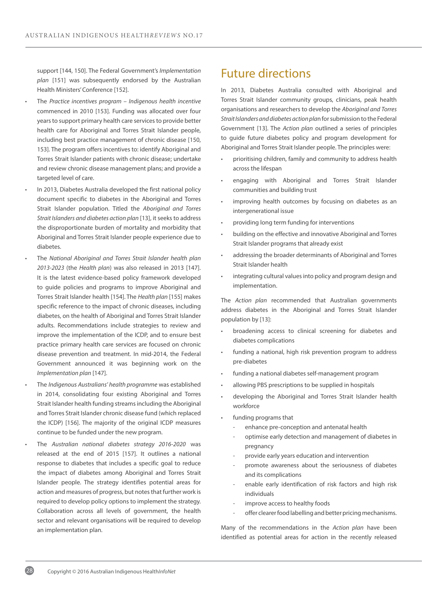support [144, 150]. The Federal Government's *Implementation plan* [151] was subsequently endorsed by the Australian Health Ministers' Conference [152].

- The *Practice incentives program Indigenous health incentive* commenced in 2010 [153]. Funding was allocated over four years to support primary health care services to provide better health care for Aboriginal and Torres Strait Islander people, including best practice management of chronic disease [150, 153]. The program offers incentives to: identify Aboriginal and Torres Strait Islander patients with chronic disease; undertake and review chronic disease management plans; and provide a targeted level of care.
- In 2013, Diabetes Australia developed the first national policy document specific to diabetes in the Aboriginal and Torres Strait Islander population. Titled the *Aboriginal and Torres Strait Islanders and diabetes action plan* [13], it seeks to address the disproportionate burden of mortality and morbidity that Aboriginal and Torres Strait Islander people experience due to diabetes.
- The *National Aboriginal and Torres Strait Islander health plan 2013-2023* (the *Health plan*) was also released in 2013 [147]. It is the latest evidence-based policy framework developed to guide policies and programs to improve Aboriginal and Torres Strait Islander health [154]. The *Health plan* [155] makes specific reference to the impact of chronic diseases, including diabetes, on the health of Aboriginal and Torres Strait Islander adults. Recommendations include strategies to review and improve the implementation of the ICDP, and to ensure best practice primary health care services are focused on chronic disease prevention and treatment. In mid-2014, the Federal Government announced it was beginning work on the *Implementation plan* [147].
- The *Indigenous Australians' health programme* was established in 2014, consolidating four existing Aboriginal and Torres Strait Islander health funding streams including the Aboriginal and Torres Strait Islander chronic disease fund (which replaced the ICDP) [156]. The majority of the original ICDP measures continue to be funded under the new program.
- The *Australian national diabetes strategy 2016-2020* was released at the end of 2015 [157]. It outlines a national response to diabetes that includes a specific goal to reduce the impact of diabetes among Aboriginal and Torres Strait Islander people. The strategy identifies potential areas for action and measures of progress, but notes that further work is required to develop policy options to implement the strategy. Collaboration across all levels of government, the health sector and relevant organisations will be required to develop an implementation plan.

## Future directions

In 2013, Diabetes Australia consulted with Aboriginal and Torres Strait Islander community groups, clinicians, peak health organisations and researchers to develop the *Aboriginal and Torres Strait Islanders and diabetes action pla*n for submission to the Federal Government [13]. The *Action plan* outlined a series of principles to guide future diabetes policy and program development for Aboriginal and Torres Strait Islander people. The principles were:

- prioritising children, family and community to address health across the lifespan
- engaging with Aboriginal and Torres Strait Islander communities and building trust
- improving health outcomes by focusing on diabetes as an intergenerational issue
- providing long term funding for interventions
- building on the effective and innovative Aboriginal and Torres Strait Islander programs that already exist
- addressing the broader determinants of Aboriginal and Torres Strait Islander health
- integrating cultural values into policy and program design and implementation.

The *Action plan* recommended that Australian governments address diabetes in the Aboriginal and Torres Strait Islander population by [13]:

- broadening access to clinical screening for diabetes and diabetes complications
- funding a national, high risk prevention program to address pre-diabetes
- funding a national diabetes self-management program
- allowing PBS prescriptions to be supplied in hospitals
- developing the Aboriginal and Torres Strait Islander health workforce
- funding programs that
	- enhance pre-conception and antenatal health
	- optimise early detection and management of diabetes in pregnancy
	- provide early years education and intervention
	- promote awareness about the seriousness of diabetes and its complications
	- enable early identification of risk factors and high risk individuals
	- improve access to healthy foods
	- offer clearer food labelling and better pricing mechanisms.

Many of the recommendations in the *Action plan* have been identified as potential areas for action in the recently released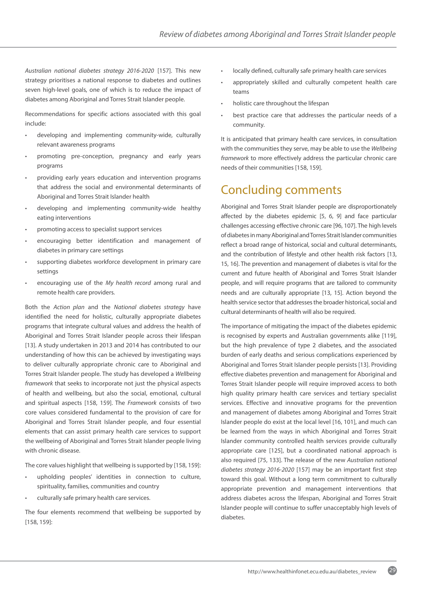*Australian national diabetes strategy 2016-2020* [157]. This new strategy prioritises a national response to diabetes and outlines seven high-level goals, one of which is to reduce the impact of diabetes among Aboriginal and Torres Strait Islander people.

Recommendations for specific actions associated with this goal include:

- developing and implementing community-wide, culturally relevant awareness programs
- promoting pre-conception, pregnancy and early years programs
- providing early years education and intervention programs that address the social and environmental determinants of Aboriginal and Torres Strait Islander health
- developing and implementing community-wide healthy eating interventions
- promoting access to specialist support services
- encouraging better identification and management of diabetes in primary care settings
- supporting diabetes workforce development in primary care settings
- encouraging use of the *My health record* among rural and remote health care providers.

Both the *Action plan* and the *National diabetes strategy* have identified the need for holistic, culturally appropriate diabetes programs that integrate cultural values and address the health of Aboriginal and Torres Strait Islander people across their lifespan [13]. A study undertaken in 2013 and 2014 has contributed to our understanding of how this can be achieved by investigating ways to deliver culturally appropriate chronic care to Aboriginal and Torres Strait Islander people. The study has developed a *Wellbeing framework* that seeks to incorporate not just the physical aspects of health and wellbeing, but also the social, emotional, cultural and spiritual aspects [158, 159]. The *Framework* consists of two core values considered fundamental to the provision of care for Aboriginal and Torres Strait Islander people, and four essential elements that can assist primary health care services to support the wellbeing of Aboriginal and Torres Strait Islander people living with chronic disease.

The core values highlight that wellbeing is supported by [158, 159]:

- upholding peoples' identities in connection to culture, spirituality, families, communities and country
- culturally safe primary health care services.

The four elements recommend that wellbeing be supported by [158, 159]:

- locally defined, culturally safe primary health care services
- appropriately skilled and culturally competent health care teams
- holistic care throughout the lifespan
- best practice care that addresses the particular needs of a community.

It is anticipated that primary health care services, in consultation with the communities they serve, may be able to use the *Wellbeing framework* to more effectively address the particular chronic care needs of their communities [158, 159].

## Concluding comments

Aboriginal and Torres Strait Islander people are disproportionately affected by the diabetes epidemic [5, 6, 9] and face particular challenges accessing effective chronic care [96, 107]. The high levels of diabetes in many Aboriginal and Torres Strait Islander communities reflect a broad range of historical, social and cultural determinants, and the contribution of lifestyle and other health risk factors [13, 15, 16]. The prevention and management of diabetes is vital for the current and future health of Aboriginal and Torres Strait Islander people, and will require programs that are tailored to community needs and are culturally appropriate [13, 15]. Action beyond the health service sector that addresses the broader historical, social and cultural determinants of health will also be required.

The importance of mitigating the impact of the diabetes epidemic is recognised by experts and Australian governments alike [119], but the high prevalence of type 2 diabetes, and the associated burden of early deaths and serious complications experienced by Aboriginal and Torres Strait Islander people persists [13]. Providing effective diabetes prevention and management for Aboriginal and Torres Strait Islander people will require improved access to both high quality primary health care services and tertiary specialist services. Effective and innovative programs for the prevention and management of diabetes among Aboriginal and Torres Strait Islander people do exist at the local level [16, 101], and much can be learned from the ways in which Aboriginal and Torres Strait Islander community controlled health services provide culturally appropriate care [125], but a coordinated national approach is also required [75, 133]. The release of the new *Australian national diabetes strategy 2016-2020* [157] may be an important first step toward this goal. Without a long term commitment to culturally appropriate prevention and management interventions that address diabetes across the lifespan, Aboriginal and Torres Strait Islander people will continue to suffer unacceptably high levels of diabetes.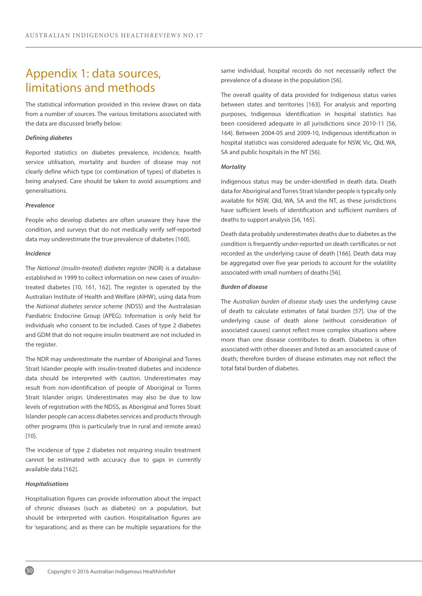## Appendix 1: data sources, limitations and methods

The statistical information provided in this review draws on data from a number of sources. The various limitations associated with the data are discussed briefly below:

#### *Defining diabetes*

Reported statistics on diabetes prevalence, incidence, health service utilisation, mortality and burden of disease may not clearly define which type (or combination of types) of diabetes is being analysed. Care should be taken to avoid assumptions and generalisations.

#### *Prevalence*

People who develop diabetes are often unaware they have the condition, and surveys that do not medically verify self-reported data may underestimate the true prevalence of diabetes [160].

#### *Incidence*

The *National (insulin-treated) diabetes register* (NDR) is a database established in 1999 to collect information on new cases of insulintreated diabetes [10, 161, 162]. The register is operated by the Australian Institute of Health and Welfare (AIHW), using data from the *National diabetes service scheme* (NDSS) and the Australasian Paediatric Endocrine Group (APEG). Information is only held for individuals who consent to be included. Cases of type 2 diabetes and GDM that do not require insulin treatment are not included in the register.

The NDR may underestimate the number of Aboriginal and Torres Strait Islander people with insulin-treated diabetes and incidence data should be interpreted with caution. Underestimates may result from non-identification of people of Aboriginal or Torres Strait Islander origin. Underestimates may also be due to low levels of registration with the NDSS, as Aboriginal and Torres Strait Islander people can access diabetes services and products through other programs (this is particularly true in rural and remote areas) [10].

The incidence of type 2 diabetes not requiring insulin treatment cannot be estimated with accuracy due to gaps in currently available data [162].

#### *Hospitalisations*

30

Hospitalisation figures can provide information about the impact of chronic diseases (such as diabetes) on a population, but should be interpreted with caution. Hospitalisation figures are for 'separations', and as there can be multiple separations for the same individual, hospital records do not necessarily reflect the prevalence of a disease in the population [56].

The overall quality of data provided for Indigenous status varies between states and territories [163]. For analysis and reporting purposes, Indigenous identification in hospital statistics has been considered adequate in all jurisdictions since 2010-11 [56, 164]. Between 2004-05 and 2009-10, Indigenous identification in hospital statistics was considered adequate for NSW, Vic, Qld, WA, SA and public hospitals in the NT [56].

#### *Mortality*

Indigenous status may be under-identified in death data. Death data for Aboriginal and Torres Strait Islander people is typically only available for NSW, Qld, WA, SA and the NT, as these jurisdictions have sufficient levels of identification and sufficient numbers of deaths to support analysis [56, 165].

Death data probably underestimates deaths due to diabetes as the condition is frequently under-reported on death certificates or not recorded as the underlying cause of death [166]. Death data may be aggregated over five year periods to account for the volatility associated with small numbers of deaths [56].

#### *Burden of disease*

The *Australian burden of disease study* uses the underlying cause of death to calculate estimates of fatal burden [57]. Use of the underlying cause of death alone (without consideration of associated causes) cannot reflect more complex situations where more than one disease contributes to death. Diabetes is often associated with other diseases and listed as an associated cause of death; therefore burden of disease estimates may not reflect the total fatal burden of diabetes.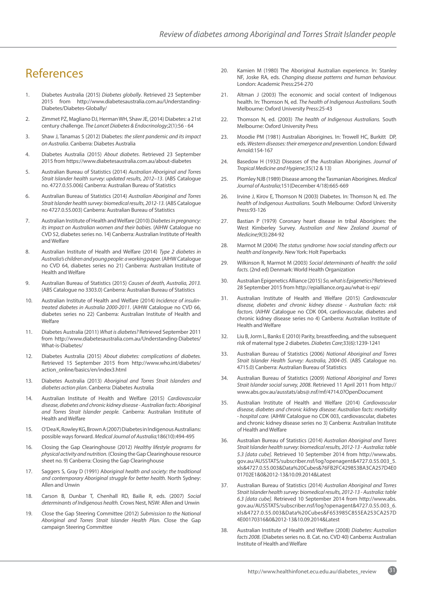## References

- 1. Diabetes Australia (2015) *Diabetes globally*. Retrieved 23 September 2015 from [http://www.diabetesaustralia.com.au/Understanding-](http://www.diabetesaustralia.com.au/Understanding-Diabetes/Diabetes-Globally/)[Diabetes/Diabetes-Globally/](http://www.diabetesaustralia.com.au/Understanding-Diabetes/Diabetes-Globally/)
- 2. Zimmet PZ, Magliano DJ, Herman WH, Shaw JE, (2014) Diabetes: a 21st century challenge. *The Lancet Diabetes & Endocrinology*;2(1):56 - 64
- 3. Shaw J, Tanamas S (2012) Diabetes: *the silent pandemic and its impact on Australia*. Canberra: Diabetes Australia
- 4. Diabetes Australia (2015) *About diabetes*. Retrieved 23 September 2015 from <https://www.diabetesaustralia.com.au/about-diabetes>
- 5. Australian Bureau of Statistics (2014) *Australian Aboriginal and Torres Strait Islander health survey: updated results, 2012–13*. (ABS Catalogue no. 4727.0.55.006) Canberra: Australian Bureau of Statistics
- 6. Australian Bureau of Statistics (2014) *Australian Aboriginal and Torres Strait Islander health survey: biomedical results, 2012-13.* (ABS Catalogue no 4727.0.55.003) Canberra: Australian Bureau of Statistics
- 7. Australian Institute of Health and Welfare (2010) *Diabetes in pregnancy: its impact on Australian women and their babies.* (AIHW Catalogue no CVD 52, diabetes series no. 14) Canberra: Australian Institute of Health and Welfare
- 8. Australian Institute of Health and Welfare (2014) *Type 2 diabetes in Australia's children and young people: a working paper.* (AIHW Catalogue no CVD 64, diabetes series no 21) Canberra: Australian Institute of Health and Welfare
- 9. Australian Bureau of Statistics (2015) *Causes of death, Australia, 2013.* (ABS Catalogue no 3303.0) Canberra: Australian Bureau of Statistics
- 10. Australian Institute of Health and Welfare (2014) *Incidence of insulintreated diabetes in Australia 2000-2011*. (AIHW Catalogue no CVD 66, diabetes series no 22) Canberra: Australian Institute of Health and Welfare
- 11. Diabetes Australia (2011) *What is diabetes?* Retrieved September 2011 from [http://www.diabetesaustralia.com.au/Understanding-Diabetes/](http://www.diabetesaustralia.com.au/Understanding-Diabetes/What-is-Diabetes/) [What-is-Diabetes/](http://www.diabetesaustralia.com.au/Understanding-Diabetes/What-is-Diabetes/)
- 12. Diabetes Australia (2015) *About diabetes: complications of diabetes.*  Retrieved 15 September 2015 from [http://www.who.int/diabetes/](http://www.who.int/diabetes/action_online/basics/en/index3.html) [action\\_online/basics/en/index3.html](http://www.who.int/diabetes/action_online/basics/en/index3.html)
- 13. Diabetes Australia (2013) *Aboriginal and Torres Strait Islanders and diabetes action plan*. Canberra: Diabetes Australia
- 14. Australian Institute of Health and Welfare (2015) *Cardiovascular disease, diabetes and chronic kidney disease - Australian facts: Aboriginal and Torres Strait Islander people.* Canberra: Australian Institute of Health and Welfare
- 15. O'Dea K, Rowley KG, Brown A (2007) Diabetes in Indigenous Australians: possible ways forward. *Medical Journal of Australia;*186(10):494-495
- 16. Closing the Gap Clearinghouse (2012) *Healthy lifestyle programs for physical activity and nutrition.* (Closing the Gap Clearinghouse resource sheet no. 9) Canberra: Closing the Gap Clearinghouse
- 17. Saggers S, Gray D (1991) A*boriginal health and society: the traditional and contemporary Aboriginal struggle for better health.* North Sydney: Allen and Unwin
- 18. Carson B, Dunbar T, Chenhall RD, Bailie R, eds. (2007) *Social determinants of Indigenous health.* Crows Nest, NSW: Allen and Unwin
- 19. Close the Gap Steering Committee (2012) *Submission to the National Aboriginal and Torres Strait Islander Health Plan.* Close the Gap campaign Steering Committee
- 20. Kamien M (1980) The Aboriginal Australian experience. In: Stanley NF, Joske RA, eds. *Changing disease patterns and human behaviour.*  London: Academic Press:254-270
- 21. Altman J (2003) The economic and social context of Indigenous health. In: Thomson N, ed. *The health of Indigenous Australians.* South Melbourne: Oxford University Press:25-43
- 22. Thomson N, ed. (2003) *The health of Indigenous Australians.* South Melbourne: Oxford University Press
- 23. Moodie PM (1981) Australian Aborigines. In: Trowell HC, Burkitt DP, eds. *Western diseases: their emergence and prevention.* London: Edward Arnold:154-167
- 24. Basedow H (1932) Diseases of the Australian Aborigines. *Journal of Tropical Medicine and Hygiene*;35(12 & 13)
- 25. Plomley NJB (1989) Disease among the Tasmanian Aborigines. *Medical Journal of Australia*;151(December 4/18):665-669
- 26. Irvine J, Kirov E, Thomson N (2003) Diabetes. In: Thomson N, ed. *The health of Indigenous Australians.* South Melbourne: Oxford University Press:93-126
- 27. Bastian P (1979) Coronary heart disease in tribal Aborigines: the West Kimberley Survey. *Australian and New Zealand Journal of Medicine*;9(3):284-92
- 28. Marmot M (2004) *The status syndrome: how social standing affects our health and longevity*. New York: Holt Paperbacks
- 29. Wilkinson R, Marmot M (2003) *Social determinants of health: the solid facts.* (2nd ed) Denmark: World Health Organization
- 30. Australian Epigenetics Alliance (2015) *So, what is Epigenetics?* Retrieved 28 September 2015 from<http://epialliance.org.au/what-is-epi/>
- 31. Australian Institute of Health and Welfare (2015) *Cardiovascular disease, diabetes and chronic kidney disease - Australian facts: risk factors.* (AIHW Catalogue no CDK 004, cardiovascular, diabetes and chronic kidney disease series no 4) Canberra: Australian Institute of Health and Welfare
- 32. Liu B, Jorm L, Banks E (2010) Parity, breastfeeding, and the subsequent risk of maternal type 2 diabetes. *Diabetes Care*;33(6):1239-1241
- 33. Australian Bureau of Statistics (2006) *National Aboriginal and Torres Strait Islander Health Survey: Australia, 2004-05.* (ABS Catalogue no. 4715.0) Canberra: Australian Bureau of Statistics
- 34. Australian Bureau of Statistics (2009) *National Aboriginal and Torres Strait Islander social survey, 2008*. Retrieved 11 April 2011 from [http://](http://www.abs.gov.au/ausstats/abs@.nsf/mf/4714.0?OpenDocument) [www.abs.gov.au/ausstats/abs@.nsf/mf/4714.0?OpenDocument](http://www.abs.gov.au/ausstats/abs@.nsf/mf/4714.0?OpenDocument)
- 35. Australian Institute of Health and Welfare (2014) *Cardiovascular disease, diabetes and chronic kidney disease: Australian facts: morbidity - hospital care.* (AIHW Catalogue no CDK 003, cardiovascular, diabetes and chronic kidney disease series no 3) Canberra: Australian Institute of Health and Welfare
- 36. Australian Bureau of Statistics (2014) *Australian Aboriginal and Torres Strait Islander health survey: biomedical results, 2012-13 - Australia: table 5.3 [data cube].* Retrieved 10 September 2014 from [http://www.abs.](http://www.abs.gov.au/AUSSTATS/subscriber.nsf/log?openagent&4727.0.55.003_5.xls&4727.0.55.003&Data%2) [gov.au/AUSSTATS/subscriber.nsf/log?openagent&4727.0.55.003\\_5.](http://www.abs.gov.au/AUSSTATS/subscriber.nsf/log?openagent&4727.0.55.003_5.xls&4727.0.55.003&Data%2) [xls&4727.0.55.003&Data%20Cubes&76FB2FC429853BA3CA257D4E0](http://www.abs.gov.au/AUSSTATS/subscriber.nsf/log?openagent&4727.0.55.003_5.xls&4727.0.55.003&Data%2) [01702E1&0&2012-13&10.09.2014&Latest](http://www.abs.gov.au/AUSSTATS/subscriber.nsf/log?openagent&4727.0.55.003_5.xls&4727.0.55.003&Data%2)
- 37. Australian Bureau of Statistics (2014) *Australian Aboriginal and Torres Strait Islander health survey: biomedical results, 2012-13 - Australia: table 6.3 [data cube].* Retrieved 10 September 2014 from [http://www.abs.](http://www.abs.gov.au/AUSSTATS/subscriber.nsf/log?openagent&4727.0.55.003_6.xls&4727.0.55.003&Data%2) [gov.au/AUSSTATS/subscriber.nsf/log?openagent&4727.0.55.003\\_6.](http://www.abs.gov.au/AUSSTATS/subscriber.nsf/log?openagent&4727.0.55.003_6.xls&4727.0.55.003&Data%2) [xls&4727.0.55.003&Data%20Cubes&F653985C855EA253CA257D](http://www.abs.gov.au/AUSSTATS/subscriber.nsf/log?openagent&4727.0.55.003_6.xls&4727.0.55.003&Data%2) [4E00170316&0&2012-13&10.09.2014&Latest](http://www.abs.gov.au/AUSSTATS/subscriber.nsf/log?openagent&4727.0.55.003_6.xls&4727.0.55.003&Data%2)
- 38. Australian Institute of Health and Welfare (2008) *Diabetes: Australian facts 2008.* (Diabetes series no. 8. Cat. no. CVD 40) Canberra: Australian Institute of Health and Welfare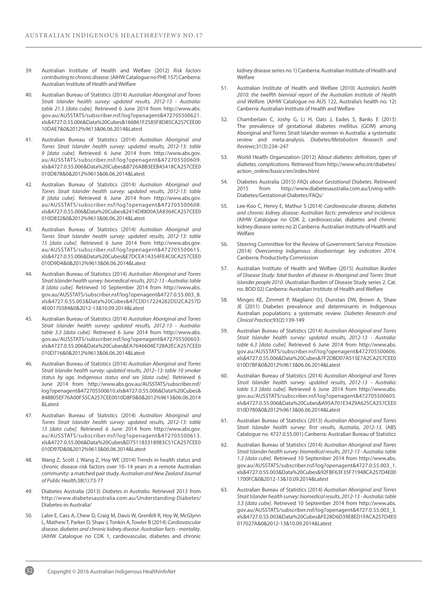- 39. Australian Institute of Health and Welfare (2012) *Risk factors contributing to chronic disease.* (AIHW Catalogue no PHE 157) Canberra: Australian Institute of Health and Welfare
- 40. Australian Bureau of Statistics (2014) *Australian Aboriginal and Torres Strait Islander health survey: updated results, 2012-13 - Australia: table 21.3 [data cube].* Retrieved 6 June 2014 from [http://www.abs.](http://www.abs.gov.au/AUSSTATS/subscriber.nsf/log?openagent&472705500621.xls&4727.0.55.006&Data%20Cu) [gov.au/AUSSTATS/subscriber.nsf/log?openagent&472705500621.](http://www.abs.gov.au/AUSSTATS/subscriber.nsf/log?openagent&472705500621.xls&4727.0.55.006&Data%20Cu) [xls&4727.0.55.006&Data%20Cubes&166861F2585F8D85CA257CEE00](http://www.abs.gov.au/AUSSTATS/subscriber.nsf/log?openagent&472705500621.xls&4727.0.55.006&Data%20Cu) [10DAE7&0&2012%9613&06.06.2014&Latest](http://www.abs.gov.au/AUSSTATS/subscriber.nsf/log?openagent&472705500621.xls&4727.0.55.006&Data%20Cu)
- 41. Australian Bureau of Statistics (2014) *Australian Aboriginal and Torres Strait Islander health survey: updated results, 2012-13: table 9 [data cube].* Retrieved 6 June 2014 from [http://www.abs.gov.](http://www.abs.gov.au/AUSSTATS/subscriber.nsf/log?openagent&472705500609.xls&4727.0.55.006&Data%20Cu) [au/AUSSTATS/subscriber.nsf/log?openagent&472705500609.](http://www.abs.gov.au/AUSSTATS/subscriber.nsf/log?openagent&472705500609.xls&4727.0.55.006&Data%20Cu) [xls&4727.0.55.006&Data%20Cubes&B726ABB3EEB45418CA257CEE0](http://www.abs.gov.au/AUSSTATS/subscriber.nsf/log?openagent&472705500609.xls&4727.0.55.006&Data%20Cu) [010D878&0&2012%9613&06.06.2014&Latest](http://www.abs.gov.au/AUSSTATS/subscriber.nsf/log?openagent&472705500609.xls&4727.0.55.006&Data%20Cu)
- 42. Australian Bureau of Statistics (2014) *Australian Aboriginal and Torres Strait Islander health survey: updated results, 2012-13: table 8 [data cube].* Retrieved 6 June 2014 from [http://www.abs.gov.](http://www.abs.gov.au/AUSSTATS/subscriber.nsf/log?openagent&472705500608.xls&4727.0.55.006&Data%20Cu) [au/AUSSTATS/subscriber.nsf/log?openagent&472705500608.](http://www.abs.gov.au/AUSSTATS/subscriber.nsf/log?openagent&472705500608.xls&4727.0.55.006&Data%20Cu) [xls&4727.0.55.006&Data%20Cubes&2414D8800A3A8364CA257CEE0](http://www.abs.gov.au/AUSSTATS/subscriber.nsf/log?openagent&472705500608.xls&4727.0.55.006&Data%20Cu) [010D832&0&2012%9613&06.06.2014&Latest](http://www.abs.gov.au/AUSSTATS/subscriber.nsf/log?openagent&472705500608.xls&4727.0.55.006&Data%20Cu)
- 43. Australian Bureau of Statistics (2014) *Australian Aboriginal and Torres Strait Islander health survey: updated results, 2012-13: table 15 [data cube].* Retrieved 6 June 2014 from [http://www.abs.gov.](http://www.abs.gov.au/AUSSTATS/subscriber.nsf/log?openagent&472705500615.xls&4727.0.55.006&Data%20Cu) [au/AUSSTATS/subscriber.nsf/log?openagent&472705500615.](http://www.abs.gov.au/AUSSTATS/subscriber.nsf/log?openagent&472705500615.xls&4727.0.55.006&Data%20Cu) [xls&4727.0.55.006&Data%20Cubes&E7DCEA1A354FE4C0CA257CEE0](http://www.abs.gov.au/AUSSTATS/subscriber.nsf/log?openagent&472705500615.xls&4727.0.55.006&Data%20Cu) [010D9D4&0&2012%9613&06.06.2014&Latest](http://www.abs.gov.au/AUSSTATS/subscriber.nsf/log?openagent&472705500615.xls&4727.0.55.006&Data%20Cu)
- 44. Australian Bureau of Statistics (2014) *Australian Aboriginal and Torres Strait Islander health survey: biomedical results, 2012-13 - Australia: table 8 [data cube].* Retrieved 10 September 2014 from [http://www.abs.](http://www.abs.gov.au/AUSSTATS/subscriber.nsf/log?openagent&4727.0.55.003_8.xls&4727.0.55.003&Data%2) [gov.au/AUSSTATS/subscriber.nsf/log?openagent&4727.0.55.003\\_8.](http://www.abs.gov.au/AUSSTATS/subscriber.nsf/log?openagent&4727.0.55.003_8.xls&4727.0.55.003&Data%2) [xls&4727.0.55.003&Data%20Cubes&47CDD17224282DD2CA257D](http://www.abs.gov.au/AUSSTATS/subscriber.nsf/log?openagent&4727.0.55.003_8.xls&4727.0.55.003&Data%2) [4E00170384&0&2012-13&10.09.2014&Latest](http://www.abs.gov.au/AUSSTATS/subscriber.nsf/log?openagent&4727.0.55.003_8.xls&4727.0.55.003&Data%2)
- 45. Australian Bureau of Statistics (2014) *Australian Aboriginal and Torres Strait Islander health survey: updated results, 2012-13 - Australia: table 3.3 [data cube].* Retrieved 6 June 2014 from [http://www.abs.](http://www.abs.gov.au/AUSSTATS/subscriber.nsf/log?openagent&472705500603.xls&4727.0.55.006&Data%20Cu) [gov.au/AUSSTATS/subscriber.nsf/log?openagent&472705500603.](http://www.abs.gov.au/AUSSTATS/subscriber.nsf/log?openagent&472705500603.xls&4727.0.55.006&Data%20Cu) [xls&4727.0.55.006&Data%20Cubes&EA7646604E728A2ECA257CEE0](http://www.abs.gov.au/AUSSTATS/subscriber.nsf/log?openagent&472705500603.xls&4727.0.55.006&Data%20Cu) [010D716&0&2012%9613&06.06.2014&Latest](http://www.abs.gov.au/AUSSTATS/subscriber.nsf/log?openagent&472705500603.xls&4727.0.55.006&Data%20Cu)
- 46. Australian Bureau of Statistics (2014) *Australian Aboriginal and Torres Strait Islander health survey: updated results, 2012–13: table 10 smoker status by age, Indigenous status and sex [data cube].* Retrieved 6 June 2014 from [http://www.abs.gov.au/AUSSTATS/subscriber.nsf/](http://www.abs.gov.au/AUSSTATS/subscriber.nsf/log?openagent&472705500610.xls&4727.0.55.006&Data%20Cu) [log?openagent&472705500610.xls&4727.0.55.006&Data%20Cubes&](http://www.abs.gov.au/AUSSTATS/subscriber.nsf/log?openagent&472705500610.xls&4727.0.55.006&Data%20Cu) [848805EF76A00F55CA257CEE0010D8F0&0&2012%9613&06.06.2014](http://www.abs.gov.au/AUSSTATS/subscriber.nsf/log?openagent&472705500610.xls&4727.0.55.006&Data%20Cu) [&Latest](http://www.abs.gov.au/AUSSTATS/subscriber.nsf/log?openagent&472705500610.xls&4727.0.55.006&Data%20Cu)
- 47. Australian Bureau of Statistics (2014) *Australian Aboriginal and Torres Strait Islander health survey: updated results, 2012-13: table 13 [data cube].* Retrieved 6 June 2014 from [http://www.abs.gov.](http://www.abs.gov.au/AUSSTATS/subscriber.nsf/log?openagent&472705500613.xls&4727.0.55.006&Data%20Cu) [au/AUSSTATS/subscriber.nsf/log?openagent&472705500613.](http://www.abs.gov.au/AUSSTATS/subscriber.nsf/log?openagent&472705500613.xls&4727.0.55.006&Data%20Cu) [xls&4727.0.55.006&Data%20Cubes&D751183318983C51CA257CEE0](http://www.abs.gov.au/AUSSTATS/subscriber.nsf/log?openagent&472705500613.xls&4727.0.55.006&Data%20Cu) [010D97D&0&2012%9613&06.06.2014&Latest](http://www.abs.gov.au/AUSSTATS/subscriber.nsf/log?openagent&472705500613.xls&4727.0.55.006&Data%20Cu)
- 48. Wang Z, Scott J, Wang Z, Hoy WE (2014) Trends in health status and chronic disease risk factors over 10–14 years in a remote Australian community: a matched pair study. *Australian and New Zealand Journal of Public Health*;38(1):73-77
- 49. Diabetes Australia (2013) *Diabetes in Australia*. Retrieved 2013 from [http://www.diabetesaustralia.com.au/Understanding-Diabetes/](http://www.diabetesaustralia.com.au/Understanding-Diabetes/Diabetes-in-Australia/) [Diabetes-in-Australia/](http://www.diabetesaustralia.com.au/Understanding-Diabetes/Diabetes-in-Australia/)
- 50. Lalor E, Cass A, Chew D, Craig M, Davis W, Grenfell R, Hoy W, McGlynn L, Mathew T, Parker D, Shaw J, Tonkin A, Towler B (2014) *Cardiovascular disease, diabetes and chronic kidney disease: Australian facts - mortality*. (AIHW Catalogue no CDK 1, cardiovascular, diabetes and chronic

kidney disease series no 1) Canberra: Australian Institute of Health and Welfare

- 51. Australian Institute of Health and Welfare (2010) *Australia's health 2010: the twelfth biennial report of the Australian Institute of Health and Welfare.* (AIHW Catalogue no AUS 122, Australia's health no. 12) Canberra: Australian Institute of Health and Welfare
- 52. Chamberlain C, Joshy G, Li H, Oats J, Eades S, Banks E (2015) The prevalence of gestational diabetes mellitus (GDM) among Aboriginal and Torres Strait Islander women in Australia: a systematic review and meta-analysis. *Diabetes/Metabolism Research and Reviews*;31(3):234–247
- 53. World Health Organization (2012) A*bout diabetes: definition, types of diabetes, complications.* Retrieved from [http://www.who.int/diabetes/](http://www.who.int/diabetes/action_online/basics/en/index.html) [action\\_online/basics/en/index.html](http://www.who.int/diabetes/action_online/basics/en/index.html)
- 54. Diabetes Australia (2015) *FAQs about Gestational Diabetes.* Retrieved 2015 from [http://www.diabetesaustralia.com.au/Living-with-](http://www.diabetesaustralia.com.au/Living-with-Diabetes/Gestational-Diabetes/FAQs/)[Diabetes/Gestational-Diabetes/FAQs/](http://www.diabetesaustralia.com.au/Living-with-Diabetes/Gestational-Diabetes/FAQs/)
- 55. Lee-Koo C, Henry E, Mathur S (2014) *Cardiovascular disease, diabetes and chronic kidney disease: Australian facts: prevalence and incidence.* (AIHW Catalogue no CDK 2, cardiovascular, diabetes and chronic kidney disease series no 2) Canberra: Australian Institute of Health and Welfare
- 56. Steering Committee for the Review of Government Service Provision (2014) *Overcoming Indigenous disadvantage: key indicators 2014.*  Canberra: Productivity Commission
- 57. Australian Institute of Health and Welfare (2015) *Australian Burden of Disease Study: fatal burden of disease in Aboriginal and Torres Strait Islander people 2010.* (Australian Burden of Disease Study series 2. Cat. no. BOD 02) Canberra: Australian Institute of Health and Welfare
- 58. Minges KE, Zimmet P, Magliano DJ, Dunstan DW, Brown A, Shaw JE (2011) Diabetes prevalence and determinants in Indigenous Australian populations: a systematic review. *Diabetes Research and Clinical Practice*;93(2):139-149
- 59. Australian Bureau of Statistics (2014) *Australian Aboriginal and Torres Strait Islander health survey: updated results, 2012-13 - Australia: table 6.3 [data cube].* Retrieved 6 June 2014 from [http://www.abs.](http://www.abs.gov.au/AUSSTATS/subscriber.nsf/log?openagent&472705500606.xls&4727.0.55.006&Data%20Cu) [gov.au/AUSSTATS/subscriber.nsf/log?openagent&472705500606.](http://www.abs.gov.au/AUSSTATS/subscriber.nsf/log?openagent&472705500606.xls&4727.0.55.006&Data%20Cu) [xls&4727.0.55.006&Data%20Cubes&7F2DBD07A515E7A2CA257CEE0](http://www.abs.gov.au/AUSSTATS/subscriber.nsf/log?openagent&472705500606.xls&4727.0.55.006&Data%20Cu) [010D7BF&0&2012%9613&06.06.2014&Latest](http://www.abs.gov.au/AUSSTATS/subscriber.nsf/log?openagent&472705500606.xls&4727.0.55.006&Data%20Cu)
- 60. Australian Bureau of Statistics (2014) *Australian Aboriginal and Torres Strait Islander health survey: updated results, 2012-13 - Australia: table 5.3 [data cube].* Retrieved 6 June 2014 from [http://www.abs.](http://www.abs.gov.au/AUSSTATS/subscriber.nsf/log?openagent&472705500605.xls&4727.0.55.006&Data%20Cu) [gov.au/AUSSTATS/subscriber.nsf/log?openagent&472705500605.](http://www.abs.gov.au/AUSSTATS/subscriber.nsf/log?openagent&472705500605.xls&4727.0.55.006&Data%20Cu) [xls&4727.0.55.006&Data%20Cubes&A95A701E3429A625CA257CEE0](http://www.abs.gov.au/AUSSTATS/subscriber.nsf/log?openagent&472705500605.xls&4727.0.55.006&Data%20Cu) [010D780&0&2012%9613&06.06.2014&Latest](http://www.abs.gov.au/AUSSTATS/subscriber.nsf/log?openagent&472705500605.xls&4727.0.55.006&Data%20Cu)
- 61. Australian Bureau of Statistics (2013) *Australian Aboriginal and Torres Strait Islander health survey: first results, Australia, 2012-13.* (ABS Catalogue no. 4727.0.55.001) Canberra: Australian Bureau of Statistics
- 62. Australian Bureau of Statistics (2014) *Australian Aboriginal and Torres Strait Islander health survey: biomedical results, 2012-13 - Australia: table 1.3 [data cube].* Retrieved 10 September 2014 from [http://www.abs.](http://www.abs.gov.au/AUSSTATS/subscriber.nsf/log?openagent&4727.0.55.003_1.xls&4727.0.55.003&Data%2) [gov.au/AUSSTATS/subscriber.nsf/log?openagent&4727.0.55.003\\_1.](http://www.abs.gov.au/AUSSTATS/subscriber.nsf/log?openagent&4727.0.55.003_1.xls&4727.0.55.003&Data%2) [xls&4727.0.55.003&Data%20Cubes&92FBF63F35F71948CA257D4E00](http://www.abs.gov.au/AUSSTATS/subscriber.nsf/log?openagent&4727.0.55.003_1.xls&4727.0.55.003&Data%2) [1700FC&0&2012-13&10.09.2014&Latest](http://www.abs.gov.au/AUSSTATS/subscriber.nsf/log?openagent&4727.0.55.003_1.xls&4727.0.55.003&Data%2)
- 63. Australian Bureau of Statistics (2014) *Australian Aboriginal and Torres Strait Islander health survey: biomedical results, 2012-13 - Australia: table 3.3 [data cube].* Retrieved 10 September 2014 from [http://www.abs.](http://www.abs.gov.au/AUSSTATS/subscriber.nsf/log?openagent&4727.0.55.003_3.xls&4727.0.55.003&Data%2) [gov.au/AUSSTATS/subscriber.nsf/log?openagent&4727.0.55.003\\_3.](http://www.abs.gov.au/AUSSTATS/subscriber.nsf/log?openagent&4727.0.55.003_3.xls&4727.0.55.003&Data%2) [xls&4727.0.55.003&Data%20Cubes&FE28D6D39E8ED1FACA257D4E0](http://www.abs.gov.au/AUSSTATS/subscriber.nsf/log?openagent&4727.0.55.003_3.xls&4727.0.55.003&Data%2) [017027A&0&2012-13&10.09.2014&Latest](http://www.abs.gov.au/AUSSTATS/subscriber.nsf/log?openagent&4727.0.55.003_3.xls&4727.0.55.003&Data%2)

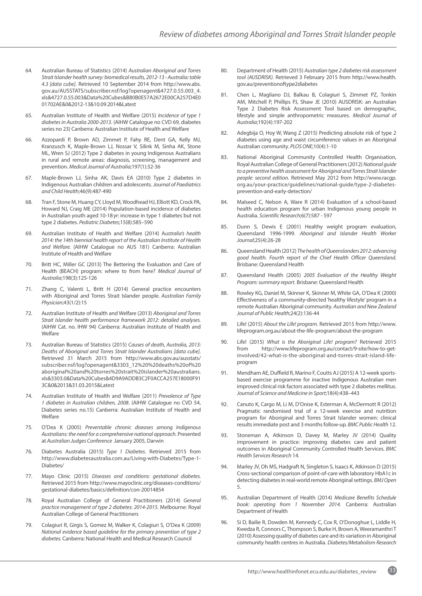- 64. Australian Bureau of Statistics (2014) *Australian Aboriginal and Torres Strait Islander health survey: biomedical results, 2012-13 - Australia: table 4.3 [data cube].* Retrieved 10 September 2014 from [http://www.abs.](http://www.abs.gov.au/AUSSTATS/subscriber.nsf/log?openagent&4727.0.55.003_4.xls&4727.0.55.003&Data%2) [gov.au/AUSSTATS/subscriber.nsf/log?openagent&4727.0.55.003\\_4.](http://www.abs.gov.au/AUSSTATS/subscriber.nsf/log?openagent&4727.0.55.003_4.xls&4727.0.55.003&Data%2) [xls&4727.0.55.003&Data%20Cubes&B80B0E57A2672E00CA257D4E0](http://www.abs.gov.au/AUSSTATS/subscriber.nsf/log?openagent&4727.0.55.003_4.xls&4727.0.55.003&Data%2) [01702AE&0&2012-13&10.09.2014&Latest](http://www.abs.gov.au/AUSSTATS/subscriber.nsf/log?openagent&4727.0.55.003_4.xls&4727.0.55.003&Data%2)
- 65. Australian Institute of Health and Welfare (2015) *Incidence of type 1 diabetes in Australia 2000-2013.* (AIHW Catalogue no CVD 69, diabetes series no 23) Canberra: Australian Institute of Health and Welfare
- 66. Azzopardi P, Brown AD, Zimmet P, Fahy RE, Dent GA, Kelly MJ, Kranzusch K, Maple-Brown LJ, Nossar V, Silink M, Sinha AK, Stone ML, Wren SJ (2012) Type 2 diabetes in young Indigenous Australians in rural and remote areas: diagnosis, screening, management and prevention. *Medical Journal of Australia*;197(1):32-36
- 67. Maple-Brown LJ, Sinha AK, Davis EA (2010) Type 2 diabetes in Indigenous Australian children and adolescents. *Journal of Paediatrics and Child Health*;46(9):487-490
- 68. Tran F, Stone M, Huang CY, Lloyd M, Woodhead HJ, Elliott KD, Crock PA, Howard NJ, Craig ME (2014) Population-based incidence of diabetes in Australian youth aged 10-18yr: increase in type 1 diabetes but not type 2 diabetes. *Pediatric Diabetes*;15(8):585–590
- 69. Australian Institute of Health and Welfare (2014) A*ustralia's health 2014: the 14th biennial health report of the Australian Institute of Health and Welfare.* (AIHW Catalogue no AUS 181) Canberra: Australian Institute of Health and Welfare
- 70. Britt HC, Miller GC (2013) The Bettering the Evaluation and Care of Health (BEACH) program: where to from here? *Medical Journal of Australia*;198(3):125-126
- 71. Zhang C, Valenti L, Britt H (2014) General practice encounters with Aboriginal and Torres Strait Islander people. *Australian Family Physician*;43(1/2):15
- 72. Australian Institute of Health and Welfare (2013) *Aboriginal and Torres Strait Islander health performance framework 2012: detailed analyses.*  (AIHW Cat. no. IHW 94) Canberra: Australian Institute of Health and Welfare
- 73. Australian Bureau of Statistics (2015) *Causes of death, Australia, 2013: Deaths of Aboriginal and Torres Strait Islander Australians [data cube].* Retrieved 31 March 2015 from [http://www.abs.gov.au/ausstats/](http://www.abs.gov.au/ausstats/subscriber.nsf/log?openagent&3303_12%20%20deaths%20of%20aboriginal%20) [subscriber.nsf/log?openagent&3303\\_12%20%20deaths%20of%20](http://www.abs.gov.au/ausstats/subscriber.nsf/log?openagent&3303_12%20%20deaths%20of%20aboriginal%20) [aboriginal%20and%20torres%20strait%20islander%20australians.](http://www.abs.gov.au/ausstats/subscriber.nsf/log?openagent&3303_12%20%20deaths%20of%20aboriginal%20) [xls&3303.0&Data%20Cubes&4D9A9ADDB3C2F0ACCA257E18000F91](http://www.abs.gov.au/ausstats/subscriber.nsf/log?openagent&3303_12%20%20deaths%20of%20aboriginal%20) [3C&0&2013&31.03.2015&Latest](http://www.abs.gov.au/ausstats/subscriber.nsf/log?openagent&3303_12%20%20deaths%20of%20aboriginal%20)
- 74. Australian Institute of Health and Welfare (2011) *Prevalence of Type 1 diabetes in Australian children, 2008*. (AIHW Catalogue no CVD 54, Diabetes series no.15) Canberra: Australian Institute of Health and Welfare
- 75. O'Dea K (2005) *Preventable chronic diseases among Indigenous Australians: the need for a comprehensive national approach.* Presented at *Australian Judges Conference* January 2005, Darwin
- 76. Diabetes Australia (2015) *Type 1 Diabetes*. Retrieved 2015 from [http://www.diabetesaustralia.com.au/Living-with-Diabetes/Type-1-](http://www.diabetesaustralia.com.au/Living-with-Diabetes/Type-1-Diabetes/) [Diabetes/](http://www.diabetesaustralia.com.au/Living-with-Diabetes/Type-1-Diabetes/)
- 77. Mayo Clinic (2015) *Diseases and conditions: gestational diabetes.*  Retrieved 2015 from [http://www.mayoclinic.org/diseases-conditions/](http://www.mayoclinic.org/diseases-conditions/gestational-diabetes/basics/definition/con-20014854) [gestational-diabetes/basics/definition/con-20014854](http://www.mayoclinic.org/diseases-conditions/gestational-diabetes/basics/definition/con-20014854)
- 78. Royal Australian College of General Practitioners (2014) *General practice management of type 2 diabetes: 2014-2015*. Melbourne: Royal Australian College of General Practitioners
- 79. Colagiuri R, Girgis S, Gomez M, Walker K, Colagiuri S, O'Dea K (2009) *National evidence based guideline for the primary prevention of type 2 diabetes.* Canberra: National Health and Medical Research Council
- 80. Department of Health (2015) *Australian type 2 diabetes risk assessment tool (AUSDRISK)*. Retrieved 3 February 2015 from http://www.health. gov.au/preventionoftype2diabetes
- 81. Chen L, Magliano DJ, Balkau B, Colagiuri S, Zimmet PZ, Tonkin AM, Mitchell P, Phillips PJ, Shaw JE (2010) AUSDRISK: an Australian Type 2 Diabetes Risk Assessment Tool based on demographic, lifestyle and simple anthropometric measures. *Medical Journal of Australia*;192(4):197-202
- 82. Adegbija O, Hoy W, Wang Z (2015) Predicting absolute risk of type 2 diabetes using age and waist circumference values in an Aboriginal Australian community. *PLOS ONE*;10(4):1-10
- 83. National Aboriginal Community Controlled Health Organisation, Royal Australian College of General Practitioners (2012) *National guide to a preventive health assessment for Aboriginal and Torres Strait Islander people: second edition.* Retrieved May 2012 from [http://www.racgp.](http://www.racgp.org.au/your-practice/guidelines/national-guide/type-2-diabetes-prevention-and-early) [org.au/your-practice/guidelines/national-guide/type-2-diabetes](http://www.racgp.org.au/your-practice/guidelines/national-guide/type-2-diabetes-prevention-and-early)[prevention-and-early-detection/](http://www.racgp.org.au/your-practice/guidelines/national-guide/type-2-diabetes-prevention-and-early)
- 84. Malseed C, Nelson A, Ware R (2014) Evaluation of a school-based health education program for urban Indigenous young people in Australia. *Scientific Research*;6(7):587 - 597
- 85. Dunn S, Dewis E (2001) Healthy weight program evaluation, Queensland 1996-1999. *Aboriginal and Islander Health Worker Journal*;25(4):26-28
- 86. Queensland Health (2012) *The health of Queenslanders 2012: advancing good health. Fourth report of the Chief Health Officer Queensland.* Brisbane: Queensland Health
- 87. Queensland Health (2005) *2005 Evaluation of the Healthy Weight Program: summary report.* Brisbane: Queensland Health
- 88. Rowley KG, Daniel M, Skinner K, Skinner M, White GA, O'Dea K (2000) Effectiveness of a community-directed 'healthy lifestyle' program in a remote Australian Aboriginal community. *Australian and New Zealand Journal of Public Health*;24(2):136-44
- 89. Life! (2015) *About the Life! program.* Retrieved 2015 from [http://www.](http://www.lifeprogram.org.au/about-the-life-program/about-the-program) [lifeprogram.org.au/about-the-life-program/about-the-program](http://www.lifeprogram.org.au/about-the-life-program/about-the-program)
- 90. Life! (2015) *What is the Aboriginal Life! program?* Retrieved 2015 from [http://www.lifeprogram.org.au/contact/9-site/how-to-get](http://www.lifeprogram.org.au/contact/9-site/how-to-get-involved/42-what-is-the-aboriginal-and-torre)[involved/42-what-is-the-aboriginal-and-torres-strait-island-life](http://www.lifeprogram.org.au/contact/9-site/how-to-get-involved/42-what-is-the-aboriginal-and-torre)[program](http://www.lifeprogram.org.au/contact/9-site/how-to-get-involved/42-what-is-the-aboriginal-and-torre)
- 91. Mendham AE, Duffield R, Marino F, Coutts AJ (2015) A 12-week sportsbased exercise programme for inactive Indigenous Australian men improved clinical risk factors associated with type 2 diabetes mellitus. *Journal of Science and Medicine in Sport*;18(4):438–443
- 92. Canuto K, Cargo M, Li M, D'Onise K, Esterman A, McDermott R (2012) Pragmatic randomised trial of a 12-week exercise and nutrition program for Aboriginal and Torres Strait Islander women: clinical results immediate post and 3 months follow-up. *BMC Public Health* 12.
- 93. Stoneman A, Atkinson D, Davey M, Marley JV (2014) Quality improvement in practice: improving diabetes care and patient outcomes in Aboriginal Community Controlled Health Services. *BMC Health Services Research* 14.
- 94. Marley JV, Oh MS, Hadgraft N, Singleton S, Isaacs K, Atkinson D (2015) Cross-sectional comparison of point-of-care with laboratory HbA1c in detecting diabetes in real-world remote Aboriginal settings. *BMJ Open*  5.
- 95. Australian Department of Health (2014) *Medicare Benefits Schedule book: operating from 1 November 2014.* Canberra: Australian Department of Health
- 96. Si D, Bailie R, Dowden M, Kennedy C, Cox R, O'Donoghue L, Liddle H, Kwedza R, Connors C, Thompson S, Burke H, Brown A, Weeramanthri T (2010) Assessing quality of diabetes care and its variation in Aboriginal community health centres in Australia. *Diabetes/Metabolism Research*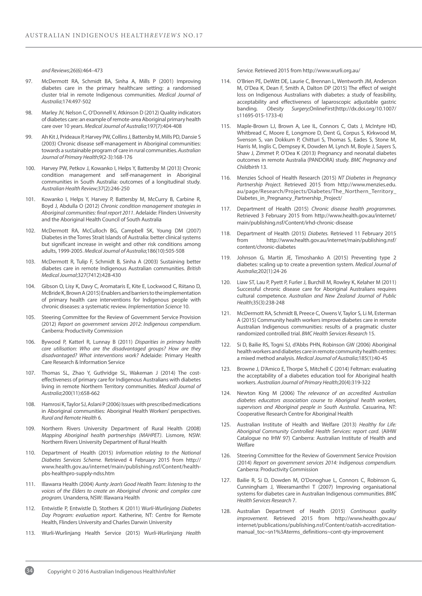*and Reviews*;26(6):464–473

- 97. McDermott RA, Schmidt BA, Sinha A, Mills P (2001) Improving diabetes care in the primary healthcare setting: a randomised cluster trial in remote Indigenous communities. *Medical Journal of Australia*;174:497-502
- 98. Marley JV, Nelson C, O'Donnell V, Atkinson D (2012) Quality indicators of diabetes care: an example of remote-area Aboriginal primary health care over 10 years. *Medical Journal of Australia*;197(7):404-408
- 99. Ah Kit J, Prideaux P, Harvey PW, Collins J, Battersby M, Mills PD, Dansie S (2003) Chronic disease self-management in Aboriginal communities: towards a sustainable program of care in rural communities. *Australian Journal of Primary Health*;9(2-3):168-176
- 100. Harvey PW, Petkov J, Kowanko I, Helps Y, Battersby M (2013) Chronic condition management and self-management in Aboriginal communities in South Australia: outcomes of a longitudinal study*. Australian Health Review;*37(2):246-250
- 101. Kowanko I, Helps Y, Harvey P, Battersby M, McCurry B, Carbine R, Boyd J, Abdulla O (2012) *Chronic condition management strategies in Aboriginal communities: final report 2011*. Adelaide: Flinders University and the Aboriginal Health Council of South Australia
- 102. McDermott RA, McCulloch BG, Campbell SK, Young DM (2007) Diabetes in the Torres Strait Islands of Australia: better clinical systems but significant increase in weight and other risk conditions among adults, 1999-2005. *Medical Journal of Australia*;186(10):505-508
- 103. McDermott R, Tulip F, Schmidt B, Sinha A (2003) Sustaining better diabetes care in remote Indigenous Australian communities. *British Medical Journal*;327(7412):428-430
- 104. Gibson O, Lisy K, Davy C, Aromataris E, Kite E, Lockwood C, Riitano D, McBride K, Brown A (2015) Enablers and barriers to the implementation of primary health care interventions for Indigenous people with chronic diseases: a systematic review. *Implementation Science* 10.
- 105. Steering Committee for the Review of Government Service Provision (2012) *Report on government services 2012: Indigenous compendium.*  Canberra: Productivity Commission
- 106. Bywood P, Katterl R, Lunnay B (2011) *Disparities in primary health care utilisation: Who are the disadvantaged groups? How are they disadvantaged? What interventions work?* Adelaide: Primary Health Care Research & Information Service
- 107. Thomas SL, Zhao Y, Guthridge SL, Wakeman J (2014) The costeffectiveness of primary care for Indigenous Australians with diabetes living in remote Northern Territory communities. *Medical Journal of Australia*;200(11):658-662
- 108. Hamrosi K, Taylor SJ, Aslani P (2006) Issues with prescribed medications in Aboriginal communities: Aboriginal Health Workers' perspectives. *Rural and Remote Health* 6.
- 109. Northern Rivers University Department of Rural Health (2008) *Mapping Aboriginal health partnerships (MAHPET)*. Lismore, NSW: Northern Rivers University Department of Rural Health
- 110. Department of Health (2015) *Information relating to the National Diabetes Services Scheme.* Retrieved 4 February 2015 from [http://](http://www.health.gov.au/internet/main/publishing.nsf/Content/health-pbs-healthpro-supply-ndss.htm) [www.health.gov.au/internet/main/publishing.nsf/Content/health](http://www.health.gov.au/internet/main/publishing.nsf/Content/health-pbs-healthpro-supply-ndss.htm)[pbs-healthpro-supply-ndss.htm](http://www.health.gov.au/internet/main/publishing.nsf/Content/health-pbs-healthpro-supply-ndss.htm)
- 111. Illawarra Health (2004) *Aunty Jean's Good Health Team: listening to the voices of the Elders to create an Aboriginal chronic and complex care program.* Unanderra, NSW: Illawarra Health
- 112. Entwistle P, Entwistle D, Stothers K (2011) W*urli-Wurlinjang Diabetes Day Program: evaluation report.* Katherine, NT: Centre for Remote Health, Flinders University and Charles Darwin University
- 113. Wurli-Wurlinjang Health Service (2015) W*urli-Wurlinjang Health*

*Service.* Retrieved 2015 from<http://www.wurli.org.au/>

- 114. O'Brien PE, DeWitt DE, Laurie C, Brennan L, Wentworth JM, Anderson M, O'Dea K, Dean F, Smith A, Dalton DP (2015) The effect of weight loss on Indigenous Australians with diabetes: a study of feasibility, acceptability and effectiveness of laparoscopic adjustable gastric banding. *Obesity Surgery*;OnlineFirst[\(http://dx.doi.org/10.1007/](http://dx.doi.org/10.1007/s11695-015-1733-4) [s11695-015-1733-4](http://dx.doi.org/10.1007/s11695-015-1733-4))
- 115. Maple-Brown LJ, Brown A, Lee IL, Connors C, Oats J, McIntyre HD, Whitbread C, Moore E, Longmore D, Dent G, Corpus S, Kirkwood M, Svenson S, van Dokkum P, Chitturi S, Thomas S, Eades S, Stone M, Harris M, Inglis C, Dempsey K, Dowden M, Lynch M, Boyle J, Sayers S, Shaw J, Zimmet P, O'Dea K (2013) Pregnancy and neonatal diabetes outcomes in remote Australia (PANDORA) study. *BMC Pregnancy and Childbirth* 13.
- 116. Menzies School of Health Research (2015) *NT Diabetes in Pregnancy Partnership Project.* Retrieved 2015 from [http://www.menzies.edu.](http://www.menzies.edu.au/page/Research/Projects/Diabetes/The_Northern_Territory_Diabetes_in_Pregnan) [au/page/Research/Projects/Diabetes/The\\_Northern\\_Territory\\_](http://www.menzies.edu.au/page/Research/Projects/Diabetes/The_Northern_Territory_Diabetes_in_Pregnan) [Diabetes\\_in\\_Pregnancy\\_Partnership\\_Project/](http://www.menzies.edu.au/page/Research/Projects/Diabetes/The_Northern_Territory_Diabetes_in_Pregnan)
- 117. Department of Health (2015) *Chronic disease health programmes.*  Retrieved 3 February 2015 from [http://www.health.gov.au/internet/](http://www.health.gov.au/internet/main/publishing.nsf/Content/irhd-chronic-disease) [main/publishing.nsf/Content/irhd-chronic-disease](http://www.health.gov.au/internet/main/publishing.nsf/Content/irhd-chronic-disease)
- 118. Department of Health (2015) *Diabetes.* Retrieved 11 February 2015 from [http://www.health.gov.au/internet/main/publishing.nsf/](http://www.health.gov.au/internet/main/publishing.nsf/content/chronic-diabetes) [content/chronic-diabetes](http://www.health.gov.au/internet/main/publishing.nsf/content/chronic-diabetes)
- 119. Johnson G, Martin JE, Timoshanko A (2015) Preventing type 2 diabetes: scaling up to create a prevention system. *Medical Journal of Australia*;202(1):24-26
- 120. Liaw ST, Lau P, Pyett P, Furler J, Burchill M, Rowley K, Kelaher M (2011) Successful chronic disease care for Aboriginal Australians requires cultural competence. *Australian and New Zealand Journal of Public Health*;35(3):238-248
- 121. McDermott RA, Schmidt B, Preece C, Owens V, Taylor S, Li M, Esterman A (2015) Community health workers improve diabetes care in remote Australian Indigenous communities: results of a pragmatic cluster randomized controlled trial. *BMC Health Services Research* 15.
- 122. Si D, Bailie RS, Togni SJ, d'Abbs PHN, Robinson GW (2006) Aboriginal health workers and diabetes care in remote community health centres: a mixed method analysis. *Medical Journal of Australia*;185(1):40-45
- 123. Browne J, D'Amico E, Thorpe S, Mitchell C (2014) Feltman: evaluating the acceptability of a diabetes education tool for Aboriginal health workers. *Australian Journal of Primary Health*;20(4):319-322
- 124. Newton King M (2006) T*he relevance of an accredited Australian diabetes educators association course to Aboriginal health workers, supervisors and Aboriginal people in South Australia*. Casuarina, NT: Cooperative Research Centre for Aboriginal Health
- 125. Australian Institute of Health and Welfare (2013) *Healthy for Life: Aboriginal Community Controlled Health Services: report card*. (AIHW Catalogue no IHW 97) Canberra: Australian Institute of Health and Welfare
- 126. Steering Committee for the Review of Government Service Provision (2014) *Report on government services 2014: Indigenous compendium.* Canberra: Productivity Commission
- 127. Bailie R, Si D, Dowden M, O'Donoghue L, Connors C, Robinson G, Cunningham J, Weeramanthri T (2007) Improving organisational systems for diabetes care in Australian Indigenous communities. *BMC Health Services Research* 7.
- 128. Australian Department of Health (2015) *Continuous quality improvement*. Retrieved 2015 from [http://www.health.gov.au/](http://www.health.gov.au/internet/publications/publishing.nsf/Content/oatish-accreditation-manual_to) [internet/publications/publishing.nsf/Content/oatish-accreditation](http://www.health.gov.au/internet/publications/publishing.nsf/Content/oatish-accreditation-manual_to)[manual\\_toc~sn1%3Aterms\\_definitions~cont-qty-improvement](http://www.health.gov.au/internet/publications/publishing.nsf/Content/oatish-accreditation-manual_to)

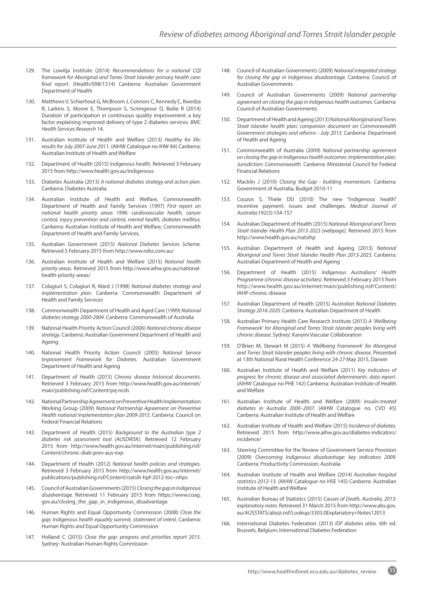- 129. The Lowitja Institute (2014) *Recommendations for a national CQI framework for Aboriginal and Torres Strait Islander primary health care: final report.* (Health/098/1314) Canberra: Australian Government Department of Health
- 130. Matthews V, Schierhout G, McBroom J, Connors C, Kennedy C, Kwedza R, Larkins S, Moore E, Thompson S, Scrimgeour D, Bailie R (2014) Duration of participation in continuous quality improvement: a key factor explaining improved delivery of type 2 diabetes services. *BMC Health Services Research* 14.
- 131. Australian Institute of Health and Welfare (2013) *Healthy for life: results for July 2007-June 2011.* (AIHW Catalogue no IHW 84) Canberra: Australian Institute of Health and Welfare
- 132. Department of Health (2015) *Indigenous health.* Retrieved 3 February 2015 from <http://www.health.gov.au/indigenous>
- 133. Diabetes Australia (2013) *A national diabetes strategy and action plan.* Canberra: Diabetes Australia
- 134. Australian Institute of Health and Welfare, Commonwealth Department of Health and Family Services (1997) *First report on national health priority areas 1996: cardiovascular health, cancer control, injury prevention and control, mental health, diabetes mellitus.* Canberra: Australian Institute of Health and Welfare, Commonwealth Department of Health and Family Services,
- 135. Australian Government (2015) *National Diabetes Services Scheme.*  Retrieved 5 February 2015 from <http://www.ndss.com.au/>
- 136. Australian Institute of Health and Welfare (2015) *National health priority areas.* Retrieved 2015 from [http://www.aihw.gov.au/national](http://www.aihw.gov.au/national-health-priority-areas/)[health-priority-areas/](http://www.aihw.gov.au/national-health-priority-areas/)
- 137. Colagiuri S, Colagiuri R, Ward J (1998) *National diabetes strategy and implementation plan.* Canberra: Commonwealth Department of Health and Family Services
- 138. Commonwealth Department of Health and Aged Care (1999) *National diabetes strategy 2000-2004.* Canberra: Commonwealth of Australia
- 139. National Health Priority Action Council (2006) *National chronic disease strategy.* Canberra: Australian Government Department of Health and Ageing
- 140. National Health Priority Action Council (2005) *National Service Improvement Framework for Diabetes.* Australian Government Department of Health and Ageing
- 141. Department of Health (2015) C*hronic disease historical documents.*  Retrieved 3 February 2015 from [http://www.health.gov.au/internet/](http://www.health.gov.au/internet/main/publishing.nsf/Content/pq-ncds) [main/publishing.nsf/Content/pq-ncds](http://www.health.gov.au/internet/main/publishing.nsf/Content/pq-ncds)
- 142. National Partnership Agreement on Preventive Health Implementation Working Group (2009) *National Partnership Agreement on Preventive Health national implementation plan 2009-2015.* Canberra: Council on Federal Financial Relations
- 143. Department of Health (2015) *Background to the Australian type 2 diabetes risk assessment tool (AUSDRISK).* Retrieved 12 February 2015 from [http://www.health.gov.au/internet/main/publishing.nsf/](http://www.health.gov.au/internet/main/publishing.nsf/Content/chronic-diab-prev-aus-exp) [Content/chronic-diab-prev-aus-exp](http://www.health.gov.au/internet/main/publishing.nsf/Content/chronic-diab-prev-aus-exp)
- 144. Department of Health (2012) *National health policies and strategies.*  Retrieved 3 February 2015 from [http://www.health.gov.au/internet/](http://www.health.gov.au/internet/publications/publishing.nsf/Content/oatsih-hpf-2012-toc~nhps) [publications/publishing.nsf/Content/oatsih-hpf-2012-toc~nhps](http://www.health.gov.au/internet/publications/publishing.nsf/Content/oatsih-hpf-2012-toc~nhps)
- 145. Council of Australian Governments (2015) *Closing the gap in Indigenous disadvantage.* Retrieved 11 February 2015 from [https://www.coag.](https://www.coag.gov.au/closing_the_gap_in_indigenous_disadvantage) [gov.au/closing\\_the\\_gap\\_in\\_indigenous\\_disadvantage](https://www.coag.gov.au/closing_the_gap_in_indigenous_disadvantage)
- 146. Human Rights and Equal Opportunity Commission (2008) *Close the gap: Indigenous health equality summit, statement of intent.* Canberra: Human Rights and Equal Opportunity Commission
- 147. Holland C (2015) *Close the gap: progress and priorities report 2015.* Sydney: Australian Human Rights Commission
- 148. Council of Australian Governments (2009) *National integrated strategy for closing the gap in Indigenous disadvantage.* Canberra: Council of Australian Governments
- 149. Council of Australian Governments (2009) *National partnership agreement on closing the gap in Indigenous health outcomes.* Canberra: Council of Australian Governments
- 150. Department of Health and Ageing (2013) *National Aboriginal and Torres Strait Islander health plan: companion document on Commonwealth Government strategies and reforms - July 2013.* Canberra: Department of Health and Ageing
- 151. Commonwealth of Australia (2009) *National partnership agreement on closing the gap in Indigenous health outcomes: implementation plan. Jurisdiction: Commonwealth.* Canberra: Ministerial Council for Federal Financial Relations
- 152. Macklin J (2010) *Closing the Gap building momentum.* Canberra: Government of Australia, Budget 2010-11
- 153. Couzos S, Thiele DD (2010) The new "Indigenous health" incentive payment: issues and challenges. *Medical Journal of Australia*;192(3):154-157
- 154. Australian Department of Health (2015) *National Aboriginal and Torres Strait Islander Health Plan 2013-2023 [webpage]*. Retrieved 2015 from <http://www.health.gov.au/natsihp>
- 155. Australian Department of Health and Ageing (2013) *National Aboriginal and Torres Strait Islander Health Plan 2013-2023.* Canberra: Australian Department of Health and Ageing
- 156. Department of Health (2015) *Indigenous Australians' Health Programme (chronic disease activities)*. Retrieved 3 February 2015 from http://www.health.gov.au/internet/main/publishing.nsf/Content/ IAHP-chronic-disease
- 157. Australian Department of Health (2015) *Australian National Diabetes Strategy 2016-2020.* Canberra: Australian Department of Health
- 158. Australian Primary Health Care Research Institute (2015) *A 'Wellbeing Framework' for Aboriginal and Torres Strait Islander peoples living with chronic disease.* Sydney: Kanyini Vascular Collaboration
- 159. O'Brien M, Stewart M (2015) *A 'Wellbeing Framework' for Aboriginal and Torres Strait Islander peoples living with chronic disease.* Presented at 13th National Rural Health Conference 24-27 May 2015, Darwin
- 160. Australian Institute of Health and Welfare (2011) *Key indicators of progress for chronic disease and associated determinants: data report.* (AIHW Catalogue no PHE 142) Canberra: Australian Institute of Health and Welfare
- 161. Australian Institute of Health and Welfare (2009) *Insulin-treated diabetes in Australia 2000–2007.* (AIHW Catalogue no. CVD 45) Canberra: Australian Institute of Health and Welfare
- 162. Australian Institute of Health and Welfare (2015) *Incidence of diabetes.* Retrieved 2015 from [http://www.aihw.gov.au/diabetes-indicators/](http://www.aihw.gov.au/diabetes-indicators/incidence/) [incidence/](http://www.aihw.gov.au/diabetes-indicators/incidence/)
- 163. Steering Committee for the Review of Government Service Provision (2009) *Overcoming Indigenous disadvantage: key indicators 2009.*  Canberra: Productivity Commission, Australia
- 164. Australian Institute of Health and Welfare (2014) *Australian hospital statistics 2012-13.* (AIHW Catalogue no HSE 145) Canberra: Australian Institute of Health and Welfare
- 165. Australian Bureau of Statistics (2015) *Causes of Death, Australia, 2013: explanatory notes.* Retrieved 31 March 2015 from [http://www.abs.gov.](http://www.abs.gov.au/AUSSTATS/abs@.nsf/Lookup/3303.0Explanatory+Notes12013) [au/AUSSTATS/abs@.nsf/Lookup/3303.0Explanatory+Notes12013](http://www.abs.gov.au/AUSSTATS/abs@.nsf/Lookup/3303.0Explanatory+Notes12013)
- 166. International Diabetes Federation (2013) *IDF diabetes atlas.* 6th ed. Brussels, Belgium: International Diabetes Federation